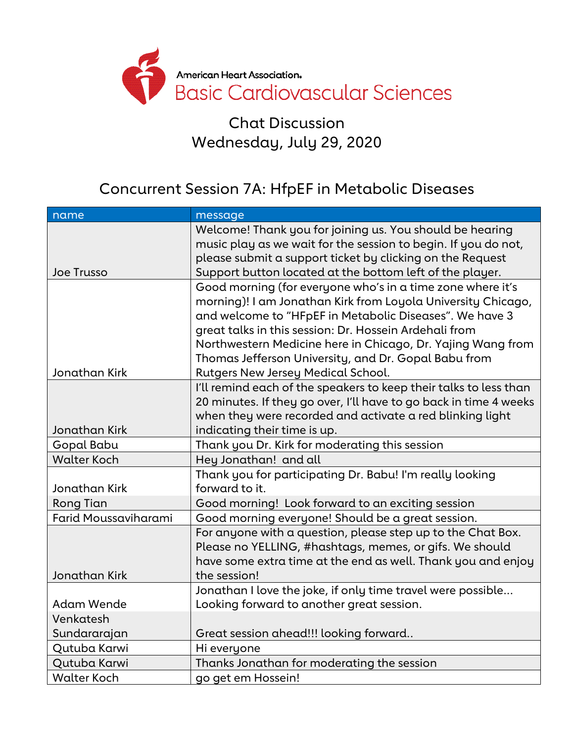

Chat Discussion Wednesday, July 29, 2020

## Concurrent Session 7A: HfpEF in Metabolic Diseases

| name                 | message                                                                        |
|----------------------|--------------------------------------------------------------------------------|
|                      | Welcome! Thank you for joining us. You should be hearing                       |
|                      | music play as we wait for the session to begin. If you do not,                 |
|                      | please submit a support ticket by clicking on the Request                      |
| Joe Trusso           | Support button located at the bottom left of the player.                       |
|                      | Good morning (for everyone who's in a time zone where it's                     |
|                      | morning)! I am Jonathan Kirk from Loyola University Chicago,                   |
|                      | and welcome to "HFpEF in Metabolic Diseases". We have 3                        |
|                      | great talks in this session: Dr. Hossein Ardehali from                         |
|                      | Northwestern Medicine here in Chicago, Dr. Yajing Wang from                    |
|                      | Thomas Jefferson University, and Dr. Gopal Babu from                           |
| Jonathan Kirk        | <b>Rutgers New Jersey Medical School.</b>                                      |
|                      | I'll remind each of the speakers to keep their talks to less than              |
|                      | 20 minutes. If they go over, I'll have to go back in time 4 weeks              |
| Jonathan Kirk        | when they were recorded and activate a red blinking light                      |
| Gopal Babu           | indicating their time is up.<br>Thank you Dr. Kirk for moderating this session |
| <b>Walter Koch</b>   | Hey Jonathan! and all                                                          |
|                      | Thank you for participating Dr. Babu! I'm really looking                       |
| Jonathan Kirk        | forward to it.                                                                 |
| <b>Rong Tian</b>     | Good morning! Look forward to an exciting session                              |
| Farid Moussaviharami | Good morning everyone! Should be a great session.                              |
|                      | For anyone with a question, please step up to the Chat Box.                    |
|                      | Please no YELLING, #hashtags, memes, or gifs. We should                        |
|                      | have some extra time at the end as well. Thank you and enjoy                   |
| Jonathan Kirk        | the session!                                                                   |
|                      | Jonathan I love the joke, if only time travel were possible                    |
| <b>Adam Wende</b>    | Looking forward to another great session.                                      |
| Venkatesh            |                                                                                |
| Sundararajan         | Great session ahead!!! looking forward                                         |
| Qutuba Karwi         | Hi everyone                                                                    |
| Qutuba Karwi         | Thanks Jonathan for moderating the session                                     |
| <b>Walter Koch</b>   | go get em Hossein!                                                             |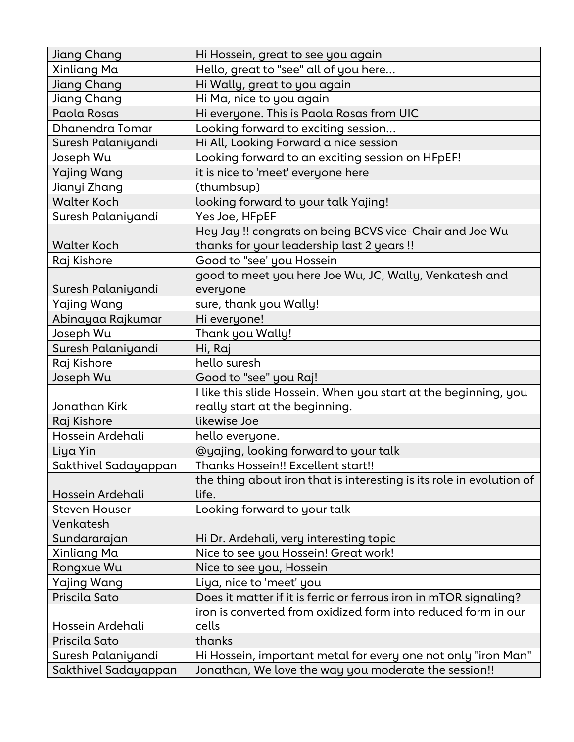| Jiang Chang          | Hi Hossein, great to see you again                                   |
|----------------------|----------------------------------------------------------------------|
| Xinliang Ma          | Hello, great to "see" all of you here                                |
| Jiang Chang          | Hi Wally, great to you again                                         |
| Jiang Chang          | Hi Ma, nice to you again                                             |
| Paola Rosas          | Hi everyone. This is Paola Rosas from UIC                            |
| Dhanendra Tomar      | Looking forward to exciting session                                  |
| Suresh Palaniyandi   | Hi All, Looking Forward a nice session                               |
| Joseph Wu            | Looking forward to an exciting session on HFpEF!                     |
| <b>Yajing Wang</b>   | it is nice to 'meet' everyone here                                   |
| Jianyi Zhang         | (thumbsup)                                                           |
| <b>Walter Koch</b>   | looking forward to your talk Yajing!                                 |
| Suresh Palaniyandi   | Yes Joe, HFpEF                                                       |
|                      | Hey Jay !! congrats on being BCVS vice-Chair and Joe Wu              |
| <b>Walter Koch</b>   | thanks for your leadership last 2 years!!                            |
| Raj Kishore          | Good to "see' you Hossein                                            |
|                      | good to meet you here Joe Wu, JC, Wally, Venkatesh and               |
| Suresh Palaniyandi   | everyone                                                             |
| Yajing Wang          | sure, thank you Wally!                                               |
| Abinayaa Rajkumar    | Hi everyone!                                                         |
| Joseph Wu            | Thank you Wally!                                                     |
| Suresh Palaniyandi   | Hi, Raj                                                              |
| Raj Kishore          | hello suresh                                                         |
| Joseph Wu            | Good to "see" you Raj!                                               |
|                      | I like this slide Hossein. When you start at the beginning, you      |
| Jonathan Kirk        | really start at the beginning.                                       |
| Raj Kishore          | likewise Joe                                                         |
| Hossein Ardehali     | hello everyone.                                                      |
| Liya Yin             | @yajing, looking forward to your talk                                |
| Sakthivel Sadayappan | Thanks Hossein!! Excellent start!!                                   |
|                      | the thing about iron that is interesting is its role in evolution of |
| Hossein Ardehali     | life.                                                                |
| <b>Steven Houser</b> | Looking forward to your talk                                         |
| Venkatesh            |                                                                      |
| Sundararajan         | Hi Dr. Ardehali, very interesting topic                              |
| Xinliang Ma          | Nice to see you Hossein! Great work!                                 |
| Rongxue Wu           | Nice to see you, Hossein                                             |
| Yajing Wang          | Liya, nice to 'meet' you                                             |
| Priscila Sato        | Does it matter if it is ferric or ferrous iron in mTOR signaling?    |
|                      | iron is converted from oxidized form into reduced form in our        |
| Hossein Ardehali     | cells                                                                |
| Priscila Sato        | thanks                                                               |
| Suresh Palaniyandi   | Hi Hossein, important metal for every one not only "iron Man"        |
| Sakthivel Sadayappan | Jonathan, We love the way you moderate the session!!                 |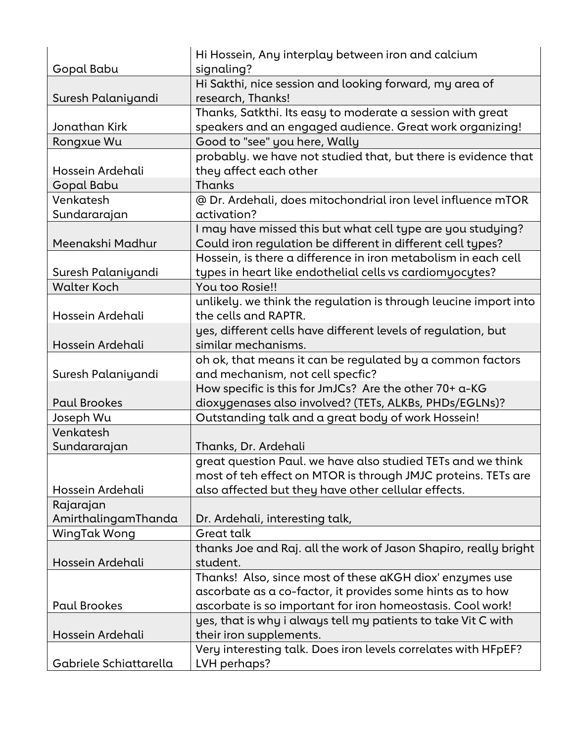|                        | Hi Hossein, Any interplay between iron and calcium               |
|------------------------|------------------------------------------------------------------|
| Gopal Babu             | signaling?                                                       |
|                        | Hi Sakthi, nice session and looking forward, my area of          |
| Suresh Palaniyandi     | research, Thanks!                                                |
|                        | Thanks, Satkthi. Its easy to moderate a session with great       |
| Jonathan Kirk          | speakers and an engaged audience. Great work organizing!         |
| Rongxue Wu             | Good to "see" you here, Wally                                    |
|                        | probably, we have not studied that, but there is evidence that   |
| Hossein Ardehali       | they affect each other                                           |
| Gopal Babu             | Thanks                                                           |
| Venkatesh              | @ Dr. Ardehali, does mitochondrial iron level influence mTOR     |
| Sundararajan           | activation?                                                      |
|                        | I may have missed this but what cell type are you studying?      |
| Meenakshi Madhur       | Could iron regulation be different in different cell types?      |
|                        | Hossein, is there a difference in iron metabolism in each cell   |
| Suresh Palaniyandi     | types in heart like endothelial cells vs cardiomyocytes?         |
| <b>Walter Koch</b>     | You too Rosie!!                                                  |
|                        | unlikely. we think the regulation is through leucine import into |
| Hossein Ardehali       | the cells and RAPTR.                                             |
|                        | yes, different cells have different levels of regulation, but    |
| Hossein Ardehali       | similar mechanisms.                                              |
|                        | oh ok, that means it can be regulated by a common factors        |
| Suresh Palaniyandi     | and mechanism, not cell specfic?                                 |
|                        | How specific is this for JmJCs? Are the other 70+ a-KG           |
| <b>Paul Brookes</b>    | dioxygenases also involved? (TETs, ALKBs, PHDs/EGLNs)?           |
| Joseph Wu              | Outstanding talk and a great body of work Hossein!               |
| Venkatesh              |                                                                  |
| Sundararajan           | Thanks, Dr. Ardehali                                             |
|                        | great question Paul, we have also studied TETs and we think      |
|                        | most of teh effect on MTOR is through JMJC proteins. TETs are    |
| Hossein Ardehali       | also affected but they have other cellular effects.              |
| Rajarajan              |                                                                  |
| AmirthalingamThanda    | Dr. Ardehali, interesting talk,                                  |
| <b>WingTak Wong</b>    | <b>Great talk</b>                                                |
|                        | thanks Joe and Raj. all the work of Jason Shapiro, really bright |
| Hossein Ardehali       | student.                                                         |
|                        | Thanks! Also, since most of these aKGH diox' enzymes use         |
|                        |                                                                  |
| <b>Paul Brookes</b>    | ascorbate as a co-factor, it provides some hints as to how       |
|                        | ascorbate is so important for iron homeostasis. Cool work!       |
|                        | yes, that is why i always tell my patients to take Vit C with    |
| Hossein Ardehali       | their iron supplements.                                          |
|                        | Very interesting talk. Does iron levels correlates with HFpEF?   |
| Gabriele Schiattarella | LVH perhaps?                                                     |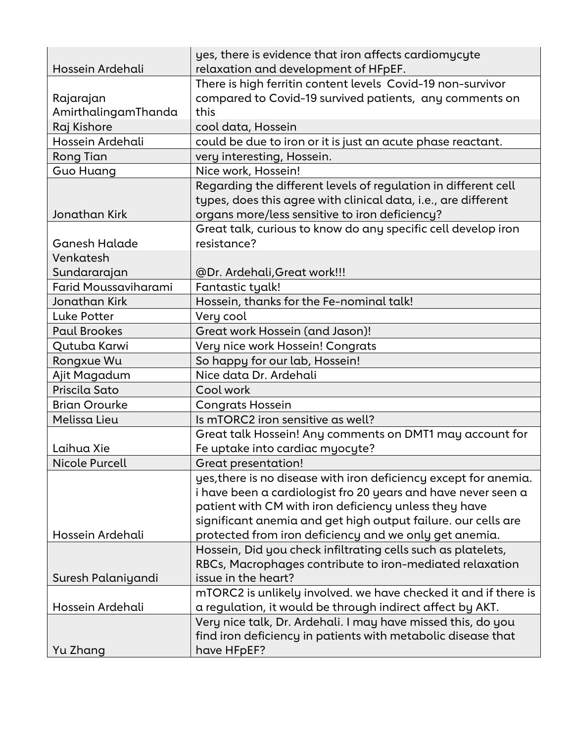| Hossein Ardehali            | yes, there is evidence that iron affects cardiomycyte<br>relaxation and development of HFpEF. |
|-----------------------------|-----------------------------------------------------------------------------------------------|
|                             | There is high ferritin content levels Covid-19 non-survivor                                   |
| Rajarajan                   | compared to Covid-19 survived patients, any comments on                                       |
| AmirthalingamThanda         | this                                                                                          |
| Raj Kishore                 | cool data, Hossein                                                                            |
| Hossein Ardehali            | could be due to iron or it is just an acute phase reactant.                                   |
| Rong Tian                   | very interesting, Hossein.                                                                    |
| Guo Huang                   | Nice work, Hossein!                                                                           |
|                             | Regarding the different levels of regulation in different cell                                |
|                             | types, does this agree with clinical data, i.e., are different                                |
| Jonathan Kirk               | organs more/less sensitive to iron deficiency?                                                |
|                             | Great talk, curious to know do any specific cell develop iron                                 |
| Ganesh Halade               | resistance?                                                                                   |
| Venkatesh                   |                                                                                               |
| Sundararajan                | @Dr. Ardehali, Great work!!!                                                                  |
| <b>Farid Moussaviharami</b> | Fantastic tyalk!                                                                              |
| <b>Jonathan Kirk</b>        | Hossein, thanks for the Fe-nominal talk!                                                      |
| <b>Luke Potter</b>          | Very cool                                                                                     |
| <b>Paul Brookes</b>         | Great work Hossein (and Jason)!                                                               |
| Qutuba Karwi                | Very nice work Hossein! Congrats                                                              |
| Rongxue Wu                  | So happy for our lab, Hossein!                                                                |
| Ajit Magadum                | Nice data Dr. Ardehali                                                                        |
| Priscila Sato               | Cool work                                                                                     |
| <b>Brian Orourke</b>        | <b>Congrats Hossein</b>                                                                       |
| Melissa Lieu                | Is mTORC2 iron sensitive as well?                                                             |
|                             | Great talk Hossein! Any comments on DMT1 may account for                                      |
| Laihua Xie                  | Fe uptake into cardiac myocyte?                                                               |
| Nicole Purcell              | <b>Great presentation!</b>                                                                    |
|                             | yes, there is no disease with iron deficiency except for anemia.                              |
|                             | i have been a cardiologist fro 20 years and have never seen a                                 |
|                             | patient with CM with iron deficiency unless they have                                         |
|                             | significant anemia and get high output failure. our cells are                                 |
| Hossein Ardehali            | protected from iron deficiency and we only get anemia.                                        |
|                             | Hossein, Did you check infiltrating cells such as platelets,                                  |
|                             | RBCs, Macrophages contribute to iron-mediated relaxation                                      |
| Suresh Palaniyandi          | issue in the heart?                                                                           |
|                             | mTORC2 is unlikely involved. we have checked it and if there is                               |
| Hossein Ardehali            | a regulation, it would be through indirect affect by AKT.                                     |
|                             | Very nice talk, Dr. Ardehali. I may have missed this, do you                                  |
|                             | find iron deficiency in patients with metabolic disease that                                  |
| Yu Zhang                    | have HFpEF?                                                                                   |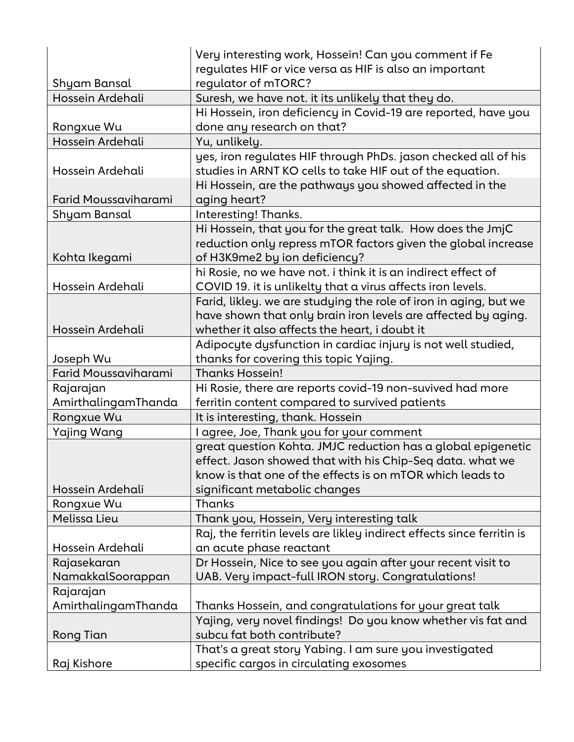|                      | Very interesting work, Hossein! Can you comment if Fe                  |
|----------------------|------------------------------------------------------------------------|
|                      | regulates HIF or vice versa as HIF is also an important                |
| Shyam Bansal         | regulator of mTORC?                                                    |
| Hossein Ardehali     | Suresh, we have not. it its unlikely that they do.                     |
|                      | Hi Hossein, iron deficiency in Covid-19 are reported, have you         |
| Rongxue Wu           | done any research on that?                                             |
| Hossein Ardehali     | Yu, unlikely.                                                          |
|                      | yes, iron regulates HIF through PhDs. jason checked all of his         |
| Hossein Ardehali     | studies in ARNT KO cells to take HIF out of the equation.              |
|                      | Hi Hossein, are the pathways you showed affected in the                |
| Farid Moussaviharami | aging heart?                                                           |
| Shyam Bansal         | Interesting! Thanks.                                                   |
|                      | Hi Hossein, that you for the great talk. How does the JmjC             |
|                      | reduction only repress mTOR factors given the global increase          |
| Kohta Ikegami        | of H3K9me2 by ion deficiency?                                          |
|                      | hi Rosie, no we have not. i think it is an indirect effect of          |
| Hossein Ardehali     | COVID 19. it is unlikelty that a virus affects iron levels.            |
|                      | Farid, likley. we are studying the role of iron in aging, but we       |
|                      | have shown that only brain iron levels are affected by aging.          |
| Hossein Ardehali     | whether it also affects the heart, i doubt it                          |
|                      | Adipocyte dysfunction in cardiac injury is not well studied,           |
| Joseph Wu            | thanks for covering this topic Yajing.                                 |
| Farid Moussaviharami | <b>Thanks Hossein!</b>                                                 |
| Rajarajan            | Hi Rosie, there are reports covid-19 non-suvived had more              |
| AmirthalingamThanda  | ferritin content compared to survived patients                         |
| Rongxue Wu           | It is interesting, thank. Hossein                                      |
| <b>Yajing Wang</b>   | I agree, Joe, Thank you for your comment                               |
|                      | great question Kohta. JMJC reduction has a global epigenetic           |
|                      | effect. Jason showed that with his Chip-Seq data. what we              |
|                      | know is that one of the effects is on mTOR which leads to              |
| Hossein Ardehali     | significant metabolic changes                                          |
| Rongxue Wu           | <b>Thanks</b>                                                          |
| Melissa Lieu         | Thank you, Hossein, Very interesting talk                              |
|                      | Raj, the ferritin levels are likley indirect effects since ferritin is |
| Hossein Ardehali     | an acute phase reactant                                                |
| Rajasekaran          | Dr Hossein, Nice to see you again after your recent visit to           |
| NamakkalSoorappan    | UAB. Very impact-full IRON story. Congratulations!                     |
| Rajarajan            |                                                                        |
| AmirthalingamThanda  | Thanks Hossein, and congratulations for your great talk                |
|                      | Yajing, very novel findings! Do you know whether vis fat and           |
| Rong Tian            | subcu fat both contribute?                                             |
|                      | That's a great story Yabing. I am sure you investigated                |
| Raj Kishore          | specific cargos in circulating exosomes                                |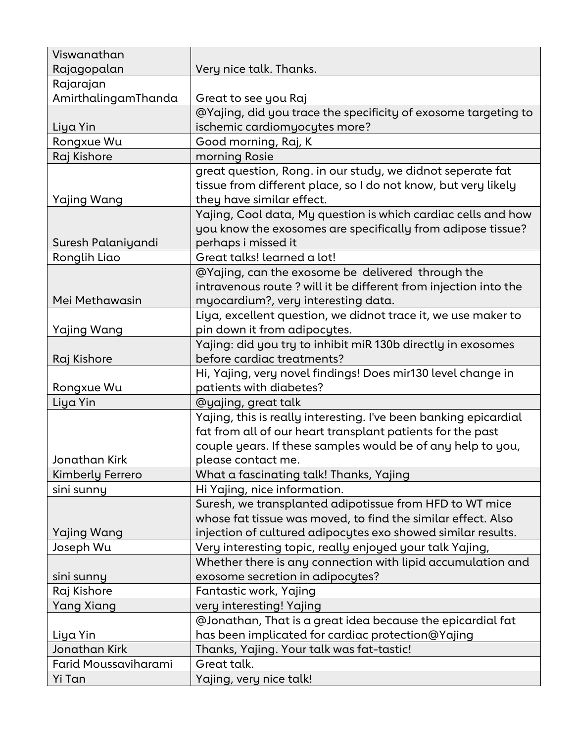| Viswanathan          |                                                                  |
|----------------------|------------------------------------------------------------------|
| Rajagopalan          | Very nice talk. Thanks.                                          |
| Rajarajan            |                                                                  |
| AmirthalingamThanda  | Great to see you Raj                                             |
|                      | @Yajing, did you trace the specificity of exosome targeting to   |
| Liya Yin             | ischemic cardiomyocytes more?                                    |
| Rongxue Wu           | Good morning, Raj, K                                             |
| Raj Kishore          | morning Rosie                                                    |
|                      | great question, Rong. in our study, we didnot seperate fat       |
|                      | tissue from different place, so I do not know, but very likely   |
| Yajing Wang          | they have similar effect.                                        |
|                      | Yajing, Cool data, My question is which cardiac cells and how    |
|                      | you know the exosomes are specifically from adipose tissue?      |
| Suresh Palaniyandi   | perhaps i missed it                                              |
| Ronglih Liao         | Great talks! learned a lot!                                      |
|                      | @Yajing, can the exosome be delivered through the                |
|                      | intravenous route ? will it be different from injection into the |
| Mei Methawasin       | myocardium?, very interesting data.                              |
|                      | Liya, excellent question, we didnot trace it, we use maker to    |
| Yajing Wang          | pin down it from adipocytes.                                     |
|                      | Yajing: did you try to inhibit miR 130b directly in exosomes     |
| Raj Kishore          | before cardiac treatments?                                       |
|                      | Hi, Yajing, very novel findings! Does mir130 level change in     |
| Rongxue Wu           | patients with diabetes?                                          |
| Liya Yin             | @yajing, great talk                                              |
|                      | Yajing, this is really interesting. I've been banking epicardial |
|                      | fat from all of our heart transplant patients for the past       |
|                      | couple years. If these samples would be of any help to you,      |
| Jonathan Kirk        | please contact me.                                               |
| Kimberly Ferrero     | What a fascinating talk! Thanks, Yajing                          |
| sini sunny           | Hi Yajing, nice information.                                     |
|                      | Suresh, we transplanted adipotissue from HFD to WT mice          |
|                      | whose fat tissue was moved, to find the similar effect. Also     |
| Yajing Wang          | injection of cultured adipocytes exo showed similar results.     |
| Joseph Wu            | Very interesting topic, really enjoyed your talk Yajing,         |
|                      | Whether there is any connection with lipid accumulation and      |
| sini sunny           | exosome secretion in adipocytes?                                 |
| Raj Kishore          | Fantastic work, Yajing                                           |
| <b>Yang Xiang</b>    | very interesting! Yajing                                         |
|                      | @Jonathan, That is a great idea because the epicardial fat       |
| Liya Yin             | has been implicated for cardiac protection@Yajing                |
| Jonathan Kirk        | Thanks, Yajing. Your talk was fat-tastic!                        |
| Farid Moussaviharami | Great talk.                                                      |
| Yi Tan               | Yajing, very nice talk!                                          |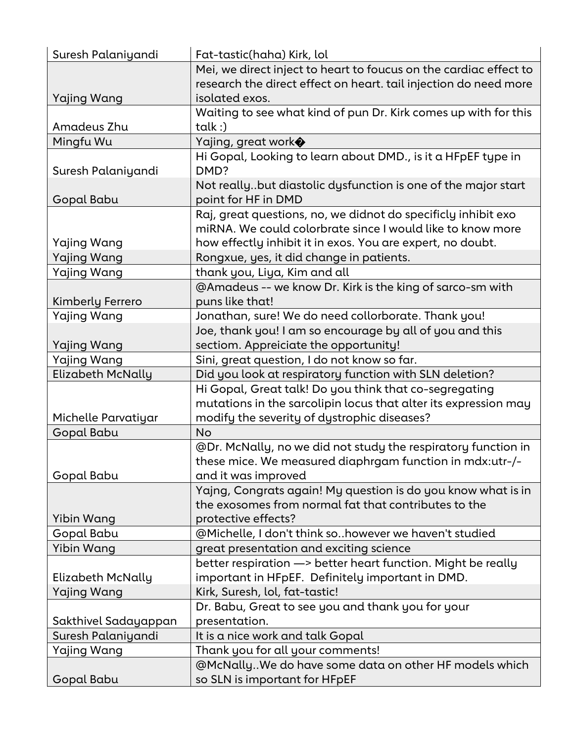| Suresh Palaniyandi       | Fat-tastic(haha) Kirk, lol                                                             |
|--------------------------|----------------------------------------------------------------------------------------|
|                          | Mei, we direct inject to heart to foucus on the cardiac effect to                      |
|                          | research the direct effect on heart. tail injection do need more                       |
| Yajing Wang              | isolated exos.                                                                         |
|                          | Waiting to see what kind of pun Dr. Kirk comes up with for this                        |
| Amadeus Zhu              | $t$ alk :)                                                                             |
| Mingfu Wu                | Yajing, great work◆                                                                    |
|                          | Hi Gopal, Looking to learn about DMD., is it a HFpEF type in                           |
| Suresh Palaniyandi       | DMD?                                                                                   |
|                          | Not reallybut diastolic dysfunction is one of the major start                          |
| Gopal Babu               | point for HF in DMD                                                                    |
|                          | Raj, great questions, no, we didnot do specificly inhibit exo                          |
|                          | miRNA. We could colorbrate since I would like to know more                             |
| Yajing Wang              | how effectly inhibit it in exos. You are expert, no doubt.                             |
| <b>Yajing Wang</b>       | Rongxue, yes, it did change in patients.                                               |
| Yajing Wang              | thank you, Liya, Kim and all                                                           |
|                          | @Amadeus -- we know Dr. Kirk is the king of sarco-sm with                              |
| Kimberly Ferrero         | puns like that!                                                                        |
| Yajing Wang              | Jonathan, sure! We do need collorborate. Thank you!                                    |
|                          | Joe, thank you! I am so encourage by all of you and this                               |
| <b>Yajing Wang</b>       | sectiom. Appreiciate the opportunity!                                                  |
| Yajing Wang              | Sini, great question, I do not know so far.                                            |
| Elizabeth McNally        | Did you look at respiratory function with SLN deletion?                                |
|                          | Hi Gopal, Great talk! Do you think that co-segregating                                 |
|                          | mutations in the sarcolipin locus that alter its expression may                        |
| Michelle Parvatiyar      | modify the severity of dystrophic diseases?                                            |
| Gopal Babu               | <b>No</b>                                                                              |
|                          | @Dr. McNally, no we did not study the respiratory function in                          |
| Gopal Babu               | these mice. We measured diaphrgam function in mdx:utr-/-<br>and it was improved        |
|                          | Yajng, Congrats again! My question is do you know what is in                           |
|                          | the exosomes from normal fat that contributes to the                                   |
| Yibin Wang               | protective effects?                                                                    |
| Gopal Babu               | @Michelle, I don't think sohowever we haven't studied                                  |
| Yibin Wang               | great presentation and exciting science                                                |
|                          | better respiration -> better heart function. Might be really                           |
| <b>Elizabeth McNally</b> | important in HFpEF. Definitely important in DMD.                                       |
| Yajing Wang              | Kirk, Suresh, lol, fat-tastic!                                                         |
|                          | Dr. Babu, Great to see you and thank you for your                                      |
| Sakthivel Sadayappan     | presentation.                                                                          |
| Suresh Palaniyandi       | It is a nice work and talk Gopal                                                       |
| Yajing Wang              |                                                                                        |
|                          |                                                                                        |
|                          | Thank you for all your comments!                                                       |
| Gopal Babu               | @McNallyWe do have some data on other HF models which<br>so SLN is important for HFpEF |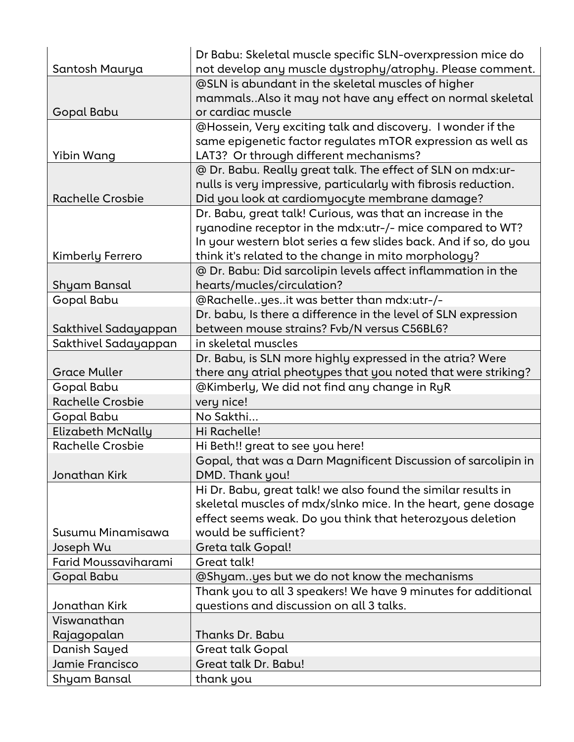|                         | Dr Babu: Skeletal muscle specific SLN-overxpression mice do      |
|-------------------------|------------------------------------------------------------------|
| Santosh Maurya          | not develop any muscle dystrophy/atrophy. Please comment.        |
|                         | @SLN is abundant in the skeletal muscles of higher               |
|                         | mammalsAlso it may not have any effect on normal skeletal        |
| Gopal Babu              | or cardiac muscle                                                |
|                         | @Hossein, Very exciting talk and discovery. I wonder if the      |
|                         | same epigenetic factor regulates mTOR expression as well as      |
| Yibin Wang              | LAT3? Or through different mechanisms?                           |
|                         | @ Dr. Babu. Really great talk. The effect of SLN on mdx:ur-      |
|                         | nulls is very impressive, particularly with fibrosis reduction.  |
| <b>Rachelle Crosbie</b> | Did you look at cardiomyocyte membrane damage?                   |
|                         | Dr. Babu, great talk! Curious, was that an increase in the       |
|                         | ryanodine receptor in the mdx:utr-/- mice compared to WT?        |
|                         | In your western blot series a few slides back. And if so, do you |
| Kimberly Ferrero        | think it's related to the change in mito morphology?             |
|                         | @ Dr. Babu: Did sarcolipin levels affect inflammation in the     |
| Shyam Bansal            | hearts/mucles/circulation?                                       |
| Gopal Babu              | @Rachelleyesit was better than mdx:utr-/-                        |
|                         | Dr. babu, Is there a difference in the level of SLN expression   |
| Sakthivel Sadayappan    | between mouse strains? Fvb/N versus C56BL6?                      |
| Sakthivel Sadayappan    | in skeletal muscles                                              |
|                         | Dr. Babu, is SLN more highly expressed in the atria? Were        |
| <b>Grace Muller</b>     | there any atrial pheotypes that you noted that were striking?    |
| Gopal Babu              | @Kimberly, We did not find any change in RyR                     |
| <b>Rachelle Crosbie</b> | very nice!                                                       |
| Gopal Babu              | No Sakthi                                                        |
| Elizabeth McNally       | Hi Rachelle!                                                     |
| <b>Rachelle Crosbie</b> | Hi Beth!! great to see you here!                                 |
|                         | Gopal, that was a Darn Magnificent Discussion of sarcolipin in   |
| Jonathan Kirk           | DMD. Thank you!                                                  |
|                         | Hi Dr. Babu, great talk! we also found the similar results in    |
|                         | skeletal muscles of mdx/slnko mice. In the heart, gene dosage    |
|                         | effect seems weak. Do you think that heterozyous deletion        |
| Susumu Minamisawa       | would be sufficient?                                             |
| Joseph Wu               | Greta talk Gopal!                                                |
| Farid Moussaviharami    | Great talk!                                                      |
| Gopal Babu              | @Shyamyes but we do not know the mechanisms                      |
|                         | Thank you to all 3 speakers! We have 9 minutes for additional    |
| Jonathan Kirk           | questions and discussion on all 3 talks.                         |
| Viswanathan             |                                                                  |
| Rajagopalan             | Thanks Dr. Babu                                                  |
| Danish Sayed            | <b>Great talk Gopal</b>                                          |
| Jamie Francisco         | Great talk Dr. Babu!                                             |
| Shyam Bansal            | thank you                                                        |
|                         |                                                                  |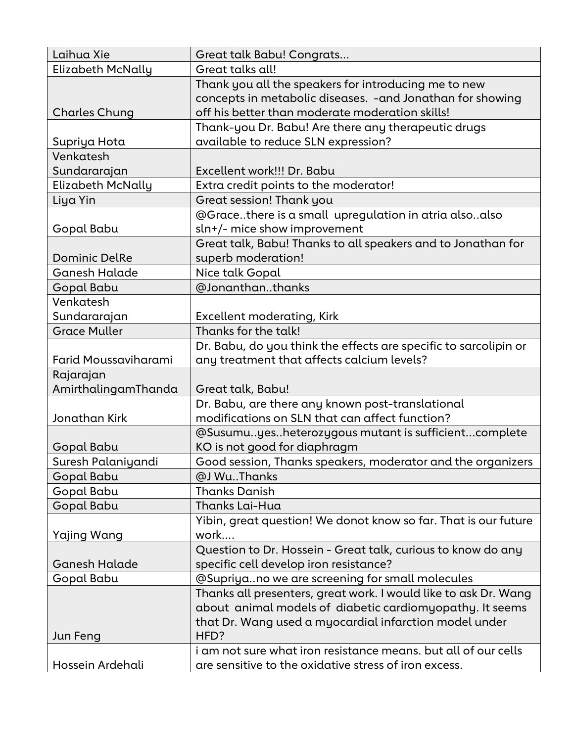| Laihua Xie           | Great talk Babu! Congrats                                                                                          |
|----------------------|--------------------------------------------------------------------------------------------------------------------|
| Elizabeth McNally    | Great talks all!                                                                                                   |
|                      | Thank you all the speakers for introducing me to new<br>concepts in metabolic diseases. - and Jonathan for showing |
| <b>Charles Chung</b> | off his better than moderate moderation skills!                                                                    |
|                      | Thank-you Dr. Babu! Are there any therapeutic drugs                                                                |
| Supriya Hota         | available to reduce SLN expression?                                                                                |
| Venkatesh            |                                                                                                                    |
| Sundararajan         | Excellent work!!! Dr. Babu                                                                                         |
| Elizabeth McNally    | Extra credit points to the moderator!                                                                              |
| Liya Yin             | Great session! Thank you                                                                                           |
|                      | @Gracethere is a small upregulation in atria alsoalso                                                              |
| Gopal Babu           | sln+/- mice show improvement                                                                                       |
|                      | Great talk, Babu! Thanks to all speakers and to Jonathan for                                                       |
| <b>Dominic DelRe</b> | superb moderation!                                                                                                 |
| <b>Ganesh Halade</b> | Nice talk Gopal                                                                                                    |
| Gopal Babu           | @Jonanthanthanks                                                                                                   |
| Venkatesh            |                                                                                                                    |
| Sundararajan         | Excellent moderating, Kirk                                                                                         |
| <b>Grace Muller</b>  | Thanks for the talk!                                                                                               |
|                      | Dr. Babu, do you think the effects are specific to sarcolipin or                                                   |
| Farid Moussaviharami | any treatment that affects calcium levels?                                                                         |
| Rajarajan            |                                                                                                                    |
| AmirthalingamThanda  | Great talk, Babu!                                                                                                  |
|                      | Dr. Babu, are there any known post-translational                                                                   |
| Jonathan Kirk        | modifications on SLN that can affect function?                                                                     |
| Gopal Babu           | @Susumuyesheterozygous mutant is sufficientcomplete<br>KO is not good for diaphragm                                |
| Suresh Palaniyandi   | Good session, Thanks speakers, moderator and the organizers                                                        |
| Gopal Babu           | @J WuThanks                                                                                                        |
| Gopal Babu           | <b>Thanks Danish</b>                                                                                               |
| Gopal Babu           | Thanks Lai-Hua                                                                                                     |
|                      | Yibin, great question! We donot know so far. That is our future                                                    |
| Yajing Wang          | work                                                                                                               |
|                      | Question to Dr. Hossein - Great talk, curious to know do any                                                       |
| Ganesh Halade        | specific cell develop iron resistance?                                                                             |
| Gopal Babu           | @Supriyano we are screening for small molecules                                                                    |
|                      | Thanks all presenters, great work. I would like to ask Dr. Wang                                                    |
|                      | about animal models of diabetic cardiomyopathy. It seems                                                           |
|                      | that Dr. Wang used a myocardial infarction model under                                                             |
| Jun Feng             | HFD?                                                                                                               |
|                      | i am not sure what iron resistance means, but all of our cells                                                     |
| Hossein Ardehali     | are sensitive to the oxidative stress of iron excess.                                                              |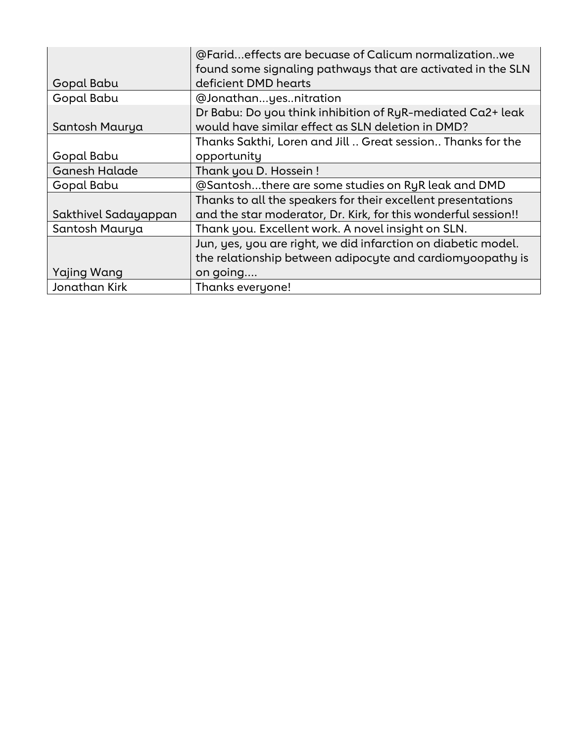|                      | @Farideffects are becuase of Calicum normalizationwe           |
|----------------------|----------------------------------------------------------------|
|                      | found some signaling pathways that are activated in the SLN    |
| Gopal Babu           | deficient DMD hearts                                           |
| Gopal Babu           | @Jonathanyesnitration                                          |
|                      | Dr Babu: Do you think inhibition of RyR-mediated Ca2+ leak     |
| Santosh Maurya       | would have similar effect as SLN deletion in DMD?              |
|                      | Thanks Sakthi, Loren and Jill  Great session Thanks for the    |
| Gopal Babu           | opportunity                                                    |
| <b>Ganesh Halade</b> | Thank you D. Hossein!                                          |
| Gopal Babu           | @Santoshthere are some studies on RyR leak and DMD             |
|                      | Thanks to all the speakers for their excellent presentations   |
| Sakthivel Sadayappan | and the star moderator, Dr. Kirk, for this wonderful session!! |
| Santosh Maurya       | Thank you. Excellent work. A novel insight on SLN.             |
|                      | Jun, yes, you are right, we did infarction on diabetic model.  |
|                      | the relationship between adipocyte and cardiomyoopathy is      |
| Yajing Wang          | on going                                                       |
| Jonathan Kirk        | Thanks everyone!                                               |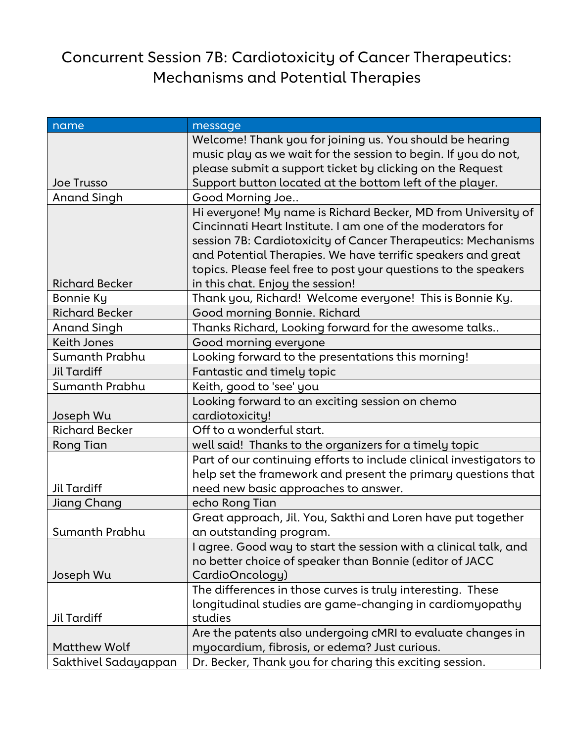## Concurrent Session 7B: Cardiotoxicity of Cancer Therapeutics: Mechanisms and Potential Therapies

| name                  | message                                                             |
|-----------------------|---------------------------------------------------------------------|
|                       | Welcome! Thank you for joining us. You should be hearing            |
|                       | music play as we wait for the session to begin. If you do not,      |
|                       | please submit a support ticket by clicking on the Request           |
| <b>Joe Trusso</b>     | Support button located at the bottom left of the player.            |
| <b>Anand Singh</b>    | Good Morning Joe                                                    |
|                       | Hi everyone! My name is Richard Becker, MD from University of       |
|                       | Cincinnati Heart Institute. I am one of the moderators for          |
|                       | session 7B: Cardiotoxicity of Cancer Therapeutics: Mechanisms       |
|                       | and Potential Therapies. We have terrific speakers and great        |
|                       | topics. Please feel free to post your questions to the speakers     |
| <b>Richard Becker</b> | in this chat. Enjoy the session!                                    |
| Bonnie Ky             | Thank you, Richard! Welcome everyone! This is Bonnie Ky.            |
| <b>Richard Becker</b> | Good morning Bonnie. Richard                                        |
| Anand Singh           | Thanks Richard, Looking forward for the awesome talks               |
| <b>Keith Jones</b>    | Good morning everyone                                               |
| Sumanth Prabhu        | Looking forward to the presentations this morning!                  |
| <b>Jil Tardiff</b>    | Fantastic and timely topic                                          |
| Sumanth Prabhu        | Keith, good to 'see' you                                            |
|                       | Looking forward to an exciting session on chemo                     |
| Joseph Wu             | cardiotoxicity!                                                     |
| <b>Richard Becker</b> | Off to a wonderful start.                                           |
| <b>Rong Tian</b>      | well said! Thanks to the organizers for a timely topic              |
|                       | Part of our continuing efforts to include clinical investigators to |
|                       | help set the framework and present the primary questions that       |
| Jil Tardiff           | need new basic approaches to answer.                                |
| Jiang Chang           | echo Rong Tian                                                      |
|                       | Great approach, Jil. You, Sakthi and Loren have put together        |
| Sumanth Prabhu        | an outstanding program.                                             |
|                       | I agree. Good way to start the session with a clinical talk, and    |
|                       | no better choice of speaker than Bonnie (editor of JACC             |
| Joseph Wu             | CardioOncology)                                                     |
|                       | The differences in those curves is truly interesting. These         |
|                       | longitudinal studies are game-changing in cardiomyopathy            |
| <b>Jil Tardiff</b>    | studies                                                             |
|                       | Are the patents also undergoing cMRI to evaluate changes in         |
| <b>Matthew Wolf</b>   | myocardium, fibrosis, or edema? Just curious.                       |
| Sakthivel Sadayappan  | Dr. Becker, Thank you for charing this exciting session.            |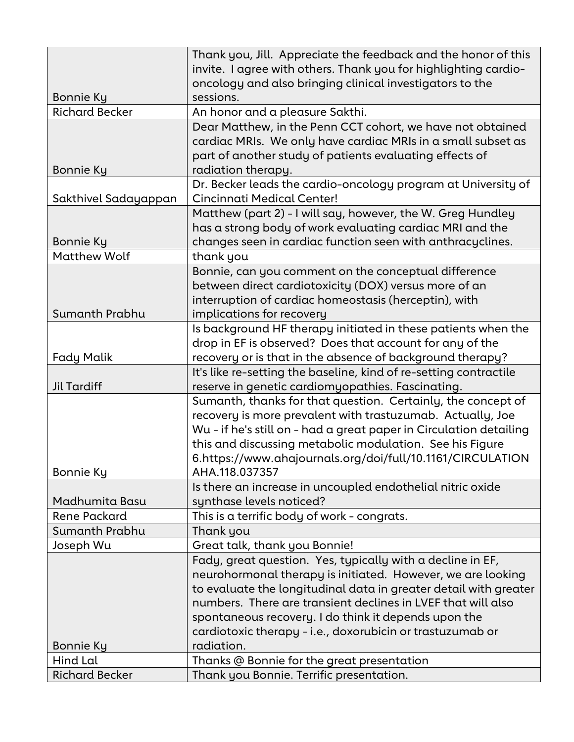|                       | Thank you, Jill. Appreciate the feedback and the honor of this<br>invite. I agree with others. Thank you for highlighting cardio- |
|-----------------------|-----------------------------------------------------------------------------------------------------------------------------------|
|                       | oncology and also bringing clinical investigators to the                                                                          |
| Bonnie Ky             | sessions.                                                                                                                         |
| <b>Richard Becker</b> | An honor and a pleasure Sakthi.                                                                                                   |
|                       | Dear Matthew, in the Penn CCT cohort, we have not obtained                                                                        |
|                       | cardiac MRIs. We only have cardiac MRIs in a small subset as                                                                      |
|                       | part of another study of patients evaluating effects of                                                                           |
| Bonnie Ky             | radiation therapy.                                                                                                                |
|                       | Dr. Becker leads the cardio-oncology program at University of                                                                     |
| Sakthivel Sadayappan  | Cincinnati Medical Center!                                                                                                        |
|                       | Matthew (part 2) - I will say, however, the W. Greg Hundley                                                                       |
|                       | has a strong body of work evaluating cardiac MRI and the                                                                          |
| Bonnie Ky             | changes seen in cardiac function seen with anthracyclines.                                                                        |
| <b>Matthew Wolf</b>   | thank you                                                                                                                         |
|                       | Bonnie, can you comment on the conceptual difference                                                                              |
|                       | between direct cardiotoxicity (DOX) versus more of an                                                                             |
|                       | interruption of cardiac homeostasis (herceptin), with                                                                             |
| Sumanth Prabhu        | implications for recovery                                                                                                         |
|                       | Is background HF therapy initiated in these patients when the                                                                     |
|                       | drop in EF is observed? Does that account for any of the                                                                          |
| <b>Fady Malik</b>     | recovery or is that in the absence of background therapy?                                                                         |
|                       | It's like re-setting the baseline, kind of re-setting contractile                                                                 |
| Jil Tardiff           | reserve in genetic cardiomyopathies. Fascinating.                                                                                 |
|                       | Sumanth, thanks for that question. Certainly, the concept of                                                                      |
|                       | recovery is more prevalent with trastuzumab. Actually, Joe                                                                        |
|                       | Wu - if he's still on - had a great paper in Circulation detailing                                                                |
|                       | this and discussing metabolic modulation. See his Figure                                                                          |
|                       | 6.https://www.ahajournals.org/doi/full/10.1161/CIRCULATION                                                                        |
| Bonnie Ky             | AHA.118.037357                                                                                                                    |
|                       | Is there an increase in uncoupled endothelial nitric oxide                                                                        |
| Madhumita Basu        | synthase levels noticed?                                                                                                          |
| <b>Rene Packard</b>   | This is a terrific body of work - congrats.                                                                                       |
| Sumanth Prabhu        | Thank you                                                                                                                         |
| Joseph Wu             | Great talk, thank you Bonnie!                                                                                                     |
|                       | Fady, great question. Yes, typically with a decline in EF,                                                                        |
|                       | neurohormonal therapy is initiated. However, we are looking                                                                       |
|                       | to evaluate the longitudinal data in greater detail with greater                                                                  |
|                       | numbers. There are transient declines in LVEF that will also                                                                      |
|                       | spontaneous recovery. I do think it depends upon the                                                                              |
|                       | cardiotoxic therapy - i.e., doxorubicin or trastuzumab or                                                                         |
| Bonnie Ky             | radiation.                                                                                                                        |
| Hind Lal              | Thanks @ Bonnie for the great presentation                                                                                        |
| <b>Richard Becker</b> | Thank you Bonnie. Terrific presentation.                                                                                          |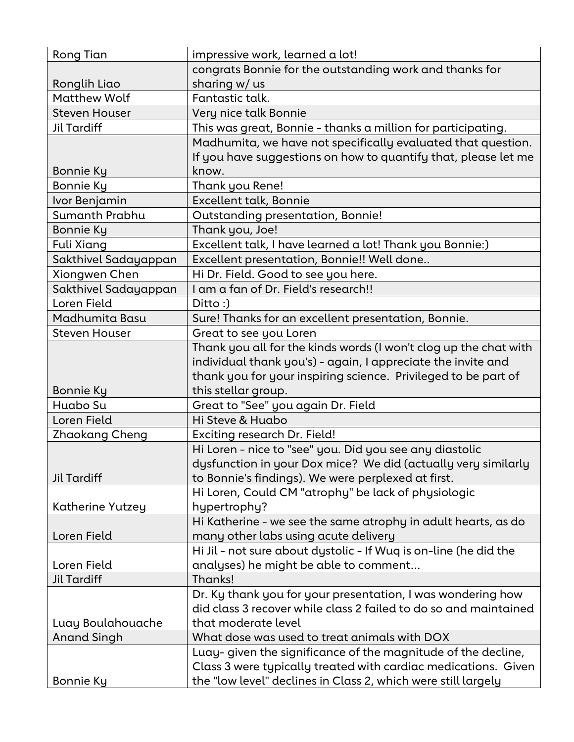| Rong Tian            | impressive work, learned a lot!                                  |
|----------------------|------------------------------------------------------------------|
|                      | congrats Bonnie for the outstanding work and thanks for          |
| Ronglih Liao         | sharing w/ us                                                    |
| <b>Matthew Wolf</b>  | Fantastic talk.                                                  |
| <b>Steven Houser</b> | Very nice talk Bonnie                                            |
| Jil Tardiff          | This was great, Bonnie - thanks a million for participating.     |
|                      | Madhumita, we have not specifically evaluated that question.     |
|                      | If you have suggestions on how to quantify that, please let me   |
| <b>Bonnie Ky</b>     | know.                                                            |
| <b>Bonnie Ky</b>     | Thank you Rene!                                                  |
| Ivor Benjamin        | Excellent talk, Bonnie                                           |
| Sumanth Prabhu       | Outstanding presentation, Bonnie!                                |
| <b>Bonnie Ky</b>     | Thank you, Joe!                                                  |
| Fuli Xiang           | Excellent talk, I have learned a lot! Thank you Bonnie:)         |
| Sakthivel Sadayappan | Excellent presentation, Bonnie!! Well done                       |
| Xiongwen Chen        | Hi Dr. Field. Good to see you here.                              |
| Sakthivel Sadayappan | I am a fan of Dr. Field's research!!                             |
| Loren Field          | Ditto:)                                                          |
| Madhumita Basu       | Sure! Thanks for an excellent presentation, Bonnie.              |
| <b>Steven Houser</b> | Great to see you Loren                                           |
|                      | Thank you all for the kinds words (I won't clog up the chat with |
|                      | individual thank you's) - again, I appreciate the invite and     |
|                      | thank you for your inspiring science. Privileged to be part of   |
| <b>Bonnie Ky</b>     | this stellar group.                                              |
| Huabo Su             | Great to "See" you again Dr. Field                               |
| Loren Field          | Hi Steve & Huabo                                                 |
| Zhaokang Cheng       | Exciting research Dr. Field!                                     |
|                      | Hi Loren - nice to "see" you. Did you see any diastolic          |
|                      | dysfunction in your Dox mice? We did (actually very similarly    |
| Jil Tardiff          | to Bonnie's findings). We were perplexed at first.               |
|                      | Hi Loren, Could CM "atrophy" be lack of physiologic              |
| Katherine Yutzey     | hypertrophy?                                                     |
|                      | Hi Katherine - we see the same atrophy in adult hearts, as do    |
| Loren Field          | many other labs using acute delivery                             |
|                      | Hi Jil - not sure about dystolic - If Wuq is on-line (he did the |
| Loren Field          | analyses) he might be able to comment                            |
| <b>Jil Tardiff</b>   | Thanks!                                                          |
|                      | Dr. Ky thank you for your presentation, I was wondering how      |
|                      | did class 3 recover while class 2 failed to do so and maintained |
| Luay Boulahouache    | that moderate level                                              |
| <b>Anand Singh</b>   | What dose was used to treat animals with DOX                     |
|                      | Luay-given the significance of the magnitude of the decline,     |
|                      | Class 3 were typically treated with cardiac medications. Given   |
| Bonnie Ky            | the "low level" declines in Class 2, which were still largely    |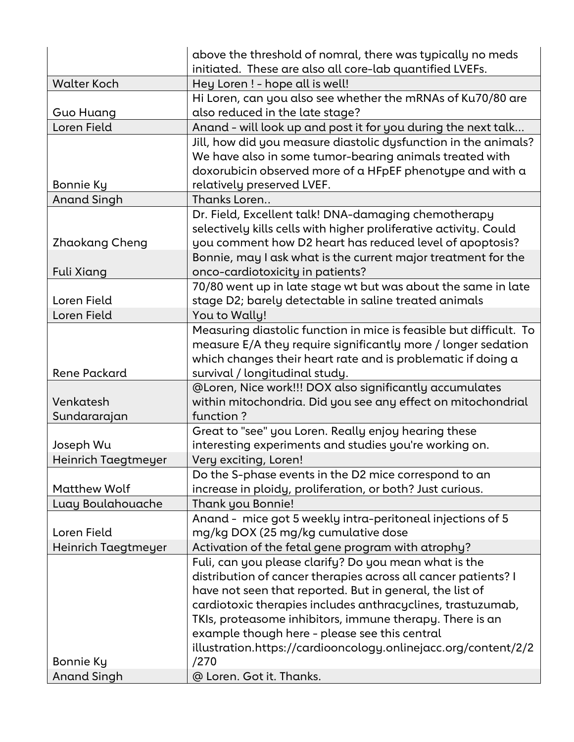|                     | above the threshold of nomral, there was typically no meds<br>initiated. These are also all core-lab quantified LVEFs. |
|---------------------|------------------------------------------------------------------------------------------------------------------------|
| <b>Walter Koch</b>  | Hey Loren ! - hope all is well!                                                                                        |
|                     | Hi Loren, can you also see whether the mRNAs of Ku70/80 are                                                            |
| <b>Guo Huang</b>    | also reduced in the late stage?                                                                                        |
| Loren Field         | Anand - will look up and post it for you during the next talk                                                          |
|                     | Jill, how did you measure diastolic dysfunction in the animals?                                                        |
|                     | We have also in some tumor-bearing animals treated with                                                                |
|                     | doxorubicin observed more of a HFpEF phenotype and with a                                                              |
| Bonnie Ky           | relatively preserved LVEF.                                                                                             |
| <b>Anand Singh</b>  | Thanks Loren                                                                                                           |
|                     | Dr. Field, Excellent talk! DNA-damaging chemotherapy                                                                   |
|                     | selectively kills cells with higher proliferative activity. Could                                                      |
| Zhaokang Cheng      | you comment how D2 heart has reduced level of apoptosis?                                                               |
|                     | Bonnie, may I ask what is the current major treatment for the                                                          |
| Fuli Xiang          | onco-cardiotoxicity in patients?                                                                                       |
|                     | 70/80 went up in late stage wt but was about the same in late                                                          |
| Loren Field         | stage D2; barely detectable in saline treated animals                                                                  |
| Loren Field         | You to Wally!                                                                                                          |
|                     | Measuring diastolic function in mice is feasible but difficult. To                                                     |
|                     | measure E/A they require significantly more / longer sedation                                                          |
|                     | which changes their heart rate and is problematic if doing a                                                           |
| Rene Packard        | survival / longitudinal study.                                                                                         |
|                     | @Loren, Nice work!!! DOX also significantly accumulates                                                                |
| Venkatesh           | within mitochondria. Did you see any effect on mitochondrial                                                           |
| Sundararajan        | function?                                                                                                              |
|                     | Great to "see" you Loren. Really enjoy hearing these                                                                   |
| Joseph Wu           | interesting experiments and studies you're working on.                                                                 |
| Heinrich Taegtmeyer | Very exciting, Loren!                                                                                                  |
|                     | Do the S-phase events in the D2 mice correspond to an                                                                  |
| <b>Matthew Wolf</b> | increase in ploidy, proliferation, or both? Just curious.                                                              |
| Luay Boulahouache   | Thank you Bonnie!                                                                                                      |
|                     | Anand - mice got 5 weekly intra-peritoneal injections of 5                                                             |
| Loren Field         | mg/kg DOX (25 mg/kg cumulative dose                                                                                    |
| Heinrich Taegtmeyer | Activation of the fetal gene program with atrophy?                                                                     |
|                     | Fuli, can you please clarify? Do you mean what is the                                                                  |
|                     | distribution of cancer therapies across all cancer patients? I                                                         |
|                     | have not seen that reported. But in general, the list of                                                               |
|                     | cardiotoxic therapies includes anthracyclines, trastuzumab,                                                            |
|                     | TKIs, proteasome inhibitors, immune therapy. There is an                                                               |
|                     | example though here - please see this central                                                                          |
|                     | illustration.https://cardiooncology.onlinejacc.org/content/2/2                                                         |
| Bonnie Ky           | /270                                                                                                                   |
| <b>Anand Singh</b>  | @ Loren. Got it. Thanks.                                                                                               |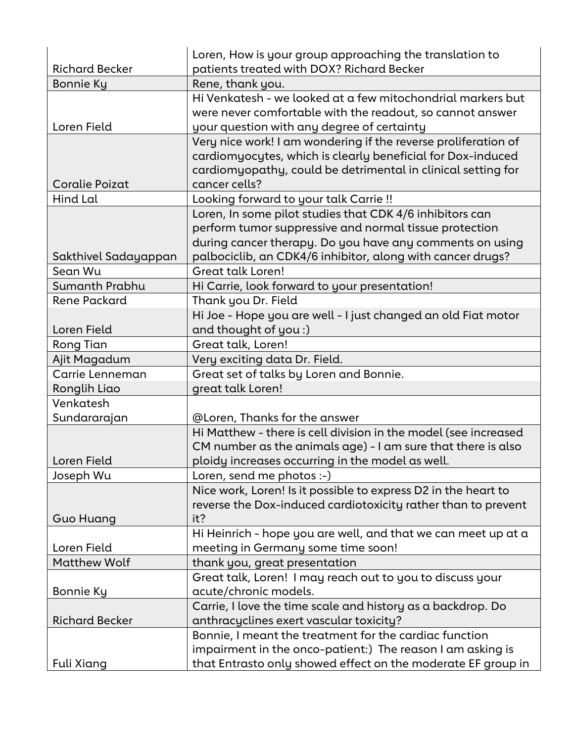|                                 | Loren, How is your group approaching the translation to                                                                       |
|---------------------------------|-------------------------------------------------------------------------------------------------------------------------------|
| <b>Richard Becker</b>           | patients treated with DOX? Richard Becker                                                                                     |
| Bonnie Ky                       | Rene, thank you.<br>Hi Venkatesh - we looked at a few mitochondrial markers but                                               |
|                                 | were never comfortable with the readout, so cannot answer                                                                     |
| Loren Field                     | your question with any degree of certainty                                                                                    |
|                                 |                                                                                                                               |
|                                 | Very nice work! I am wondering if the reverse proliferation of<br>cardiomyocytes, which is clearly beneficial for Dox-induced |
|                                 | cardiomyopathy, could be detrimental in clinical setting for                                                                  |
| Coralie Poizat                  | cancer cells?                                                                                                                 |
| <b>Hind Lal</b>                 |                                                                                                                               |
|                                 | Looking forward to your talk Carrie !!                                                                                        |
|                                 | Loren, In some pilot studies that CDK 4/6 inhibitors can                                                                      |
|                                 | perform tumor suppressive and normal tissue protection                                                                        |
|                                 | during cancer therapy. Do you have any comments on using                                                                      |
| Sakthivel Sadayappan<br>Sean Wu | palbociclib, an CDK4/6 inhibitor, along with cancer drugs?<br>Great talk Loren!                                               |
|                                 |                                                                                                                               |
| Sumanth Prabhu                  | Hi Carrie, look forward to your presentation!                                                                                 |
| <b>Rene Packard</b>             | Thank you Dr. Field                                                                                                           |
|                                 | Hi Joe - Hope you are well - I just changed an old Fiat motor                                                                 |
| Loren Field                     | and thought of you :)                                                                                                         |
| Rong Tian                       | Great talk, Loren!                                                                                                            |
| Ajit Magadum                    | Very exciting data Dr. Field.                                                                                                 |
| Carrie Lenneman                 | Great set of talks by Loren and Bonnie.                                                                                       |
| Ronglih Liao                    | great talk Loren!                                                                                                             |
| Venkatesh                       |                                                                                                                               |
| Sundararajan                    | @Loren, Thanks for the answer                                                                                                 |
|                                 | Hi Matthew - there is cell division in the model (see increased                                                               |
|                                 | CM number as the animals age) - I am sure that there is also                                                                  |
| Loren Field                     | ploidy increases occurring in the model as well.                                                                              |
| Joseph Wu                       | Loren, send me photos :-)                                                                                                     |
|                                 | Nice work, Loren! Is it possible to express D2 in the heart to                                                                |
|                                 | reverse the Dox-induced cardiotoxicity rather than to prevent                                                                 |
| <b>Guo Huang</b>                | it?                                                                                                                           |
|                                 | Hi Heinrich - hope you are well, and that we can meet up at a                                                                 |
| Loren Field                     | meeting in Germany some time soon!                                                                                            |
| <b>Matthew Wolf</b>             | thank you, great presentation                                                                                                 |
|                                 | Great talk, Loren! I may reach out to you to discuss your                                                                     |
| Bonnie Ky                       | acute/chronic models.                                                                                                         |
|                                 | Carrie, I love the time scale and history as a backdrop. Do                                                                   |
| <b>Richard Becker</b>           | anthracyclines exert vascular toxicity?                                                                                       |
|                                 | Bonnie, I meant the treatment for the cardiac function                                                                        |
|                                 | impairment in the onco-patient:) The reason I am asking is                                                                    |
| <b>Fuli Xiang</b>               | that Entrasto only showed effect on the moderate EF group in                                                                  |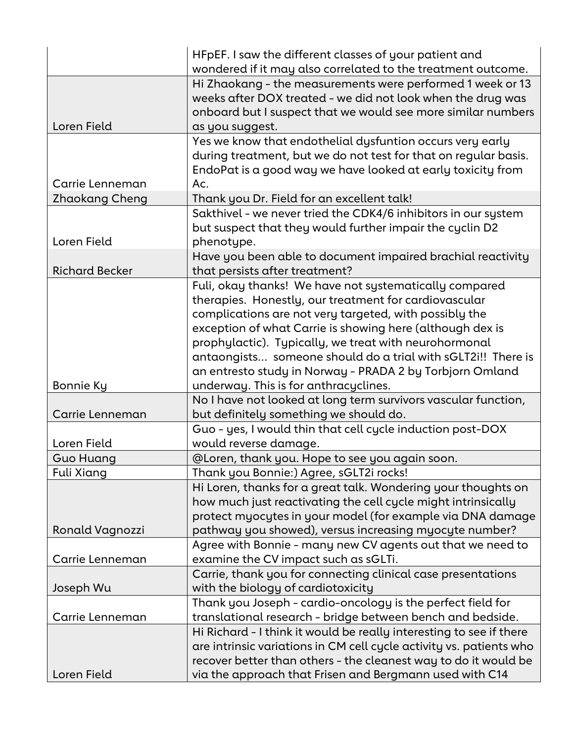|                       | HFpEF. I saw the different classes of your patient and              |
|-----------------------|---------------------------------------------------------------------|
|                       | wondered if it may also correlated to the treatment outcome.        |
|                       | Hi Zhaokang - the measurements were performed 1 week or 13          |
|                       | weeks after DOX treated - we did not look when the drug was         |
|                       | onboard but I suspect that we would see more similar numbers        |
| Loren Field           | as you suggest.                                                     |
|                       | Yes we know that endothelial dysfuntion occurs very early           |
|                       | during treatment, but we do not test for that on regular basis.     |
|                       | EndoPat is a good way we have looked at early toxicity from         |
| Carrie Lenneman       | Ac.                                                                 |
| Zhaokang Cheng        | Thank you Dr. Field for an excellent talk!                          |
|                       | Sakthivel - we never tried the CDK4/6 inhibitors in our system      |
|                       | but suspect that they would further impair the cyclin D2            |
| Loren Field           | phenotype.                                                          |
|                       | Have you been able to document impaired brachial reactivity         |
| <b>Richard Becker</b> | that persists after treatment?                                      |
|                       | Fuli, okay thanks! We have not systematically compared              |
|                       | therapies. Honestly, our treatment for cardiovascular               |
|                       | complications are not very targeted, with possibly the              |
|                       | exception of what Carrie is showing here (although dex is           |
|                       | prophylactic). Typically, we treat with neurohormonal               |
|                       | antaongists someone should do a trial with sGLT2i!! There is        |
|                       | an entresto study in Norway - PRADA 2 by Torbjorn Omland            |
| Bonnie Ky             | underway. This is for anthracyclines.                               |
|                       | No I have not looked at long term survivors vascular function,      |
| Carrie Lenneman       | but definitely something we should do.                              |
|                       | Guo - yes, I would thin that cell cycle induction post-DOX          |
| Loren Field           | would reverse damage.                                               |
| <b>Guo Huang</b>      | @Loren, thank you. Hope to see you again soon.                      |
| Fuli Xiang            | Thank you Bonnie:) Agree, sGLT2i rocks!                             |
|                       | Hi Loren, thanks for a great talk. Wondering your thoughts on       |
|                       | how much just reactivating the cell cycle might intrinsically       |
|                       | protect myocytes in your model (for example via DNA damage          |
| Ronald Vagnozzi       | pathway you showed), versus increasing myocyte number?              |
|                       | Agree with Bonnie - many new CV agents out that we need to          |
| Carrie Lenneman       | examine the CV impact such as sGLTi.                                |
|                       | Carrie, thank you for connecting clinical case presentations        |
| Joseph Wu             | with the biology of cardiotoxicity                                  |
|                       | Thank you Joseph - cardio-oncology is the perfect field for         |
| Carrie Lenneman       | translational research - bridge between bench and bedside.          |
|                       | Hi Richard - I think it would be really interesting to see if there |
|                       | are intrinsic variations in CM cell cycle activity vs. patients who |
|                       | recover better than others - the cleanest way to do it would be     |
| Loren Field           | via the approach that Frisen and Bergmann used with C14             |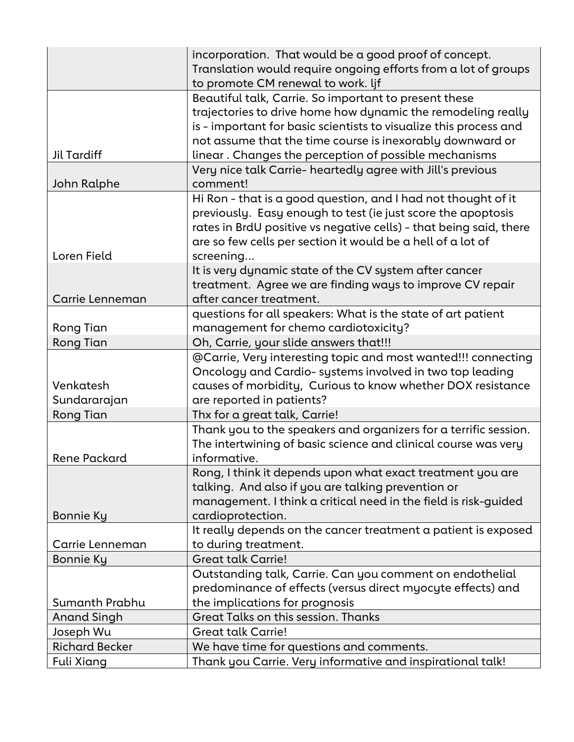|                       | incorporation. That would be a good proof of concept.              |
|-----------------------|--------------------------------------------------------------------|
|                       | Translation would require ongoing efforts from a lot of groups     |
|                       | to promote CM renewal to work. lif                                 |
|                       | Beautiful talk, Carrie. So important to present these              |
|                       | trajectories to drive home how dynamic the remodeling really       |
|                       | is - important for basic scientists to visualize this process and  |
|                       | not assume that the time course is inexorably downward or          |
| Jil Tardiff           | linear. Changes the perception of possible mechanisms              |
|                       | Very nice talk Carrie- heartedly agree with Jill's previous        |
| John Ralphe           | comment!                                                           |
|                       | Hi Ron - that is a good question, and I had not thought of it      |
|                       | previously. Easy enough to test (ie just score the apoptosis       |
|                       | rates in BrdU positive vs negative cells) - that being said, there |
|                       | are so few cells per section it would be a hell of a lot of        |
| Loren Field           | screening                                                          |
|                       | It is very dynamic state of the CV system after cancer             |
|                       | treatment. Agree we are finding ways to improve CV repair          |
| Carrie Lenneman       | after cancer treatment.                                            |
|                       | questions for all speakers: What is the state of art patient       |
| Rong Tian             | management for chemo cardiotoxicity?                               |
| <b>Rong Tian</b>      | Oh, Carrie, your slide answers that!!!                             |
|                       | @Carrie, Very interesting topic and most wanted!!! connecting      |
|                       | Oncology and Cardio- systems involved in two top leading           |
| Venkatesh             | causes of morbidity, Curious to know whether DOX resistance        |
| Sundararajan          | are reported in patients?                                          |
| <b>Rong Tian</b>      | Thx for a great talk, Carrie!                                      |
|                       | Thank you to the speakers and organizers for a terrific session.   |
|                       | The intertwining of basic science and clinical course was very     |
| Rene Packard          | informative.                                                       |
|                       | Rong, I think it depends upon what exact treatment you are         |
|                       | talking. And also if you are talking prevention or                 |
|                       | management. I think a critical need in the field is risk-guided    |
| <b>Bonnie Ky</b>      | cardioprotection.                                                  |
|                       | It really depends on the cancer treatment a patient is exposed     |
| Carrie Lenneman       | to during treatment.                                               |
| <b>Bonnie Ky</b>      | <b>Great talk Carrie!</b>                                          |
|                       | Outstanding talk, Carrie. Can you comment on endothelial           |
|                       | predominance of effects (versus direct myocyte effects) and        |
| Sumanth Prabhu        | the implications for prognosis                                     |
| <b>Anand Singh</b>    | Great Talks on this session. Thanks                                |
| Joseph Wu             | <b>Great talk Carrie!</b>                                          |
| <b>Richard Becker</b> | We have time for questions and comments.                           |
| <b>Fuli Xiang</b>     | Thank you Carrie. Very informative and inspirational talk!         |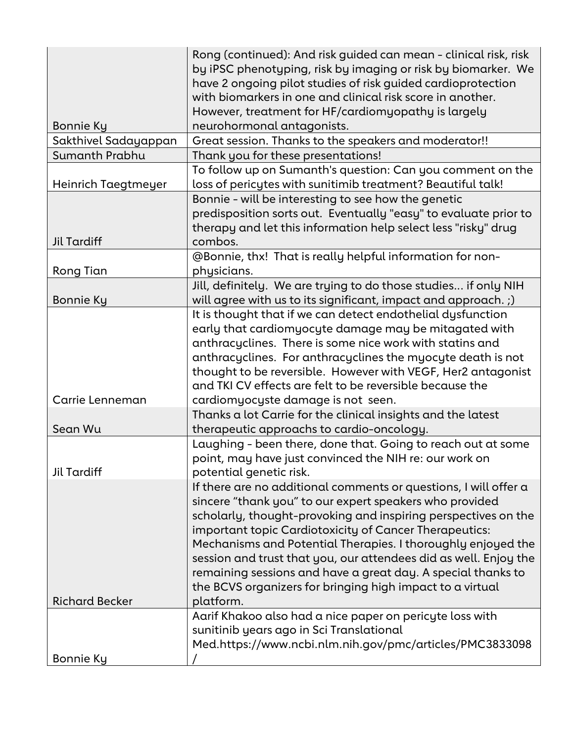|                       | Rong (continued): And risk guided can mean - clinical risk, risk |
|-----------------------|------------------------------------------------------------------|
|                       | by iPSC phenotyping, risk by imaging or risk by biomarker. We    |
|                       | have 2 ongoing pilot studies of risk guided cardioprotection     |
|                       | with biomarkers in one and clinical risk score in another.       |
|                       | However, treatment for HF/cardiomyopathy is largely              |
| Bonnie Ky             | neurohormonal antagonists.                                       |
| Sakthivel Sadayappan  | Great session. Thanks to the speakers and moderator!!            |
| Sumanth Prabhu        | Thank you for these presentations!                               |
|                       | To follow up on Sumanth's question: Can you comment on the       |
| Heinrich Taegtmeyer   | loss of pericytes with sunitimib treatment? Beautiful talk!      |
|                       | Bonnie - will be interesting to see how the genetic              |
|                       | predisposition sorts out. Eventually "easy" to evaluate prior to |
|                       | therapy and let this information help select less "risky" drug   |
| <b>Jil Tardiff</b>    | combos.                                                          |
|                       | @Bonnie, thx! That is really helpful information for non-        |
| Rong Tian             | physicians.                                                      |
|                       | Jill, definitely. We are trying to do those studies if only NIH  |
| Bonnie Ky             | will agree with us to its significant, impact and approach. ;)   |
|                       | It is thought that if we can detect endothelial dysfunction      |
|                       | early that cardiomyocyte damage may be mitagated with            |
|                       | anthracyclines. There is some nice work with statins and         |
|                       | anthracyclines. For anthracyclines the myocyte death is not      |
|                       | thought to be reversible. However with VEGF, Her2 antagonist     |
|                       | and TKI CV effects are felt to be reversible because the         |
| Carrie Lenneman       | cardiomyocyste damage is not seen.                               |
|                       | Thanks a lot Carrie for the clinical insights and the latest     |
| Sean Wu               | therapeutic approachs to cardio-oncology.                        |
|                       | Laughing - been there, done that. Going to reach out at some     |
|                       | point, may have just convinced the NIH re: our work on           |
| Jil Tardiff           | potential genetic risk.                                          |
|                       | If there are no additional comments or questions, I will offer a |
|                       | sincere "thank you" to our expert speakers who provided          |
|                       | scholarly, thought-provoking and inspiring perspectives on the   |
|                       | important topic Cardiotoxicity of Cancer Therapeutics:           |
|                       | Mechanisms and Potential Therapies. I thoroughly enjoyed the     |
|                       | session and trust that you, our attendees did as well. Enjoy the |
|                       | remaining sessions and have a great day. A special thanks to     |
|                       | the BCVS organizers for bringing high impact to a virtual        |
| <b>Richard Becker</b> | platform.                                                        |
|                       | Aarif Khakoo also had a nice paper on pericyte loss with         |
|                       | sunitinib years ago in Sci Translational                         |
|                       | Med.https://www.ncbi.nlm.nih.gov/pmc/articles/PMC3833098         |
| Bonnie Ky             |                                                                  |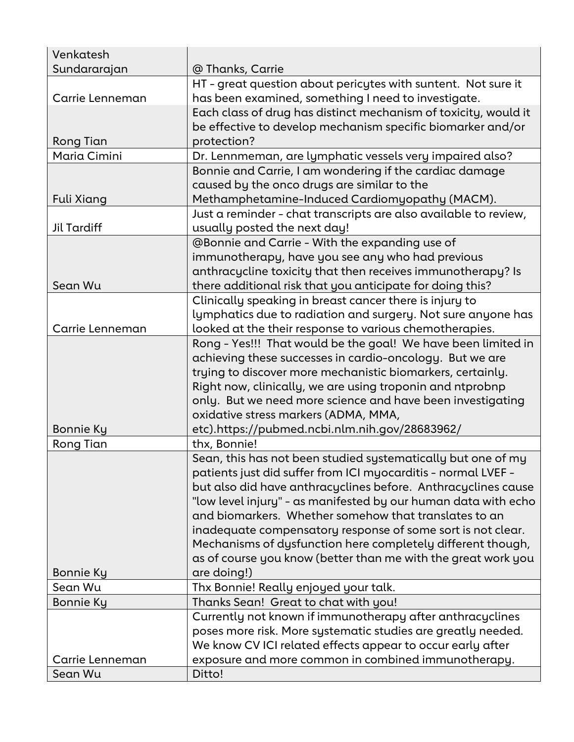| Venkatesh        |                                                                  |
|------------------|------------------------------------------------------------------|
| Sundararajan     | @ Thanks, Carrie                                                 |
|                  | HT - great question about pericytes with suntent. Not sure it    |
| Carrie Lenneman  | has been examined, something I need to investigate.              |
|                  | Each class of drug has distinct mechanism of toxicity, would it  |
|                  | be effective to develop mechanism specific biomarker and/or      |
| Rong Tian        | protection?                                                      |
| Maria Cimini     | Dr. Lennmeman, are lymphatic vessels very impaired also?         |
|                  | Bonnie and Carrie, I am wondering if the cardiac damage          |
|                  | caused by the onco drugs are similar to the                      |
| Fuli Xiang       | Methamphetamine-Induced Cardiomyopathy (MACM).                   |
|                  | Just a reminder - chat transcripts are also available to review, |
| Jil Tardiff      | usually posted the next day!                                     |
|                  | <b>@Bonnie and Carrie - With the expanding use of</b>            |
|                  | immunotherapy, have you see any who had previous                 |
|                  | anthracycline toxicity that then receives immunotherapy? Is      |
| Sean Wu          | there additional risk that you anticipate for doing this?        |
|                  | Clinically speaking in breast cancer there is injury to          |
|                  | lymphatics due to radiation and surgery. Not sure anyone has     |
| Carrie Lenneman  | looked at the their response to various chemotherapies.          |
|                  | Rong - Yes!!! That would be the goal! We have been limited in    |
|                  | achieving these successes in cardio-oncology. But we are         |
|                  | trying to discover more mechanistic biomarkers, certainly.       |
|                  | Right now, clinically, we are using troponin and ntprobnp        |
|                  | only. But we need more science and have been investigating       |
|                  | oxidative stress markers (ADMA, MMA,                             |
| Bonnie Ky        | etc).https://pubmed.ncbi.nlm.nih.gov/28683962/                   |
| Rong Tian        | thx, Bonnie!                                                     |
|                  | Sean, this has not been studied systematically but one of my     |
|                  | patients just did suffer from ICI myocarditis - normal LVEF -    |
|                  | but also did have anthracyclines before. Anthracyclines cause    |
|                  | "low level injury" - as manifested by our human data with echo   |
|                  | and biomarkers. Whether somehow that translates to an            |
|                  | inadequate compensatory response of some sort is not clear.      |
|                  | Mechanisms of dysfunction here completely different though,      |
|                  | as of course you know (better than me with the great work you    |
| Bonnie Ky        | are doing!)                                                      |
| Sean Wu          | Thx Bonnie! Really enjoyed your talk.                            |
| <b>Bonnie Ky</b> | Thanks Sean! Great to chat with you!                             |
|                  | Currently not known if immunotherapy after anthracyclines        |
|                  | poses more risk. More systematic studies are greatly needed.     |
|                  | We know CV ICI related effects appear to occur early after       |
| Carrie Lenneman  | exposure and more common in combined immunotherapy.              |
| Sean Wu          | Ditto!                                                           |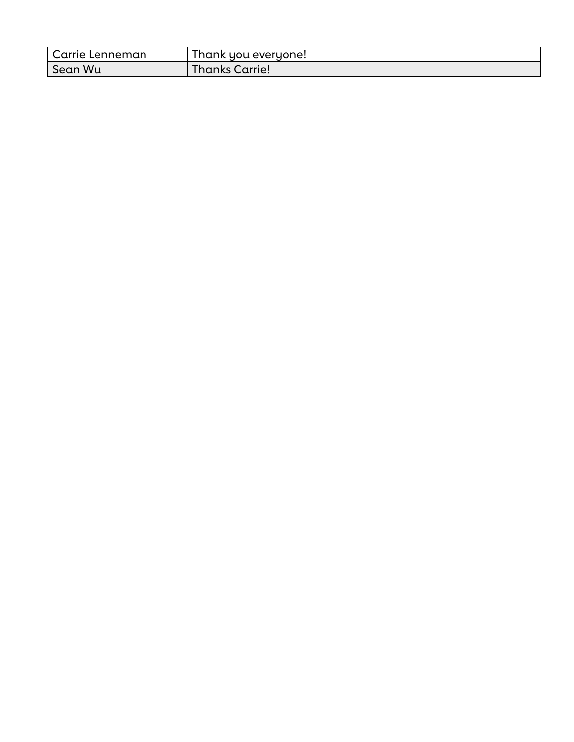| Carrie Lenneman | Thank you everyone! |
|-----------------|---------------------|
| Sean Wu         | Thanks Carrie!      |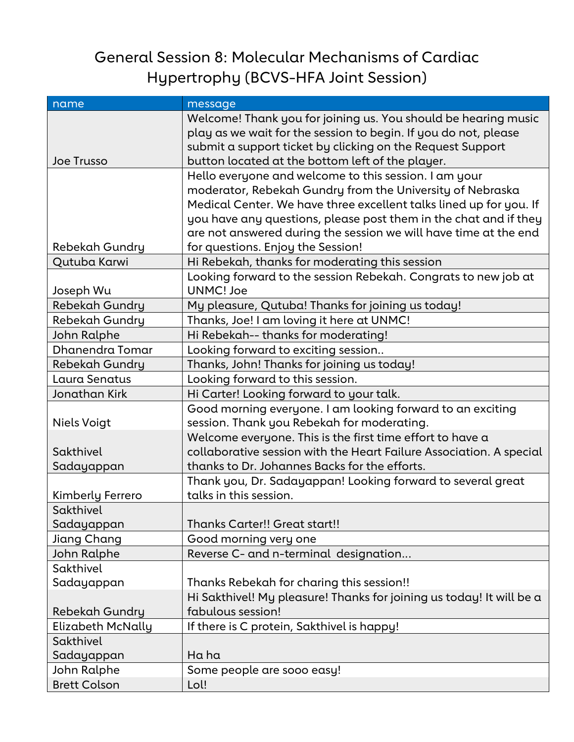## General Session 8: Molecular Mechanisms of Cardiac Hypertrophy (BCVS-HFA Joint Session)

| name                     | message                                                              |
|--------------------------|----------------------------------------------------------------------|
|                          | Welcome! Thank you for joining us. You should be hearing music       |
|                          | play as we wait for the session to begin. If you do not, please      |
|                          | submit a support ticket by clicking on the Request Support           |
| <b>Joe Trusso</b>        | button located at the bottom left of the player.                     |
|                          | Hello everyone and welcome to this session. I am your                |
|                          | moderator, Rebekah Gundry from the University of Nebraska            |
|                          | Medical Center. We have three excellent talks lined up for you. If   |
|                          | you have any questions, please post them in the chat and if they     |
|                          | are not answered during the session we will have time at the end     |
| Rebekah Gundry           | for questions. Enjoy the Session!                                    |
| Qutuba Karwi             | Hi Rebekah, thanks for moderating this session                       |
|                          | Looking forward to the session Rebekah. Congrats to new job at       |
| Joseph Wu                | <b>UNMC! Joe</b>                                                     |
| Rebekah Gundry           | My pleasure, Qutuba! Thanks for joining us today!                    |
| Rebekah Gundry           | Thanks, Joe! I am loving it here at UNMC!                            |
| John Ralphe              | Hi Rebekah-- thanks for moderating!                                  |
| Dhanendra Tomar          | Looking forward to exciting session                                  |
| <b>Rebekah Gundry</b>    | Thanks, John! Thanks for joining us today!                           |
| Laura Senatus            | Looking forward to this session.                                     |
| Jonathan Kirk            | Hi Carter! Looking forward to your talk.                             |
|                          | Good morning everyone. I am looking forward to an exciting           |
| <b>Niels Voigt</b>       | session. Thank you Rebekah for moderating.                           |
|                          | Welcome everyone. This is the first time effort to have a            |
| Sakthivel                | collaborative session with the Heart Failure Association. A special  |
| Sadayappan               | thanks to Dr. Johannes Backs for the efforts.                        |
|                          | Thank you, Dr. Sadayappan! Looking forward to several great          |
| Kimberly Ferrero         | talks in this session.                                               |
| Sakthivel                |                                                                      |
| Sadayappan               | Thanks Carter!! Great start!!                                        |
| Jiang Chang              | Good morning very one                                                |
| John Ralphe              | Reverse C- and n-terminal designation                                |
| Sakthivel                |                                                                      |
| Sadayappan               | Thanks Rebekah for charing this session!!                            |
|                          | Hi Sakthivel! My pleasure! Thanks for joining us today! It will be a |
| Rebekah Gundry           | fabulous session!                                                    |
| <b>Elizabeth McNally</b> | If there is C protein, Sakthivel is happy!                           |
| Sakthivel                |                                                                      |
| Sadayappan               | Ha ha                                                                |
| John Ralphe              | Some people are sooo easy!                                           |
| <b>Brett Colson</b>      | Lol!                                                                 |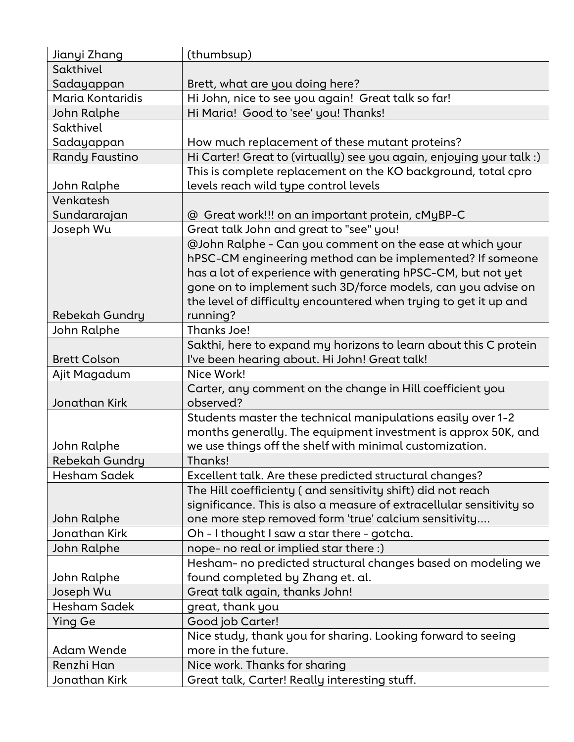| Jianyi Zhang          | (thumbsup)                                                           |
|-----------------------|----------------------------------------------------------------------|
| Sakthivel             |                                                                      |
| Sadayappan            | Brett, what are you doing here?                                      |
| Maria Kontaridis      | Hi John, nice to see you again! Great talk so far!                   |
| John Ralphe           | Hi Maria! Good to 'see' you! Thanks!                                 |
| Sakthivel             |                                                                      |
| Sadayappan            | How much replacement of these mutant proteins?                       |
| <b>Randy Faustino</b> | Hi Carter! Great to (virtually) see you again, enjoying your talk :) |
|                       | This is complete replacement on the KO background, total cpro        |
| John Ralphe           | levels reach wild type control levels                                |
| Venkatesh             |                                                                      |
| Sundararajan          | @ Great work!!! on an important protein, cMyBP-C                     |
| Joseph Wu             | Great talk John and great to "see" you!                              |
|                       | @John Ralphe - Can you comment on the ease at which your             |
|                       | hPSC-CM engineering method can be implemented? If someone            |
|                       | has a lot of experience with generating hPSC-CM, but not yet         |
|                       | gone on to implement such 3D/force models, can you advise on         |
|                       | the level of difficulty encountered when trying to get it up and     |
| <b>Rebekah Gundry</b> | running?                                                             |
| <b>John Ralphe</b>    | Thanks Joe!                                                          |
|                       | Sakthi, here to expand my horizons to learn about this C protein     |
| <b>Brett Colson</b>   | I've been hearing about. Hi John! Great talk!                        |
| Ajit Magadum          | Nice Work!                                                           |
|                       | Carter, any comment on the change in Hill coefficient you            |
| Jonathan Kirk         | observed?                                                            |
|                       | Students master the technical manipulations easily over 1-2          |
|                       | months generally. The equipment investment is approx 50K, and        |
| John Ralphe           | we use things off the shelf with minimal customization.              |
| <b>Rebekah Gundry</b> | Thanks!                                                              |
| <b>Hesham Sadek</b>   | Excellent talk. Are these predicted structural changes?              |
|                       | The Hill coefficienty (and sensitivity shift) did not reach          |
|                       | significance. This is also a measure of extracellular sensitivity so |
| John Ralphe           | one more step removed form 'true' calcium sensitivity                |
| Jonathan Kirk         | Oh - I thought I saw a star there - gotcha.                          |
| John Ralphe           | nope- no real or implied star there :)                               |
|                       | Hesham- no predicted structural changes based on modeling we         |
| John Ralphe           | found completed by Zhang et. al.                                     |
| Joseph Wu             | Great talk again, thanks John!                                       |
| Hesham Sadek          | great, thank you                                                     |
| <b>Ying Ge</b>        | Good job Carter!                                                     |
|                       | Nice study, thank you for sharing. Looking forward to seeing         |
| <b>Adam Wende</b>     | more in the future.                                                  |
| Renzhi Han            | Nice work. Thanks for sharing                                        |
| Jonathan Kirk         | Great talk, Carter! Really interesting stuff.                        |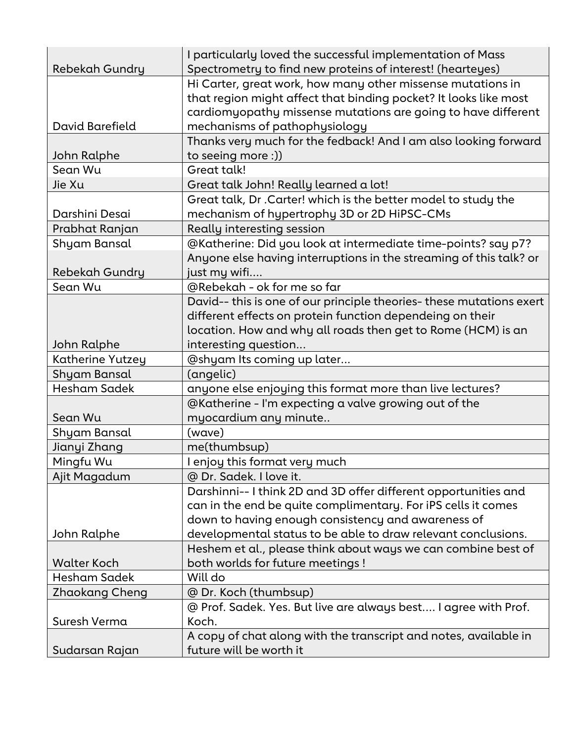| Rebekah Gundry        | I particularly loved the successful implementation of Mass<br>Spectrometry to find new proteins of interest! (hearteyes) |
|-----------------------|--------------------------------------------------------------------------------------------------------------------------|
|                       | Hi Carter, great work, how many other missense mutations in                                                              |
|                       | that region might affect that binding pocket? It looks like most                                                         |
|                       | cardiomyopathy missense mutations are going to have different                                                            |
| David Barefield       | mechanisms of pathophysiology                                                                                            |
|                       | Thanks very much for the fedback! And I am also looking forward                                                          |
| John Ralphe           | to seeing more :))                                                                                                       |
| Sean Wu               | Great talk!                                                                                                              |
| Jie Xu                | Great talk John! Really learned a lot!                                                                                   |
|                       | Great talk, Dr . Carter! which is the better model to study the                                                          |
| Darshini Desai        | mechanism of hypertrophy 3D or 2D HiPSC-CMs                                                                              |
| Prabhat Ranjan        | Really interesting session                                                                                               |
| Shyam Bansal          | @Katherine: Did you look at intermediate time-points? say p7?                                                            |
|                       | Anyone else having interruptions in the streaming of this talk? or                                                       |
| Rebekah Gundry        | just my wifi                                                                                                             |
| Sean Wu               | @Rebekah - ok for me so far                                                                                              |
|                       | David-- this is one of our principle theories- these mutations exert                                                     |
|                       | different effects on protein function dependeing on their                                                                |
|                       | location. How and why all roads then get to Rome (HCM) is an                                                             |
| John Ralphe           | interesting question                                                                                                     |
| Katherine Yutzey      | @shyam Its coming up later                                                                                               |
| Shyam Bansal          | (angelic)                                                                                                                |
| Hesham Sadek          | anyone else enjoying this format more than live lectures?                                                                |
|                       | @Katherine - I'm expecting a valve growing out of the                                                                    |
| Sean Wu               | myocardium any minute                                                                                                    |
| Shyam Bansal          | (wave)                                                                                                                   |
| Jianyi Zhang          | me(thumbsup)                                                                                                             |
| Mingfu Wu             | I enjoy this format very much                                                                                            |
| Ajit Magadum          | @ Dr. Sadek. I love it.                                                                                                  |
|                       | Darshinni-- I think 2D and 3D offer different opportunities and                                                          |
|                       | can in the end be quite complimentary. For iPS cells it comes                                                            |
|                       | down to having enough consistency and awareness of                                                                       |
| John Ralphe           | developmental status to be able to draw relevant conclusions.                                                            |
|                       | Heshem et al., please think about ways we can combine best of                                                            |
| <b>Walter Koch</b>    | both worlds for future meetings !                                                                                        |
| Hesham Sadek          | Will do                                                                                                                  |
| <b>Zhaokang Cheng</b> | @ Dr. Koch (thumbsup)                                                                                                    |
|                       | @ Prof. Sadek. Yes. But live are always best I agree with Prof.                                                          |
| Suresh Verma          | Koch.                                                                                                                    |
|                       | A copy of chat along with the transcript and notes, available in                                                         |
| Sudarsan Rajan        | future will be worth it                                                                                                  |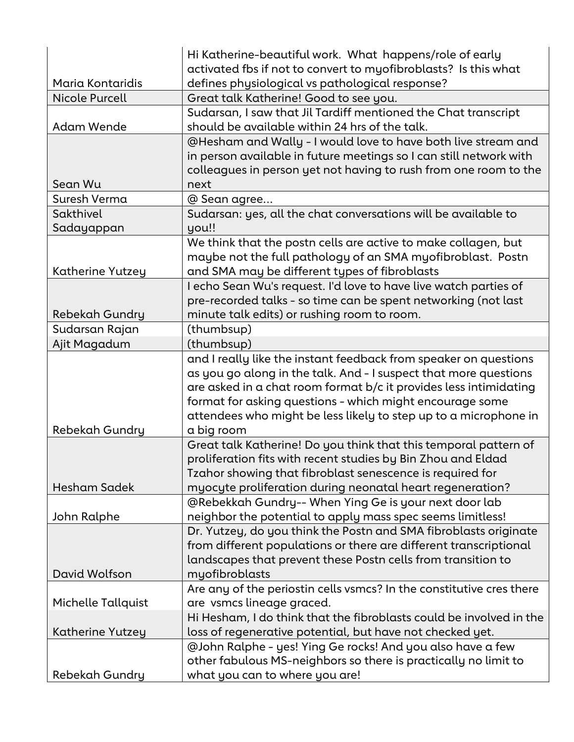|                       | Hi Katherine-beautiful work. What happens/role of early              |
|-----------------------|----------------------------------------------------------------------|
|                       | activated fbs if not to convert to myofibroblasts? Is this what      |
| Maria Kontaridis      | defines physiological vs pathological response?                      |
| <b>Nicole Purcell</b> | Great talk Katherine! Good to see you.                               |
|                       | Sudarsan, I saw that Jil Tardiff mentioned the Chat transcript       |
| Adam Wende            | should be available within 24 hrs of the talk.                       |
|                       | @Hesham and Wally - I would love to have both live stream and        |
|                       | in person available in future meetings so I can still network with   |
|                       | colleagues in person yet not having to rush from one room to the     |
| Sean Wu               | next                                                                 |
| Suresh Verma          | @ Sean agree                                                         |
| Sakthivel             | Sudarsan: yes, all the chat conversations will be available to       |
| Sadayappan            | you!!                                                                |
|                       | We think that the postn cells are active to make collagen, but       |
|                       | maybe not the full pathology of an SMA myofibroblast. Postn          |
| Katherine Yutzey      | and SMA may be different types of fibroblasts                        |
|                       | I echo Sean Wu's request. I'd love to have live watch parties of     |
|                       | pre-recorded talks - so time can be spent networking (not last       |
| Rebekah Gundry        | minute talk edits) or rushing room to room.                          |
| Sudarsan Rajan        | (thumbsup)                                                           |
| Ajit Magadum          | (thumbsup)                                                           |
|                       | and I really like the instant feedback from speaker on questions     |
|                       | as you go along in the talk. And - I suspect that more questions     |
|                       | are asked in a chat room format b/c it provides less intimidating    |
|                       | format for asking questions - which might encourage some             |
|                       | attendees who might be less likely to step up to a microphone in     |
| Rebekah Gundry        | a big room                                                           |
|                       | Great talk Katherine! Do you think that this temporal pattern of     |
|                       | proliferation fits with recent studies by Bin Zhou and Eldad         |
|                       | Tzahor showing that fibroblast senescence is required for            |
| Hesham Sadek          | myocyte proliferation during neonatal heart regeneration?            |
|                       | @Rebekkah Gundry-- When Ying Ge is your next door lab                |
| John Ralphe           | neighbor the potential to apply mass spec seems limitless!           |
|                       | Dr. Yutzey, do you think the Postn and SMA fibroblasts originate     |
|                       | from different populations or there are different transcriptional    |
|                       | landscapes that prevent these Postn cells from transition to         |
| David Wolfson         | myofibroblasts                                                       |
|                       | Are any of the periostin cells vsmcs? In the constitutive cres there |
| Michelle Tallquist    | are vsmcs lineage graced.                                            |
|                       | Hi Hesham, I do think that the fibroblasts could be involved in the  |
| Katherine Yutzey      | loss of regenerative potential, but have not checked yet.            |
|                       | @John Ralphe - yes! Ying Ge rocks! And you also have a few           |
|                       | other fabulous MS-neighbors so there is practically no limit to      |
| Rebekah Gundry        | what you can to where you are!                                       |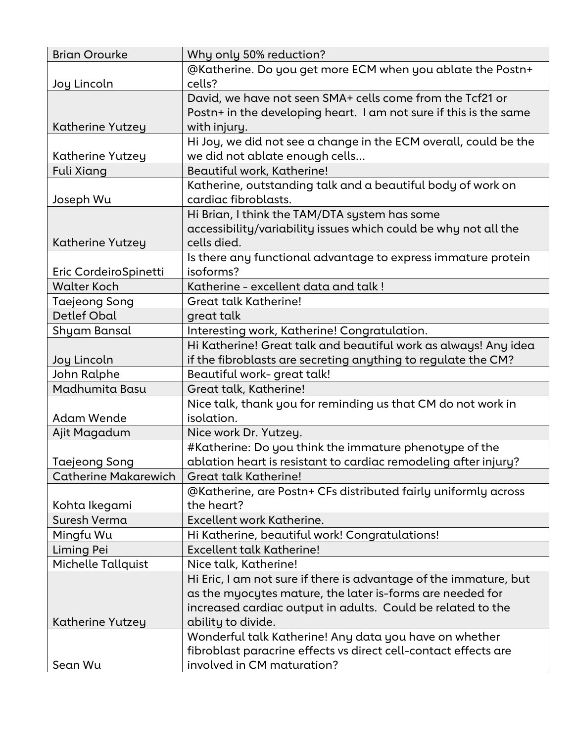| <b>Brian Orourke</b>        | Why only 50% reduction?                                           |
|-----------------------------|-------------------------------------------------------------------|
|                             | @Katherine. Do you get more ECM when you ablate the Postn+        |
| Joy Lincoln                 | cells?                                                            |
|                             | David, we have not seen SMA+ cells come from the Tcf21 or         |
|                             | Postn+ in the developing heart. I am not sure if this is the same |
| Katherine Yutzey            | with injury.                                                      |
|                             | Hi Joy, we did not see a change in the ECM overall, could be the  |
| Katherine Yutzey            | we did not ablate enough cells                                    |
| Fuli Xiang                  | Beautiful work, Katherine!                                        |
|                             | Katherine, outstanding talk and a beautiful body of work on       |
| Joseph Wu                   | cardiac fibroblasts.                                              |
|                             | Hi Brian, I think the TAM/DTA system has some                     |
|                             | accessibility/variability issues which could be why not all the   |
| Katherine Yutzey            | cells died.                                                       |
|                             | Is there any functional advantage to express immature protein     |
| Eric CordeiroSpinetti       | isoforms?                                                         |
| <b>Walter Koch</b>          | Katherine - excellent data and talk !                             |
| Taejeong Song               | <b>Great talk Katherine!</b>                                      |
| <b>Detlef Obal</b>          | great talk                                                        |
| Shyam Bansal                | Interesting work, Katherine! Congratulation.                      |
|                             | Hi Katherine! Great talk and beautiful work as always! Any idea   |
| Joy Lincoln                 | if the fibroblasts are secreting anything to regulate the CM?     |
| John Ralphe                 | Beautiful work-great talk!                                        |
| Madhumita Basu              | Great talk, Katherine!                                            |
|                             | Nice talk, thank you for reminding us that CM do not work in      |
| <b>Adam Wende</b>           | isolation.                                                        |
| Ajit Magadum                | Nice work Dr. Yutzey.                                             |
|                             | #Katherine: Do you think the immature phenotype of the            |
| Taejeong Song               | ablation heart is resistant to cardiac remodeling after injury?   |
| <b>Catherine Makarewich</b> | <b>Great talk Katherine!</b>                                      |
|                             | @Katherine, are Postn+ CFs distributed fairly uniformly across    |
| Kohta Ikegami               | the heart?                                                        |
| Suresh Verma                | Excellent work Katherine.                                         |
| Mingfu Wu                   | Hi Katherine, beautiful work! Congratulations!                    |
| Liming Pei                  | <b>Excellent talk Katherine!</b>                                  |
| <b>Michelle Tallquist</b>   | Nice talk, Katherine!                                             |
|                             | Hi Eric, I am not sure if there is advantage of the immature, but |
|                             | as the myocytes mature, the later is-forms are needed for         |
|                             | increased cardiac output in adults. Could be related to the       |
| Katherine Yutzey            | ability to divide.                                                |
|                             | Wonderful talk Katherine! Any data you have on whether            |
|                             | fibroblast paracrine effects vs direct cell-contact effects are   |
| Sean Wu                     | involved in CM maturation?                                        |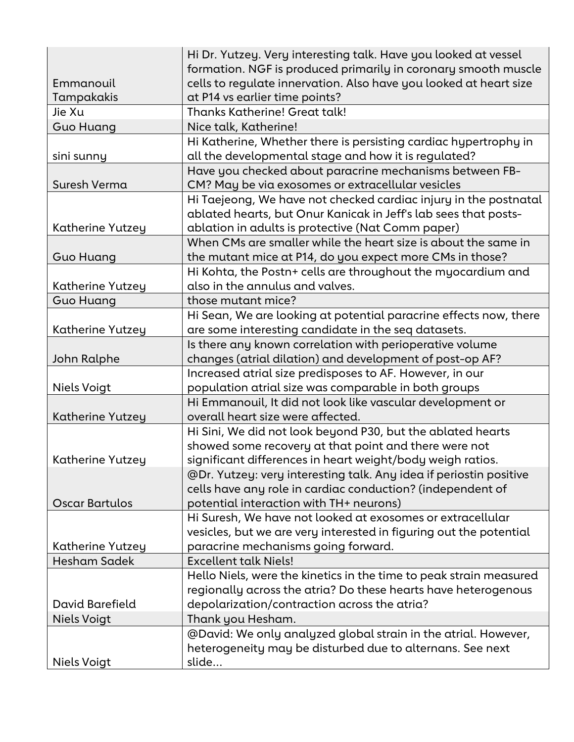|                         | Hi Dr. Yutzey. Very interesting talk. Have you looked at vessel    |
|-------------------------|--------------------------------------------------------------------|
|                         | formation. NGF is produced primarily in coronary smooth muscle     |
| Emmanouil               | cells to regulate innervation. Also have you looked at heart size  |
| Tampakakis              | at P14 vs earlier time points?                                     |
| Jie Xu                  | <b>Thanks Katherine! Great talk!</b>                               |
| <b>Guo Huang</b>        | Nice talk, Katherine!                                              |
|                         | Hi Katherine, Whether there is persisting cardiac hypertrophy in   |
| sini sunny              | all the developmental stage and how it is regulated?               |
|                         | Have you checked about paracrine mechanisms between FB-            |
| Suresh Verma            | CM? May be via exosomes or extracellular vesicles                  |
|                         | Hi Taejeong, We have not checked cardiac injury in the postnatal   |
|                         | ablated hearts, but Onur Kanicak in Jeff's lab sees that posts-    |
| Katherine Yutzey        | ablation in adults is protective (Nat Comm paper)                  |
|                         | When CMs are smaller while the heart size is about the same in     |
| <b>Guo Huang</b>        | the mutant mice at P14, do you expect more CMs in those?           |
|                         | Hi Kohta, the Postn+ cells are throughout the myocardium and       |
| Katherine Yutzey        | also in the annulus and valves.                                    |
| <b>Guo Huang</b>        | those mutant mice?                                                 |
|                         | Hi Sean, We are looking at potential paracrine effects now, there  |
| Katherine Yutzey        | are some interesting candidate in the seq datasets.                |
|                         | Is there any known correlation with perioperative volume           |
| John Ralphe             | changes (atrial dilation) and development of post-op AF?           |
|                         | Increased atrial size predisposes to AF. However, in our           |
| Niels Voigt             | population atrial size was comparable in both groups               |
|                         | Hi Emmanouil, It did not look like vascular development or         |
| Katherine Yutzey        | overall heart size were affected.                                  |
|                         | Hi Sini, We did not look beyond P30, but the ablated hearts        |
|                         | showed some recovery at that point and there were not              |
| <b>Katherine Yutzey</b> | significant differences in heart weight/body weigh ratios.         |
|                         | @Dr. Yutzey: very interesting talk. Any idea if periostin positive |
|                         | cells have any role in cardiac conduction? (independent of         |
| Oscar Bartulos          | potential interaction with TH+ neurons)                            |
|                         | Hi Suresh, We have not looked at exosomes or extracellular         |
|                         | vesicles, but we are very interested in figuring out the potential |
| Katherine Yutzey        | paracrine mechanisms going forward.                                |
| Hesham Sadek            | <b>Excellent talk Niels!</b>                                       |
|                         | Hello Niels, were the kinetics in the time to peak strain measured |
|                         | regionally across the atria? Do these hearts have heterogenous     |
| David Barefield         | depolarization/contraction across the atria?                       |
| Niels Voigt             | Thank you Hesham.                                                  |
|                         | @David: We only analyzed global strain in the atrial. However,     |
|                         | heterogeneity may be disturbed due to alternans. See next          |
| Niels Voigt             | slide                                                              |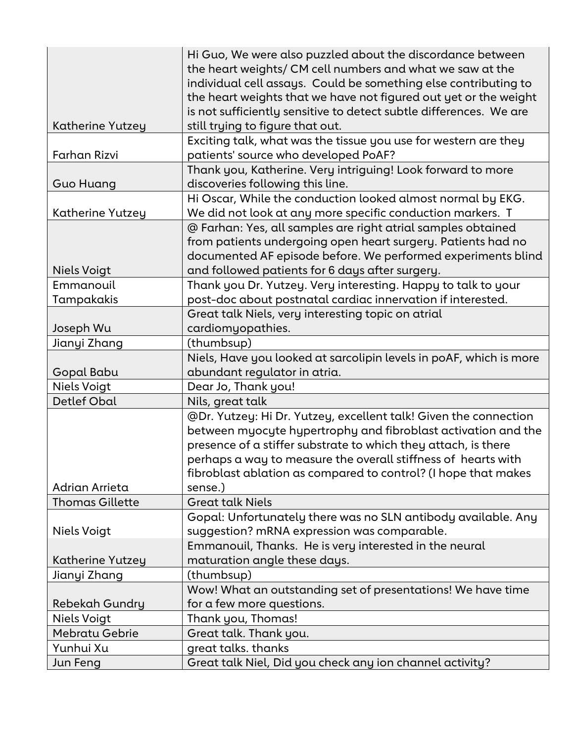|                         | Hi Guo, We were also puzzled about the discordance between         |
|-------------------------|--------------------------------------------------------------------|
|                         | the heart weights/ CM cell numbers and what we saw at the          |
|                         | individual cell assays. Could be something else contributing to    |
|                         | the heart weights that we have not figured out yet or the weight   |
|                         | is not sufficiently sensitive to detect subtle differences. We are |
| <b>Katherine Yutzey</b> | still trying to figure that out.                                   |
|                         | Exciting talk, what was the tissue you use for western are they    |
| Farhan Rizvi            | patients' source who developed PoAF?                               |
|                         | Thank you, Katherine. Very intriguing! Look forward to more        |
| <b>Guo Huang</b>        | discoveries following this line.                                   |
|                         | Hi Oscar, While the conduction looked almost normal by EKG.        |
| Katherine Yutzey        | We did not look at any more specific conduction markers. T         |
|                         | @ Farhan: Yes, all samples are right atrial samples obtained       |
|                         | from patients undergoing open heart surgery. Patients had no       |
|                         | documented AF episode before. We performed experiments blind       |
| <b>Niels Voigt</b>      | and followed patients for 6 days after surgery.                    |
| Emmanouil               | Thank you Dr. Yutzey. Very interesting. Happy to talk to your      |
| Tampakakis              | post-doc about postnatal cardiac innervation if interested.        |
|                         | Great talk Niels, very interesting topic on atrial                 |
| Joseph Wu               | cardiomyopathies.                                                  |
| Jianyi Zhang            | (thumbsup)                                                         |
|                         | Niels, Have you looked at sarcolipin levels in poAF, which is more |
| Gopal Babu              | abundant regulator in atria.                                       |
| <b>Niels Voigt</b>      | Dear Jo, Thank you!                                                |
| <b>Detlef Obal</b>      | Nils, great talk                                                   |
|                         | @Dr. Yutzey: Hi Dr. Yutzey, excellent talk! Given the connection   |
|                         | between myocyte hypertrophy and fibroblast activation and the      |
|                         | presence of a stiffer substrate to which they attach, is there     |
|                         | perhaps a way to measure the overall stiffness of hearts with      |
|                         | fibroblast ablation as compared to control? (I hope that makes     |
| Adrian Arrieta          | sense.)                                                            |
| <b>Thomas Gillette</b>  | <b>Great talk Niels</b>                                            |
|                         | Gopal: Unfortunately there was no SLN antibody available. Any      |
| <b>Niels Voigt</b>      | suggestion? mRNA expression was comparable.                        |
|                         | Emmanouil, Thanks. He is very interested in the neural             |
| Katherine Yutzey        | maturation angle these days.                                       |
| Jianyi Zhang            | (thumbsup)                                                         |
|                         | Wow! What an outstanding set of presentations! We have time        |
| Rebekah Gundry          | for a few more questions.                                          |
| Niels Voigt             | Thank you, Thomas!                                                 |
| <b>Mebratu Gebrie</b>   | Great talk. Thank you.                                             |
| Yunhui Xu               | great talks. thanks                                                |
| Jun Feng                | Great talk Niel, Did you check any ion channel activity?           |
|                         |                                                                    |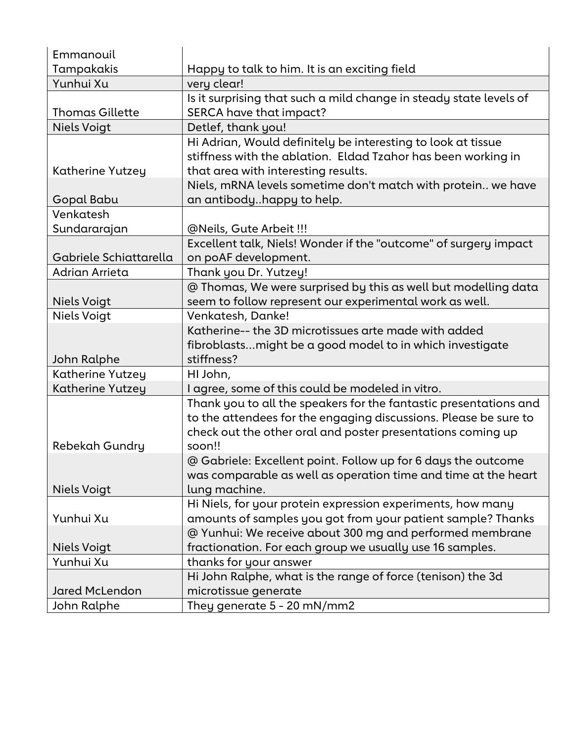| Emmanouil              |                                                                    |
|------------------------|--------------------------------------------------------------------|
| Tampakakis             | Happy to talk to him. It is an exciting field                      |
| Yunhui Xu              | very clear!                                                        |
|                        | Is it surprising that such a mild change in steady state levels of |
| <b>Thomas Gillette</b> | SERCA have that impact?                                            |
| <b>Niels Voigt</b>     | Detlef, thank you!                                                 |
|                        | Hi Adrian, Would definitely be interesting to look at tissue       |
|                        | stiffness with the ablation. Eldad Tzahor has been working in      |
| Katherine Yutzey       | that area with interesting results.                                |
|                        | Niels, mRNA levels sometime don't match with protein we have       |
| Gopal Babu             | an antibodyhappy to help.                                          |
| Venkatesh              |                                                                    |
| Sundararajan           | @Neils, Gute Arbeit !!!                                            |
|                        | Excellent talk, Niels! Wonder if the "outcome" of surgery impact   |
| Gabriele Schiattarella | on poAF development.                                               |
| Adrian Arrieta         | Thank you Dr. Yutzey!                                              |
|                        | @ Thomas, We were surprised by this as well but modelling data     |
| <b>Niels Voigt</b>     | seem to follow represent our experimental work as well.            |
| Niels Voigt            | Venkatesh, Danke!                                                  |
|                        | Katherine-- the 3D microtissues arte made with added               |
|                        | fibroblastsmight be a good model to in which investigate           |
| John Ralphe            | stiffness?                                                         |
| Katherine Yutzey       | HI John,                                                           |
| Katherine Yutzey       | I agree, some of this could be modeled in vitro.                   |
|                        | Thank you to all the speakers for the fantastic presentations and  |
|                        | to the attendees for the engaging discussions. Please be sure to   |
|                        | check out the other oral and poster presentations coming up        |
| Rebekah Gundry         | soon!!                                                             |
|                        | @ Gabriele: Excellent point. Follow up for 6 days the outcome      |
|                        | was comparable as well as operation time and time at the heart     |
| Niels Voigt            | lung machine.                                                      |
|                        | Hi Niels, for your protein expression experiments, how many        |
| Yunhui Xu              | amounts of samples you got from your patient sample? Thanks        |
|                        | @ Yunhui: We receive about 300 mg and performed membrane           |
| <b>Niels Voigt</b>     | fractionation. For each group we usually use 16 samples.           |
| Yunhui Xu              | thanks for your answer                                             |
|                        | Hi John Ralphe, what is the range of force (tenison) the 3d        |
| <b>Jared McLendon</b>  | microtissue generate                                               |
| John Ralphe            | They generate 5 - 20 mN/mm2                                        |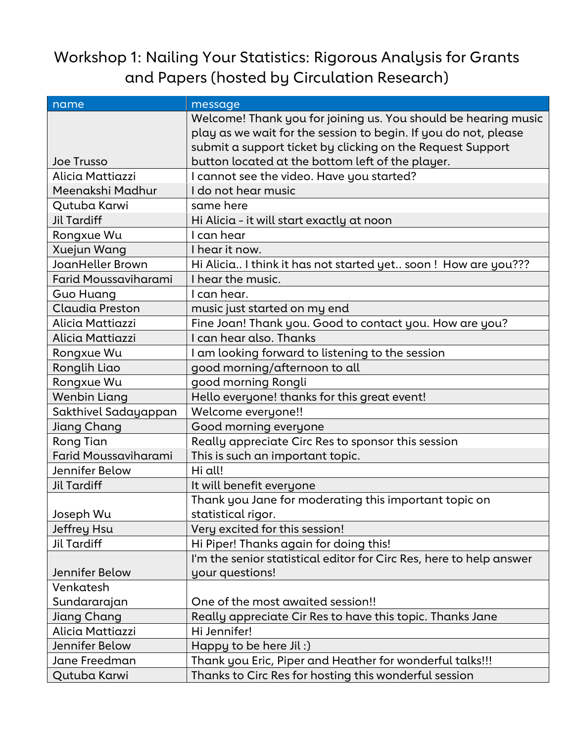## Workshop 1: Nailing Your Statistics: Rigorous Analysis for Grants and Papers (hosted by Circulation Research)

| name                        | message                                                             |
|-----------------------------|---------------------------------------------------------------------|
|                             | Welcome! Thank you for joining us. You should be hearing music      |
|                             | play as we wait for the session to begin. If you do not, please     |
|                             | submit a support ticket by clicking on the Request Support          |
| <b>Joe Trusso</b>           | button located at the bottom left of the player.                    |
| Alicia Mattiazzi            | I cannot see the video. Have you started?                           |
| Meenakshi Madhur            | I do not hear music                                                 |
| Qutuba Karwi                | same here                                                           |
| <b>Jil Tardiff</b>          | Hi Alicia - it will start exactly at noon                           |
| Rongxue Wu                  | I can hear                                                          |
| Xuejun Wang                 | I hear it now.                                                      |
| JoanHeller Brown            | Hi Alicia I think it has not started yet soon ! How are you???      |
| Farid Moussaviharami        | I hear the music.                                                   |
| Guo Huang                   | I can hear.                                                         |
| Claudia Preston             | music just started on my end                                        |
| Alicia Mattiazzi            | Fine Joan! Thank you. Good to contact you. How are you?             |
| Alicia Mattiazzi            | I can hear also. Thanks                                             |
| Rongxue Wu                  | I am looking forward to listening to the session                    |
| Ronglih Liao                | good morning/afternoon to all                                       |
| Rongxue Wu                  | good morning Rongli                                                 |
| Wenbin Liang                | Hello everyone! thanks for this great event!                        |
| Sakthivel Sadayappan        | Welcome everyone!!                                                  |
| Jiang Chang                 | Good morning everyone                                               |
| Rong Tian                   | Really appreciate Circ Res to sponsor this session                  |
| <b>Farid Moussaviharami</b> | This is such an important topic.                                    |
| Jennifer Below              | Hi all!                                                             |
| <b>Jil Tardiff</b>          | It will benefit everyone                                            |
|                             | Thank you Jane for moderating this important topic on               |
| Joseph Wu                   | statistical rigor.                                                  |
| Jeffrey Hsu                 | Very excited for this session!                                      |
| <b>Jil Tardiff</b>          | Hi Piper! Thanks again for doing this!                              |
|                             | I'm the senior statistical editor for Circ Res, here to help answer |
| Jennifer Below              | your questions!                                                     |
| Venkatesh                   |                                                                     |
| Sundararajan                | One of the most awaited session!!                                   |
| Jiang Chang                 | Really appreciate Cir Res to have this topic. Thanks Jane           |
| Alicia Mattiazzi            | Hi Jennifer!                                                        |
| Jennifer Below              | Happy to be here Jil $:$ )                                          |
| Jane Freedman               | Thank you Eric, Piper and Heather for wonderful talks!!!            |
| Qutuba Karwi                | Thanks to Circ Res for hosting this wonderful session               |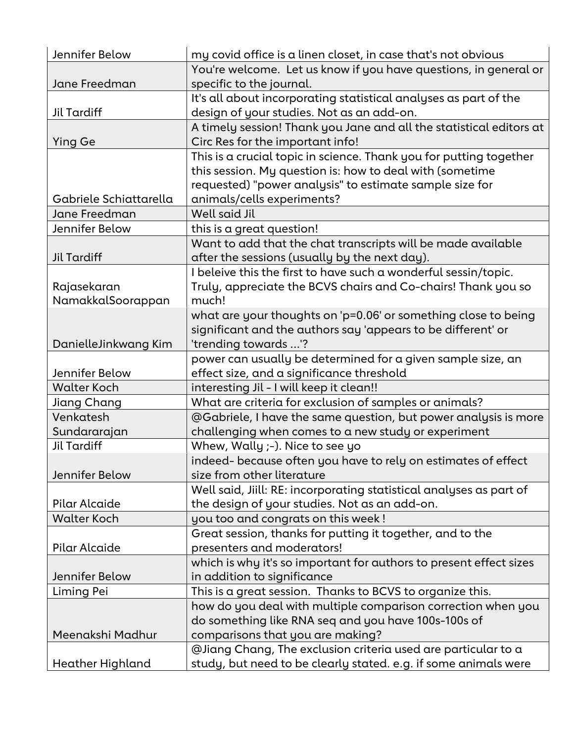| Jennifer Below         | my covid office is a linen closet, in case that's not obvious       |
|------------------------|---------------------------------------------------------------------|
|                        | You're welcome. Let us know if you have questions, in general or    |
| Jane Freedman          | specific to the journal.                                            |
|                        | It's all about incorporating statistical analyses as part of the    |
| Jil Tardiff            | design of your studies. Not as an add-on.                           |
|                        | A timely session! Thank you Jane and all the statistical editors at |
| Ying Ge                | Circ Res for the important info!                                    |
|                        | This is a crucial topic in science. Thank you for putting together  |
|                        | this session. My question is: how to deal with (sometime            |
|                        | requested) "power analysis" to estimate sample size for             |
| Gabriele Schiattarella | animals/cells experiments?                                          |
| Jane Freedman          | Well said Jil                                                       |
| Jennifer Below         | this is a great question!                                           |
|                        | Want to add that the chat transcripts will be made available        |
| <b>Jil Tardiff</b>     | after the sessions (usually by the next day).                       |
|                        | I beleive this the first to have such a wonderful sessin/topic.     |
| Rajasekaran            | Truly, appreciate the BCVS chairs and Co-chairs! Thank you so       |
| NamakkalSoorappan      | much!                                                               |
|                        | what are your thoughts on 'p=0.06' or something close to being      |
|                        | significant and the authors say 'appears to be different' or        |
| DanielleJinkwang Kim   | 'trending towards '?                                                |
|                        | power can usually be determined for a given sample size, an         |
| Jennifer Below         | effect size, and a significance threshold                           |
| <b>Walter Koch</b>     | interesting Jil - I will keep it clean!!                            |
| Jiang Chang            | What are criteria for exclusion of samples or animals?              |
| Venkatesh              | @Gabriele, I have the same question, but power analysis is more     |
| Sundararajan           | challenging when comes to a new study or experiment                 |
| <b>Jil Tardiff</b>     | Whew, Wally ;-). Nice to see yo                                     |
|                        | indeed- because often you have to rely on estimates of effect       |
| Jennifer Below         | size from other literature                                          |
|                        | Well said, Jiill: RE: incorporating statistical analyses as part of |
| Pilar Alcaide          | the design of your studies. Not as an add-on.                       |
| <b>Walter Koch</b>     | you too and congrats on this week !                                 |
|                        | Great session, thanks for putting it together, and to the           |
| Pilar Alcaide          | presenters and moderators!                                          |
|                        | which is why it's so important for authors to present effect sizes  |
| Jennifer Below         | in addition to significance                                         |
| Liming Pei             | This is a great session. Thanks to BCVS to organize this.           |
|                        | how do you deal with multiple comparison correction when you        |
|                        | do something like RNA seq and you have 100s-100s of                 |
| Meenakshi Madhur       | comparisons that you are making?                                    |
|                        | @Jiang Chang, The exclusion criteria used are particular to a       |
| Heather Highland       | study, but need to be clearly stated. e.g. if some animals were     |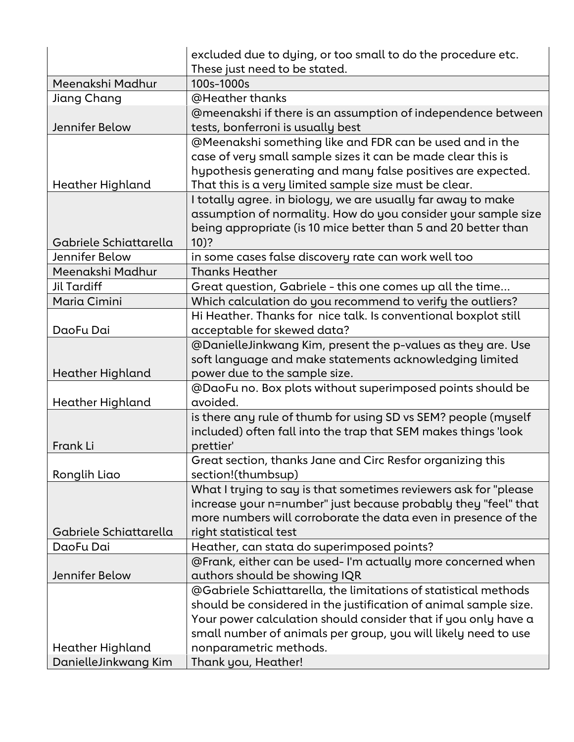|                        | excluded due to dying, or too small to do the procedure etc.     |
|------------------------|------------------------------------------------------------------|
|                        | These just need to be stated.                                    |
| Meenakshi Madhur       | 100s-1000s                                                       |
| Jiang Chang            | @Heather thanks                                                  |
|                        | @meenakshi if there is an assumption of independence between     |
| Jennifer Below         | tests, bonferroni is usually best                                |
|                        | @Meenakshi something like and FDR can be used and in the         |
|                        | case of very small sample sizes it can be made clear this is     |
|                        | hypothesis generating and many false positives are expected.     |
| Heather Highland       | That this is a very limited sample size must be clear.           |
|                        | I totally agree. in biology, we are usually far away to make     |
|                        | assumption of normality. How do you consider your sample size    |
|                        | being appropriate (is 10 mice better than 5 and 20 better than   |
| Gabriele Schiattarella | $10)$ ?                                                          |
| Jennifer Below         | in some cases false discovery rate can work well too             |
| Meenakshi Madhur       | <b>Thanks Heather</b>                                            |
| <b>Jil Tardiff</b>     | Great question, Gabriele - this one comes up all the time        |
| Maria Cimini           | Which calculation do you recommend to verify the outliers?       |
|                        | Hi Heather. Thanks for nice talk. Is conventional boxplot still  |
| DaoFu Dai              | acceptable for skewed data?                                      |
|                        | @DanielleJinkwang Kim, present the p-values as they are. Use     |
|                        | soft language and make statements acknowledging limited          |
| Heather Highland       | power due to the sample size.                                    |
|                        | @DaoFu no. Box plots without superimposed points should be       |
| Heather Highland       | avoided.                                                         |
|                        | is there any rule of thumb for using SD vs SEM? people (myself   |
|                        |                                                                  |
| Frank Li               | included) often fall into the trap that SEM makes things 'look   |
|                        | prettier'                                                        |
|                        | Great section, thanks Jane and Circ Resfor organizing this       |
| Ronglih Liao           | section!(thumbsup)                                               |
|                        | What I trying to say is that sometimes reviewers ask for "please |
|                        | increase your n=number" just because probably they "feel" that   |
|                        | more numbers will corroborate the data even in presence of the   |
| Gabriele Schiattarella | right statistical test                                           |
| DaoFu Dai              | Heather, can stata do superimposed points?                       |
|                        | @Frank, either can be used-I'm actually more concerned when      |
| Jennifer Below         | authors should be showing IQR                                    |
|                        | @Gabriele Schiattarella, the limitations of statistical methods  |
|                        | should be considered in the justification of animal sample size. |
|                        | Your power calculation should consider that if you only have a   |
|                        | small number of animals per group, you will likely need to use   |
| Heather Highland       | nonparametric methods.                                           |
| DanielleJinkwang Kim   | Thank you, Heather!                                              |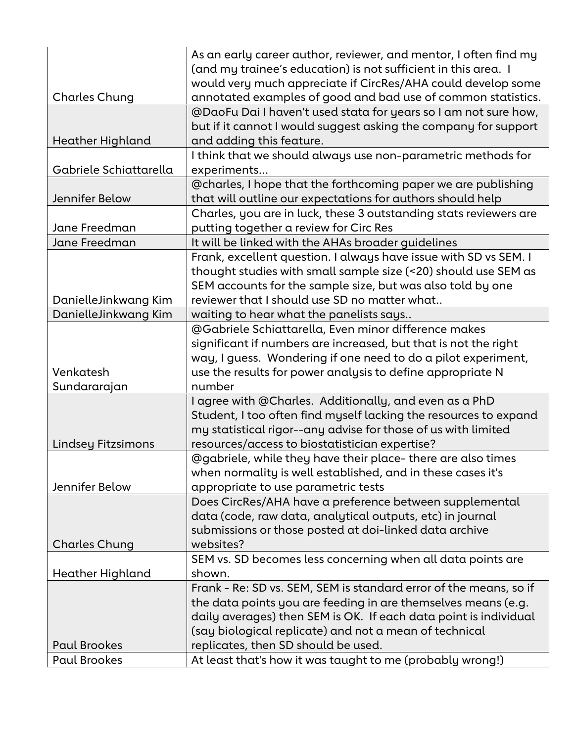|                        | As an early career author, reviewer, and mentor, I often find my<br>(and my trainee's education) is not sufficient in this area. I |
|------------------------|------------------------------------------------------------------------------------------------------------------------------------|
| <b>Charles Chung</b>   | would very much appreciate if CircRes/AHA could develop some<br>annotated examples of good and bad use of common statistics.       |
|                        | @DaoFu Dai I haven't used stata for years so I am not sure how,                                                                    |
|                        | but if it cannot I would suggest asking the company for support                                                                    |
| Heather Highland       | and adding this feature.                                                                                                           |
|                        | I think that we should always use non-parametric methods for                                                                       |
| Gabriele Schiattarella | experiments                                                                                                                        |
|                        | @charles, I hope that the forthcoming paper we are publishing                                                                      |
| Jennifer Below         | that will outline our expectations for authors should help                                                                         |
|                        | Charles, you are in luck, these 3 outstanding stats reviewers are                                                                  |
| Jane Freedman          | putting together a review for Circ Res                                                                                             |
| Jane Freedman          | It will be linked with the AHAs broader guidelines                                                                                 |
|                        | Frank, excellent question. I always have issue with SD vs SEM. I                                                                   |
|                        | thought studies with small sample size (<20) should use SEM as                                                                     |
|                        | SEM accounts for the sample size, but was also told by one                                                                         |
| DanielleJinkwang Kim   | reviewer that I should use SD no matter what                                                                                       |
| DanielleJinkwang Kim   | waiting to hear what the panelists says                                                                                            |
|                        | @Gabriele Schiattarella, Even minor difference makes                                                                               |
|                        | significant if numbers are increased, but that is not the right                                                                    |
|                        | way, I guess. Wondering if one need to do a pilot experiment,                                                                      |
| Venkatesh              | use the results for power analysis to define appropriate N                                                                         |
| Sundararajan           | number                                                                                                                             |
|                        | I agree with @Charles. Additionally, and even as a PhD                                                                             |
|                        | Student, I too often find myself lacking the resources to expand                                                                   |
|                        | my statistical rigor--any advise for those of us with limited                                                                      |
| Lindsey Fitzsimons     | resources/access to biostatistician expertise?                                                                                     |
|                        | @gabriele, while they have their place- there are also times                                                                       |
|                        | when normality is well established, and in these cases it's                                                                        |
| Jennifer Below         | appropriate to use parametric tests                                                                                                |
|                        | Does CircRes/AHA have a preference between supplemental                                                                            |
|                        | data (code, raw data, analytical outputs, etc) in journal                                                                          |
|                        | submissions or those posted at doi-linked data archive                                                                             |
| <b>Charles Chung</b>   | websites?                                                                                                                          |
|                        | SEM vs. SD becomes less concerning when all data points are                                                                        |
| Heather Highland       | shown.                                                                                                                             |
|                        | Frank - Re: SD vs. SEM, SEM is standard error of the means, so if                                                                  |
|                        | the data points you are feeding in are themselves means (e.g.                                                                      |
|                        | daily averages) then SEM is OK. If each data point is individual                                                                   |
|                        | (say biological replicate) and not a mean of technical                                                                             |
| <b>Paul Brookes</b>    | replicates, then SD should be used.                                                                                                |
| <b>Paul Brookes</b>    | At least that's how it was taught to me (probably wrong!)                                                                          |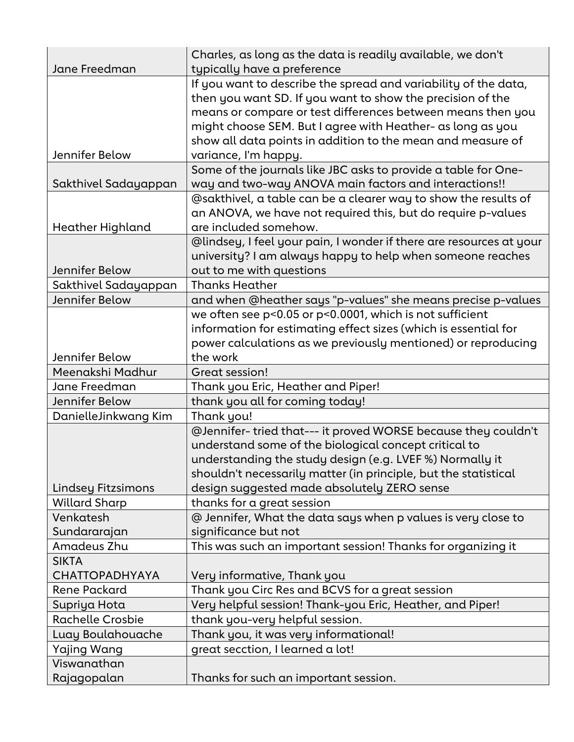| Jane Freedman             | Charles, as long as the data is readily available, we don't<br>typically have a preference                                                                                                                                                                 |
|---------------------------|------------------------------------------------------------------------------------------------------------------------------------------------------------------------------------------------------------------------------------------------------------|
|                           | If you want to describe the spread and variability of the data,<br>then you want SD. If you want to show the precision of the<br>means or compare or test differences between means then you<br>might choose SEM. But I agree with Heather- as long as you |
| Jennifer Below            | show all data points in addition to the mean and measure of<br>variance, I'm happy.                                                                                                                                                                        |
|                           | Some of the journals like JBC asks to provide a table for One-                                                                                                                                                                                             |
| Sakthivel Sadayappan      | way and two-way ANOVA main factors and interactions!!                                                                                                                                                                                                      |
|                           | @sakthivel, a table can be a clearer way to show the results of                                                                                                                                                                                            |
|                           | an ANOVA, we have not required this, but do require p-values                                                                                                                                                                                               |
| Heather Highland          | are included somehow.                                                                                                                                                                                                                                      |
|                           | @lindsey, I feel your pain, I wonder if there are resources at your                                                                                                                                                                                        |
|                           | university? I am always happy to help when someone reaches                                                                                                                                                                                                 |
| Jennifer Below            | out to me with questions                                                                                                                                                                                                                                   |
| Sakthivel Sadayappan      | <b>Thanks Heather</b>                                                                                                                                                                                                                                      |
| Jennifer Below            | and when @heather says "p-values" she means precise p-values                                                                                                                                                                                               |
|                           | we often see p<0.05 or p<0.0001, which is not sufficient                                                                                                                                                                                                   |
|                           | information for estimating effect sizes (which is essential for                                                                                                                                                                                            |
|                           | power calculations as we previously mentioned) or reproducing                                                                                                                                                                                              |
| Jennifer Below            | the work                                                                                                                                                                                                                                                   |
| Meenakshi Madhur          | Great session!                                                                                                                                                                                                                                             |
| Jane Freedman             | Thank you Eric, Heather and Piper!                                                                                                                                                                                                                         |
| Jennifer Below            | thank you all for coming today!                                                                                                                                                                                                                            |
| DanielleJinkwang Kim      | Thank you!                                                                                                                                                                                                                                                 |
|                           | @Jennifer-tried that--- it proved WORSE because they couldn't                                                                                                                                                                                              |
|                           | understand some of the biological concept critical to                                                                                                                                                                                                      |
|                           | understanding the study design (e.g. LVEF %) Normally it                                                                                                                                                                                                   |
|                           | shouldn't necessarily matter (in principle, but the statistical                                                                                                                                                                                            |
| <b>Lindsey Fitzsimons</b> | design suggested made absolutely ZERO sense                                                                                                                                                                                                                |
| <b>Willard Sharp</b>      | thanks for a great session                                                                                                                                                                                                                                 |
| Venkatesh                 | @ Jennifer, What the data says when p values is very close to                                                                                                                                                                                              |
| Sundararajan              | significance but not                                                                                                                                                                                                                                       |
| Amadeus Zhu               | This was such an important session! Thanks for organizing it                                                                                                                                                                                               |
| <b>SIKTA</b>              |                                                                                                                                                                                                                                                            |
| <b>CHATTOPADHYAYA</b>     | Very informative, Thank you                                                                                                                                                                                                                                |
| Rene Packard              | Thank you Circ Res and BCVS for a great session                                                                                                                                                                                                            |
| Supriya Hota              | Very helpful session! Thank-you Eric, Heather, and Piper!                                                                                                                                                                                                  |
| <b>Rachelle Crosbie</b>   | thank you-very helpful session.                                                                                                                                                                                                                            |
| Luay Boulahouache         | Thank you, it was very informational!                                                                                                                                                                                                                      |
| Yajing Wang               | great secction, I learned a lot!                                                                                                                                                                                                                           |
| Viswanathan               |                                                                                                                                                                                                                                                            |
| Rajagopalan               | Thanks for such an important session.                                                                                                                                                                                                                      |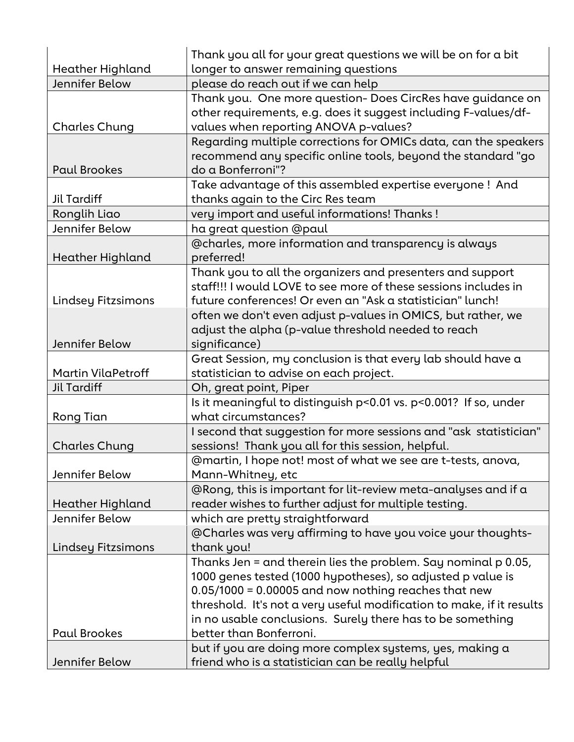|                                    | Thank you all for your great questions we will be on for a bit                                                                                                                              |
|------------------------------------|---------------------------------------------------------------------------------------------------------------------------------------------------------------------------------------------|
| Heather Highland<br>Jennifer Below | longer to answer remaining questions                                                                                                                                                        |
|                                    | please do reach out if we can help                                                                                                                                                          |
| <b>Charles Chung</b>               | Thank you. One more question- Does CircRes have guidance on<br>other requirements, e.g. does it suggest including F-values/df-<br>values when reporting ANOVA p-values?                     |
| <b>Paul Brookes</b>                | Regarding multiple corrections for OMICs data, can the speakers<br>recommend any specific online tools, beyond the standard "go<br>do a Bonferroni"?                                        |
| <b>Jil Tardiff</b>                 | Take advantage of this assembled expertise everyone ! And<br>thanks again to the Circ Res team                                                                                              |
| Ronglih Liao                       | very import and useful informations! Thanks!                                                                                                                                                |
| Jennifer Below                     | ha great question @paul                                                                                                                                                                     |
| Heather Highland                   | @charles, more information and transparency is always<br>preferred!                                                                                                                         |
| Lindsey Fitzsimons                 | Thank you to all the organizers and presenters and support<br>staff!!! I would LOVE to see more of these sessions includes in<br>future conferences! Or even an "Ask a statistician" lunch! |
| Jennifer Below                     | often we don't even adjust p-values in OMICS, but rather, we<br>adjust the alpha (p-value threshold needed to reach<br>significance)                                                        |
| <b>Martin VilaPetroff</b>          | Great Session, my conclusion is that every lab should have a<br>statistician to advise on each project.                                                                                     |
| Jil Tardiff                        | Oh, great point, Piper                                                                                                                                                                      |
|                                    | Is it meaningful to distinguish p<0.01 vs. p<0.001? If so, under                                                                                                                            |
| Rong Tian                          | what circumstances?                                                                                                                                                                         |
| <b>Charles Chung</b>               | I second that suggestion for more sessions and "ask statistician"<br>sessions! Thank you all for this session, helpful.                                                                     |
| Jennifer Below                     | @martin, I hope not! most of what we see are t-tests, anova,<br>Mann-Whitney, etc                                                                                                           |
| Heather Highland                   | @Rong, this is important for lit-review meta-analyses and if a<br>reader wishes to further adjust for multiple testing.                                                                     |
| Jennifer Below                     | which are pretty straightforward                                                                                                                                                            |
|                                    | @Charles was very affirming to have you voice your thoughts-                                                                                                                                |
| Lindsey Fitzsimons                 | thank you!                                                                                                                                                                                  |
|                                    | Thanks Jen = and therein lies the problem. Say nominal p 0.05,                                                                                                                              |
|                                    | 1000 genes tested (1000 hypotheses), so adjusted p value is                                                                                                                                 |
|                                    | $0.05/1000 = 0.00005$ and now nothing reaches that new                                                                                                                                      |
|                                    | threshold. It's not a very useful modification to make, if it results                                                                                                                       |
|                                    | in no usable conclusions. Surely there has to be something                                                                                                                                  |
| <b>Paul Brookes</b>                | better than Bonferroni.                                                                                                                                                                     |
| Jennifer Below                     | but if you are doing more complex systems, yes, making a<br>friend who is a statistician can be really helpful                                                                              |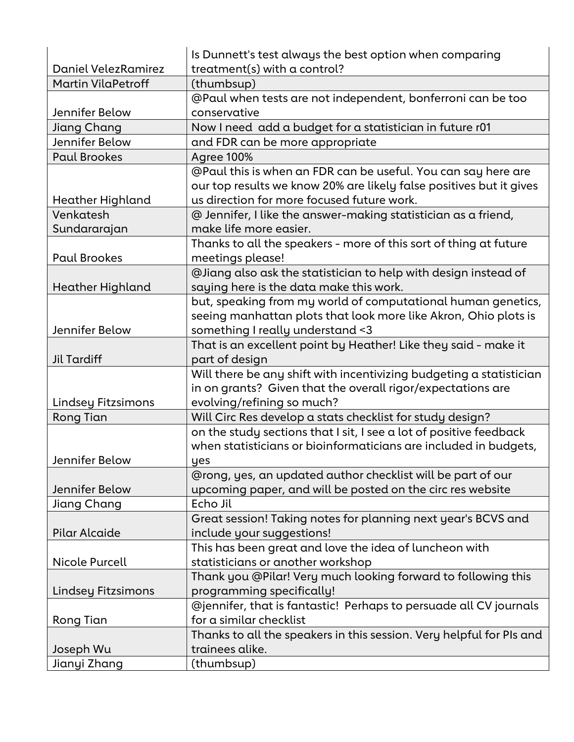|                           | Is Dunnett's test always the best option when comparing              |
|---------------------------|----------------------------------------------------------------------|
| Daniel Velez Ramirez      | treatment(s) with a control?                                         |
| <b>Martin VilaPetroff</b> | (thumbsup)                                                           |
|                           | @Paul when tests are not independent, bonferroni can be too          |
| Jennifer Below            | conservative                                                         |
| Jiang Chang               | Now I need add a budget for a statistician in future r01             |
| Jennifer Below            | and FDR can be more appropriate                                      |
| <b>Paul Brookes</b>       | <b>Agree 100%</b>                                                    |
|                           | @Paul this is when an FDR can be useful. You can say here are        |
|                           | our top results we know 20% are likely false positives but it gives  |
| Heather Highland          | us direction for more focused future work.                           |
| Venkatesh                 | @ Jennifer, I like the answer-making statistician as a friend,       |
| Sundararajan              | make life more easier.                                               |
|                           | Thanks to all the speakers - more of this sort of thing at future    |
| <b>Paul Brookes</b>       | meetings please!                                                     |
|                           | @Jiang also ask the statistician to help with design instead of      |
| <b>Heather Highland</b>   | saying here is the data make this work.                              |
|                           | but, speaking from my world of computational human genetics,         |
|                           | seeing manhattan plots that look more like Akron, Ohio plots is      |
| Jennifer Below            | something I really understand <3                                     |
|                           | That is an excellent point by Heather! Like they said - make it      |
| <b>Jil Tardiff</b>        | part of design                                                       |
|                           | Will there be any shift with incentivizing budgeting a statistician  |
|                           | in on grants? Given that the overall rigor/expectations are          |
| Lindsey Fitzsimons        | evolving/refining so much?                                           |
| <b>Rong Tian</b>          | Will Circ Res develop a stats checklist for study design?            |
|                           | on the study sections that I sit, I see a lot of positive feedback   |
|                           | when statisticians or bioinformaticians are included in budgets,     |
| Jennifer Below            | yes                                                                  |
|                           | @rong, yes, an updated author checklist will be part of our          |
| Jennifer Below            | upcoming paper, and will be posted on the circ res website           |
| Jiang Chang               | Echo Jil                                                             |
|                           | Great session! Taking notes for planning next year's BCVS and        |
| Pilar Alcaide             | include your suggestions!                                            |
|                           | This has been great and love the idea of luncheon with               |
| <b>Nicole Purcell</b>     | statisticians or another workshop                                    |
|                           | Thank you @Pilar! Very much looking forward to following this        |
| Lindsey Fitzsimons        | programming specifically!                                            |
|                           | @jennifer, that is fantastic! Perhaps to persuade all CV journals    |
| Rong Tian                 | for a similar checklist                                              |
|                           | Thanks to all the speakers in this session. Very helpful for PIs and |
| Joseph Wu                 | trainees alike.                                                      |
| Jianyi Zhang              | (thumbsup)                                                           |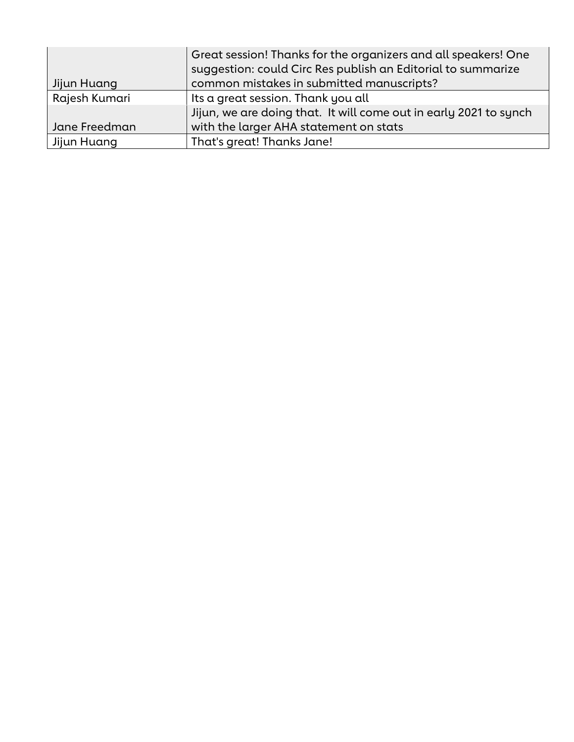|               | Great session! Thanks for the organizers and all speakers! One<br>suggestion: could Circ Res publish an Editorial to summarize |
|---------------|--------------------------------------------------------------------------------------------------------------------------------|
| Jijun Huang   | common mistakes in submitted manuscripts?                                                                                      |
| Rajesh Kumari | Its a great session. Thank you all                                                                                             |
|               | Jijun, we are doing that. It will come out in early 2021 to synch                                                              |
| Jane Freedman | with the larger AHA statement on stats                                                                                         |
| Jijun Huang   | That's great! Thanks Jane!                                                                                                     |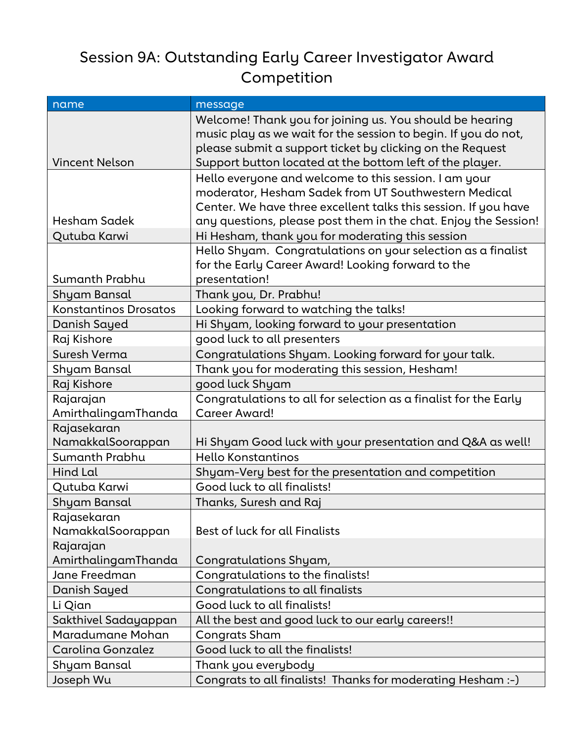## Session 9A: Outstanding Early Career Investigator Award Competition

| name                             | message                                                                                                                                                                                                                                             |
|----------------------------------|-----------------------------------------------------------------------------------------------------------------------------------------------------------------------------------------------------------------------------------------------------|
| <b>Vincent Nelson</b>            | Welcome! Thank you for joining us. You should be hearing<br>music play as we wait for the session to begin. If you do not,<br>please submit a support ticket by clicking on the Request<br>Support button located at the bottom left of the player. |
| Hesham Sadek                     | Hello everyone and welcome to this session. I am your<br>moderator, Hesham Sadek from UT Southwestern Medical<br>Center. We have three excellent talks this session. If you have                                                                    |
|                                  | any questions, please post them in the chat. Enjoy the Session!                                                                                                                                                                                     |
| Qutuba Karwi                     | Hi Hesham, thank you for moderating this session<br>Hello Shyam. Congratulations on your selection as a finalist<br>for the Early Career Award! Looking forward to the                                                                              |
| Sumanth Prabhu                   | presentation!                                                                                                                                                                                                                                       |
| Shyam Bansal                     | Thank you, Dr. Prabhu!                                                                                                                                                                                                                              |
| <b>Konstantinos Drosatos</b>     | Looking forward to watching the talks!                                                                                                                                                                                                              |
| Danish Sayed                     | Hi Shyam, looking forward to your presentation                                                                                                                                                                                                      |
| Raj Kishore                      | good luck to all presenters                                                                                                                                                                                                                         |
| Suresh Verma                     | Congratulations Shyam. Looking forward for your talk.                                                                                                                                                                                               |
| Shyam Bansal                     | Thank you for moderating this session, Hesham!                                                                                                                                                                                                      |
| Raj Kishore                      | good luck Shyam                                                                                                                                                                                                                                     |
| Rajarajan<br>AmirthalingamThanda | Congratulations to all for selection as a finalist for the Early<br><b>Career Award!</b>                                                                                                                                                            |
| Rajasekaran<br>NamakkalSoorappan | Hi Shyam Good luck with your presentation and Q&A as well!                                                                                                                                                                                          |
| Sumanth Prabhu                   | Hello Konstantinos                                                                                                                                                                                                                                  |
| <b>Hind Lal</b>                  | Shyam-Very best for the presentation and competition                                                                                                                                                                                                |
| Qutuba Karwi                     | Good luck to all finalists!                                                                                                                                                                                                                         |
| Shyam Bansal                     | Thanks, Suresh and Raj                                                                                                                                                                                                                              |
| Rajasekaran<br>NamakkalSoorappan | Best of luck for all Finalists                                                                                                                                                                                                                      |
| Rajarajan                        |                                                                                                                                                                                                                                                     |
| AmirthalingamThanda              | Congratulations Shyam,                                                                                                                                                                                                                              |
| Jane Freedman                    | Congratulations to the finalists!                                                                                                                                                                                                                   |
| Danish Sayed                     | Congratulations to all finalists                                                                                                                                                                                                                    |
| Li Qian                          | Good luck to all finalists!                                                                                                                                                                                                                         |
| Sakthivel Sadayappan             | All the best and good luck to our early careers!!                                                                                                                                                                                                   |
| Maradumane Mohan                 | <b>Congrats Sham</b>                                                                                                                                                                                                                                |
| Carolina Gonzalez                | Good luck to all the finalists!                                                                                                                                                                                                                     |
| Shyam Bansal                     | Thank you everybody                                                                                                                                                                                                                                 |
| Joseph Wu                        | Congrats to all finalists! Thanks for moderating Hesham :-)                                                                                                                                                                                         |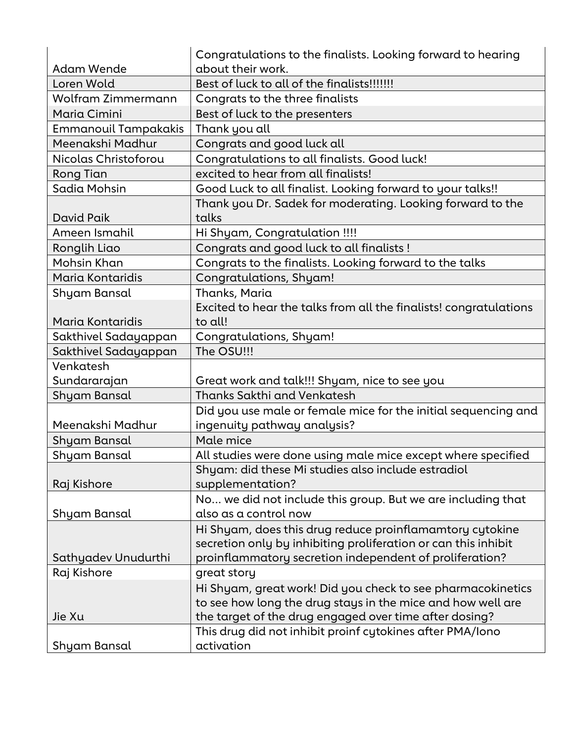|                             | Congratulations to the finalists. Looking forward to hearing      |
|-----------------------------|-------------------------------------------------------------------|
| Adam Wende                  | about their work.                                                 |
| Loren Wold                  | Best of luck to all of the finalists!!!!!!!                       |
| Wolfram Zimmermann          | Congrats to the three finalists                                   |
| Maria Cimini                | Best of luck to the presenters                                    |
| <b>Emmanouil Tampakakis</b> | Thank you all                                                     |
| Meenakshi Madhur            | Congrats and good luck all                                        |
| Nicolas Christoforou        | Congratulations to all finalists. Good luck!                      |
| Rong Tian                   | excited to hear from all finalists!                               |
| Sadia Mohsin                | Good Luck to all finalist. Looking forward to your talks!!        |
|                             | Thank you Dr. Sadek for moderating. Looking forward to the        |
| David Paik                  | talks                                                             |
| Ameen Ismahil               | Hi Shyam, Congratulation !!!!                                     |
| Ronglih Liao                | Congrats and good luck to all finalists !                         |
| Mohsin Khan                 | Congrats to the finalists. Looking forward to the talks           |
| Maria Kontaridis            | Congratulations, Shyam!                                           |
| Shyam Bansal                | Thanks, Maria                                                     |
|                             | Excited to hear the talks from all the finalists! congratulations |
| Maria Kontaridis            | to all!                                                           |
| Sakthivel Sadayappan        | Congratulations, Shyam!                                           |
| Sakthivel Sadayappan        | The OSU!!!                                                        |
| Venkatesh                   |                                                                   |
| Sundararajan                | Great work and talk!!! Shyam, nice to see you                     |
| Shyam Bansal                | <b>Thanks Sakthi and Venkatesh</b>                                |
|                             | Did you use male or female mice for the initial sequencing and    |
| Meenakshi Madhur            | ingenuity pathway analysis?                                       |
| Shyam Bansal                | Male mice                                                         |
| Shyam Bansal                | All studies were done using male mice except where specified      |
|                             | Shyam: did these Mi studies also include estradiol                |
| Raj Kishore                 | supplementation?                                                  |
|                             | No we did not include this group. But we are including that       |
| Shyam Bansal                | also as a control now                                             |
|                             | Hi Shyam, does this drug reduce proinflamamtory cytokine          |
|                             | secretion only by inhibiting proliferation or can this inhibit    |
| Sathyadev Unudurthi         | proinflammatory secretion independent of proliferation?           |
| Raj Kishore                 | great story                                                       |
|                             | Hi Shyam, great work! Did you check to see pharmacokinetics       |
|                             | to see how long the drug stays in the mice and how well are       |
| Jie Xu                      | the target of the drug engaged over time after dosing?            |
|                             | This drug did not inhibit proinf cytokines after PMA/Iono         |
| Shyam Bansal                | activation                                                        |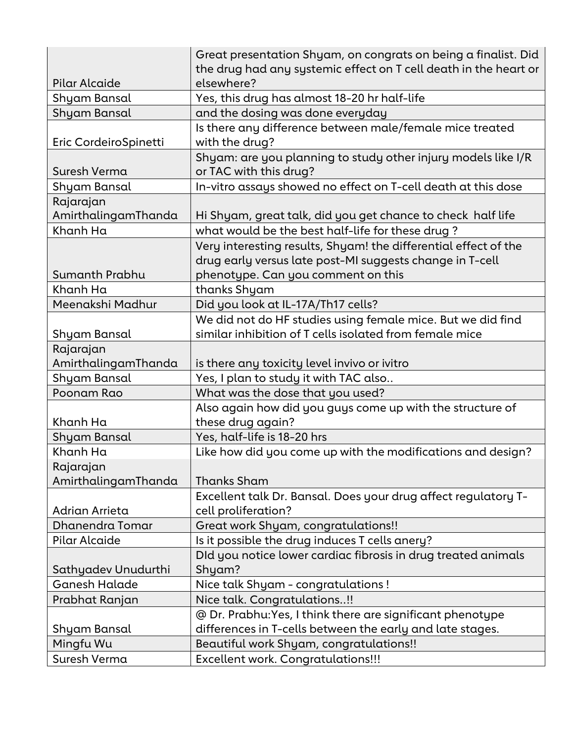|                       | Great presentation Shyam, on congrats on being a finalist. Did                          |
|-----------------------|-----------------------------------------------------------------------------------------|
|                       | the drug had any systemic effect on T cell death in the heart or                        |
| Pilar Alcaide         | elsewhere?                                                                              |
| Shyam Bansal          | Yes, this drug has almost 18-20 hr half-life                                            |
| Shyam Bansal          | and the dosing was done everyday                                                        |
| Eric CordeiroSpinetti | Is there any difference between male/female mice treated<br>with the drug?              |
| Suresh Verma          | Shyam: are you planning to study other injury models like I/R<br>or TAC with this drug? |
| Shyam Bansal          | In-vitro assays showed no effect on T-cell death at this dose                           |
| Rajarajan             |                                                                                         |
| AmirthalingamThanda   | Hi Shyam, great talk, did you get chance to check half life                             |
| Khanh Ha              | what would be the best half-life for these drug?                                        |
|                       | Very interesting results, Shyam! the differential effect of the                         |
|                       | drug early versus late post-MI suggests change in T-cell                                |
| Sumanth Prabhu        | phenotype. Can you comment on this                                                      |
| Khanh Ha              | thanks Shyam                                                                            |
| Meenakshi Madhur      | Did you look at IL-17A/Th17 cells?                                                      |
|                       | We did not do HF studies using female mice. But we did find                             |
| Shyam Bansal          | similar inhibition of T cells isolated from female mice                                 |
| Rajarajan             |                                                                                         |
| AmirthalingamThanda   | is there any toxicity level invivo or ivitro                                            |
| Shyam Bansal          | Yes, I plan to study it with TAC also                                                   |
| Poonam Rao            | What was the dose that you used?                                                        |
|                       | Also again how did you guys come up with the structure of                               |
| Khanh Ha              | these drug again?                                                                       |
| Shyam Bansal          | Yes, half-life is 18-20 hrs                                                             |
| Khanh Ha              | Like how did you come up with the modifications and design?                             |
| Rajarajan             |                                                                                         |
| AmirthalingamThanda   | <b>Thanks Sham</b>                                                                      |
|                       | Excellent talk Dr. Bansal. Does your drug affect regulatory T-                          |
| Adrian Arrieta        | cell proliferation?                                                                     |
| Dhanendra Tomar       | Great work Shyam, congratulations!!                                                     |
| Pilar Alcaide         | Is it possible the drug induces T cells anery?                                          |
|                       | DId you notice lower cardiac fibrosis in drug treated animals                           |
| Sathyadev Unudurthi   | Shyam?                                                                                  |
| <b>Ganesh Halade</b>  | Nice talk Shyam - congratulations!                                                      |
| Prabhat Ranjan        | Nice talk. Congratulations!!                                                            |
|                       | @ Dr. Prabhu: Yes, I think there are significant phenotype                              |
| Shyam Bansal          | differences in T-cells between the early and late stages.                               |
| Mingfu Wu             | Beautiful work Shyam, congratulations!!                                                 |
| Suresh Verma          | <b>Excellent work. Congratulations!!!</b>                                               |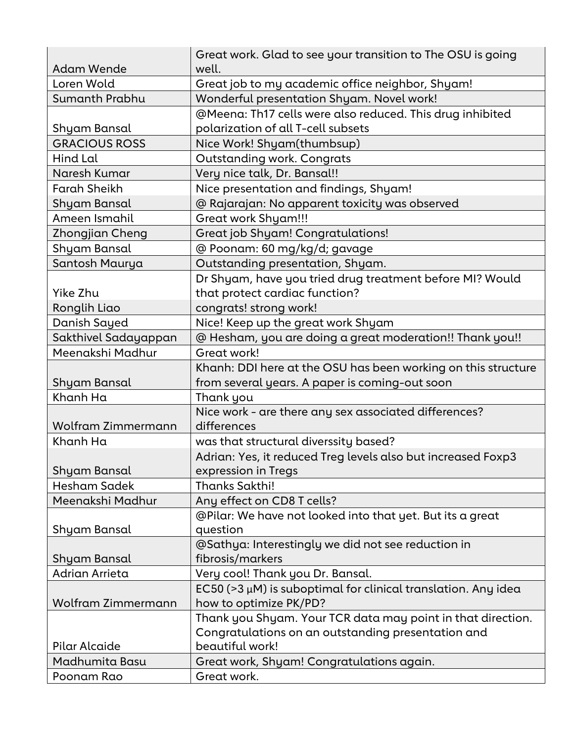|                        | Great work. Glad to see your transition to The OSU is going         |
|------------------------|---------------------------------------------------------------------|
| <b>Adam Wende</b>      | well.                                                               |
| Loren Wold             | Great job to my academic office neighbor, Shyam!                    |
| Sumanth Prabhu         | Wonderful presentation Shyam. Novel work!                           |
|                        | @Meena: Th17 cells were also reduced. This drug inhibited           |
| Shyam Bansal           | polarization of all T-cell subsets                                  |
| <b>GRACIOUS ROSS</b>   | Nice Work! Shyam(thumbsup)                                          |
| Hind Lal               | <b>Outstanding work. Congrats</b>                                   |
| Naresh Kumar           | Very nice talk, Dr. Bansal!!                                        |
| <b>Farah Sheikh</b>    | Nice presentation and findings, Shyam!                              |
| Shyam Bansal           | @ Rajarajan: No apparent toxicity was observed                      |
| Ameen Ismahil          | <b>Great work Shyam!!!</b>                                          |
| <b>Zhongjian Cheng</b> | Great job Shyam! Congratulations!                                   |
| Shyam Bansal           | @ Poonam: 60 mg/kg/d; gavage                                        |
| Santosh Maurya         | Outstanding presentation, Shyam.                                    |
|                        | Dr Shyam, have you tried drug treatment before MI? Would            |
| Yike Zhu               | that protect cardiac function?                                      |
| Ronglih Liao           | congrats! strong work!                                              |
| Danish Sayed           | Nice! Keep up the great work Shyam                                  |
| Sakthivel Sadayappan   | @ Hesham, you are doing a great moderation!! Thank you!!            |
| Meenakshi Madhur       | Great work!                                                         |
|                        | Khanh: DDI here at the OSU has been working on this structure       |
| Shyam Bansal           | from several years. A paper is coming-out soon                      |
| Khanh Ha               | Thank you                                                           |
|                        | Nice work - are there any sex associated differences?               |
| Wolfram Zimmermann     | differences                                                         |
| Khanh Ha               | was that structural diverssity based?                               |
|                        | Adrian: Yes, it reduced Treg levels also but increased Foxp3        |
| <b>Shyam Bansal</b>    | expression in Tregs                                                 |
| <b>Hesham Sadek</b>    | Thanks Sakthi!                                                      |
| Meenakshi Madhur       | Any effect on CD8 T cells?                                          |
|                        | @Pilar: We have not looked into that yet. But its a great           |
| Shyam Bansal           | question                                                            |
|                        | @Sathya: Interestingly we did not see reduction in                  |
| Shyam Bansal           | fibrosis/markers                                                    |
| Adrian Arrieta         | Very cool! Thank you Dr. Bansal.                                    |
|                        | EC50 ( $>3 \mu$ M) is suboptimal for clinical translation. Any idea |
| Wolfram Zimmermann     | how to optimize PK/PD?                                              |
|                        | Thank you Shyam. Your TCR data may point in that direction.         |
|                        | Congratulations on an outstanding presentation and                  |
| Pilar Alcaide          | beautiful work!                                                     |
| Madhumita Basu         | Great work, Shyam! Congratulations again.                           |
| Poonam Rao             | Great work.                                                         |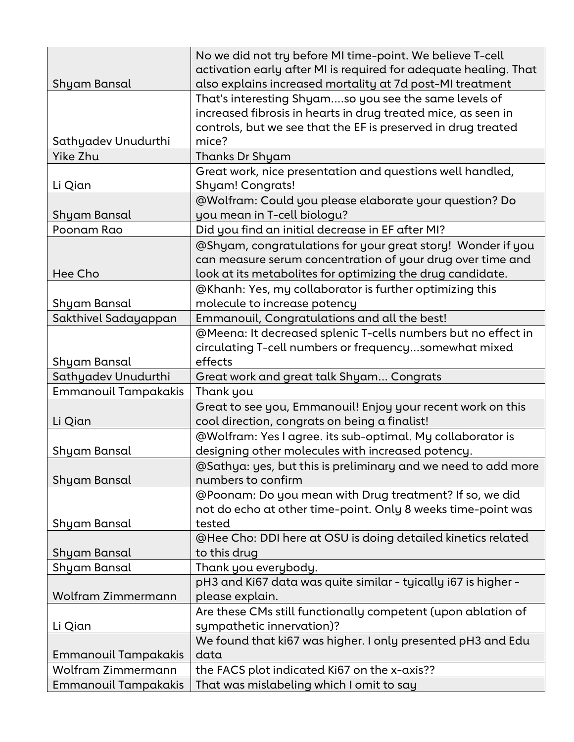|                                                    | No we did not try before MI time-point. We believe T-cell                                                    |
|----------------------------------------------------|--------------------------------------------------------------------------------------------------------------|
|                                                    | activation early after MI is required for adequate healing. That                                             |
| Shyam Bansal                                       | also explains increased mortality at 7d post-MI treatment                                                    |
|                                                    | That's interesting Shyamso you see the same levels of                                                        |
|                                                    | increased fibrosis in hearts in drug treated mice, as seen in                                                |
|                                                    | controls, but we see that the EF is preserved in drug treated                                                |
| Sathyadev Unudurthi                                | mice?                                                                                                        |
| Yike Zhu                                           | Thanks Dr Shyam                                                                                              |
|                                                    | Great work, nice presentation and questions well handled,                                                    |
| Li Qian                                            | <b>Shyam! Congrats!</b>                                                                                      |
|                                                    | @Wolfram: Could you please elaborate your question? Do                                                       |
| Shyam Bansal                                       | you mean in T-cell biologu?                                                                                  |
| Poonam Rao                                         | Did you find an initial decrease in EF after MI?                                                             |
|                                                    | @Shyam, congratulations for your great story! Wonder if you                                                  |
|                                                    | can measure serum concentration of your drug over time and                                                   |
| Hee Cho                                            | look at its metabolites for optimizing the drug candidate.                                                   |
|                                                    | @Khanh: Yes, my collaborator is further optimizing this                                                      |
| Shyam Bansal                                       | molecule to increase potency                                                                                 |
| Sakthivel Sadayappan                               | Emmanouil, Congratulations and all the best!                                                                 |
|                                                    | @Meena: It decreased splenic T-cells numbers but no effect in                                                |
|                                                    | circulating T-cell numbers or frequencysomewhat mixed                                                        |
| Shyam Bansal                                       | effects                                                                                                      |
|                                                    |                                                                                                              |
|                                                    |                                                                                                              |
| Sathyadev Unudurthi<br><b>Emmanouil Tampakakis</b> | Great work and great talk Shyam Congrats<br>Thank you                                                        |
|                                                    |                                                                                                              |
|                                                    | Great to see you, Emmanouil! Enjoy your recent work on this<br>cool direction, congrats on being a finalist! |
| Li Qian                                            | @Wolfram: Yes I agree. its sub-optimal. My collaborator is                                                   |
| Shyam Bansal                                       |                                                                                                              |
|                                                    | designing other molecules with increased potency.                                                            |
| Shyam Bansal                                       | @Sathya: yes, but this is preliminary and we need to add more<br>numbers to confirm                          |
|                                                    |                                                                                                              |
|                                                    | @Poonam: Do you mean with Drug treatment? If so, we did                                                      |
|                                                    | not do echo at other time-point. Only 8 weeks time-point was<br>tested                                       |
| Shyam Bansal                                       | @Hee Cho: DDI here at OSU is doing detailed kinetics related                                                 |
| Shyam Bansal                                       | to this drug                                                                                                 |
|                                                    | Thank you everybody.                                                                                         |
| Shyam Bansal                                       | pH3 and Ki67 data was quite similar - tyically i67 is higher -                                               |
| Wolfram Zimmermann                                 | please explain.                                                                                              |
|                                                    |                                                                                                              |
| Li Qian                                            | Are these CMs still functionally competent (upon ablation of<br>sympathetic innervation)?                    |
|                                                    | We found that ki67 was higher. I only presented pH3 and Edu                                                  |
| <b>Emmanouil Tampakakis</b>                        | data                                                                                                         |
| Wolfram Zimmermann                                 | the FACS plot indicated Ki67 on the x-axis??                                                                 |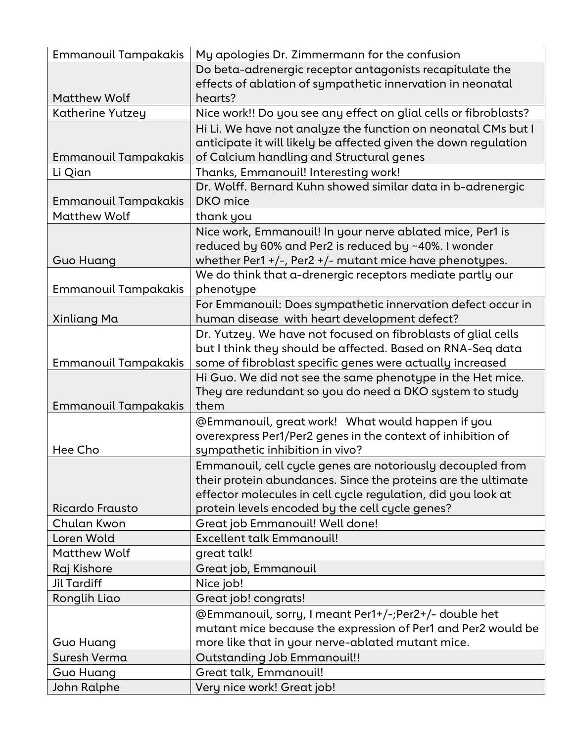| <b>Emmanouil Tampakakis</b> | My apologies Dr. Zimmermann for the confusion                    |
|-----------------------------|------------------------------------------------------------------|
|                             | Do beta-adrenergic receptor antagonists recapitulate the         |
|                             | effects of ablation of sympathetic innervation in neonatal       |
| <b>Matthew Wolf</b>         | hearts?                                                          |
| <b>Katherine Yutzey</b>     | Nice work!! Do you see any effect on glial cells or fibroblasts? |
|                             | Hi Li. We have not analyze the function on neonatal CMs but I    |
|                             | anticipate it will likely be affected given the down regulation  |
| <b>Emmanouil Tampakakis</b> | of Calcium handling and Structural genes                         |
| Li Qian                     | Thanks, Emmanouil! Interesting work!                             |
|                             | Dr. Wolff. Bernard Kuhn showed similar data in b-adrenergic      |
| <b>Emmanouil Tampakakis</b> | <b>DKO</b> mice                                                  |
| <b>Matthew Wolf</b>         | thank you                                                        |
|                             | Nice work, Emmanouil! In your nerve ablated mice, Per1 is        |
|                             | reduced by 60% and Per2 is reduced by ~40%. I wonder             |
| <b>Guo Huang</b>            | whether Per1 +/-, Per2 +/- mutant mice have phenotypes.          |
|                             | We do think that a-drenergic receptors mediate partly our        |
| <b>Emmanouil Tampakakis</b> | phenotype                                                        |
|                             | For Emmanouil: Does sympathetic innervation defect occur in      |
| Xinliang Ma                 | human disease with heart development defect?                     |
|                             | Dr. Yutzey. We have not focused on fibroblasts of glial cells    |
|                             | but I think they should be affected. Based on RNA-Seq data       |
| <b>Emmanouil Tampakakis</b> | some of fibroblast specific genes were actually increased        |
|                             | Hi Guo. We did not see the same phenotype in the Het mice.       |
|                             | They are redundant so you do need a DKO system to study          |
| <b>Emmanouil Tampakakis</b> | them                                                             |
|                             | @Emmanouil, great work! What would happen if you                 |
|                             | overexpress Per1/Per2 genes in the context of inhibition of      |
| Hee Cho                     | sympathetic inhibition in vivo?                                  |
|                             | Emmanouil, cell cycle genes are notoriously decoupled from       |
|                             | their protein abundances. Since the proteins are the ultimate    |
|                             | effector molecules in cell cycle regulation, did you look at     |
| Ricardo Frausto             | protein levels encoded by the cell cycle genes?                  |
| Chulan Kwon                 | Great job Emmanouil! Well done!                                  |
| Loren Wold                  | <b>Excellent talk Emmanouil!</b>                                 |
| <b>Matthew Wolf</b>         | great talk!                                                      |
| Raj Kishore                 | Great job, Emmanouil                                             |
| Jil Tardiff                 | Nice job!                                                        |
| Ronglih Liao                | Great job! congrats!                                             |
|                             | @Emmanouil, sorry, I meant Per1+/-;Per2+/- double het            |
|                             | mutant mice because the expression of Per1 and Per2 would be     |
| Guo Huang                   | more like that in your nerve-ablated mutant mice.                |
| Suresh Verma                | <b>Outstanding Job Emmanouil!!</b>                               |
| Guo Huang                   | Great talk, Emmanouil!                                           |
| John Ralphe                 | Very nice work! Great job!                                       |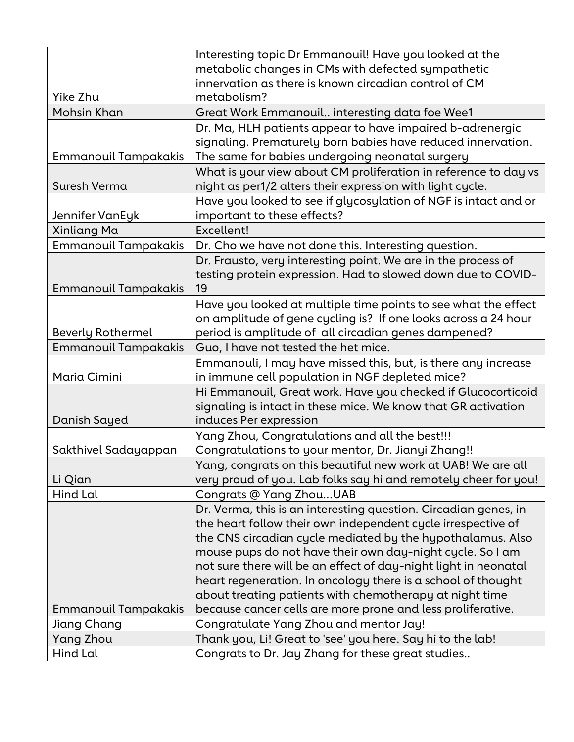|                             | Interesting topic Dr Emmanouil! Have you looked at the          |
|-----------------------------|-----------------------------------------------------------------|
|                             | metabolic changes in CMs with defected sympathetic              |
|                             | innervation as there is known circadian control of CM           |
| Yike Zhu                    | metabolism?                                                     |
| Mohsin Khan                 | Great Work Emmanouil interesting data foe Wee1                  |
|                             | Dr. Ma, HLH patients appear to have impaired b-adrenergic       |
|                             | signaling. Prematurely born babies have reduced innervation.    |
| Emmanouil Tampakakis        | The same for babies undergoing neonatal surgery                 |
|                             | What is your view about CM proliferation in reference to day vs |
| Suresh Verma                | night as per1/2 alters their expression with light cycle.       |
|                             | Have you looked to see if glycosylation of NGF is intact and or |
| Jennifer VanEyk             | important to these effects?                                     |
| Xinliang Ma                 | Excellent!                                                      |
| <b>Emmanouil Tampakakis</b> | Dr. Cho we have not done this. Interesting question.            |
|                             | Dr. Frausto, very interesting point. We are in the process of   |
|                             | testing protein expression. Had to slowed down due to COVID-    |
| <b>Emmanouil Tampakakis</b> | 19                                                              |
|                             | Have you looked at multiple time points to see what the effect  |
|                             | on amplitude of gene cycling is? If one looks across a 24 hour  |
| <b>Beverly Rothermel</b>    | period is amplitude of all circadian genes dampened?            |
| <b>Emmanouil Tampakakis</b> | Guo, I have not tested the het mice.                            |
|                             | Emmanouli, I may have missed this, but, is there any increase   |
| Maria Cimini                | in immune cell population in NGF depleted mice?                 |
|                             | Hi Emmanouil, Great work. Have you checked if Glucocorticoid    |
|                             | signaling is intact in these mice. We know that GR activation   |
| Danish Sayed                | induces Per expression                                          |
|                             | Yang Zhou, Congratulations and all the best!!!                  |
| Sakthivel Sadayappan        | Congratulations to your mentor, Dr. Jianyi Zhang!!              |
|                             | Yang, congrats on this beautiful new work at UAB! We are all    |
| Li Qian                     | very proud of you. Lab folks say hi and remotely cheer for you! |
| Hind Lal                    | Congrats @ Yang ZhouUAB                                         |
|                             | Dr. Verma, this is an interesting question. Circadian genes, in |
|                             | the heart follow their own independent cycle irrespective of    |
|                             | the CNS circadian cycle mediated by the hypothalamus. Also      |
|                             | mouse pups do not have their own day-night cycle. So I am       |
|                             | not sure there will be an effect of day-night light in neonatal |
|                             | heart regeneration. In oncology there is a school of thought    |
|                             | about treating patients with chemotherapy at night time         |
| Emmanouil Tampakakis        | because cancer cells are more prone and less proliferative.     |
| Jiang Chang                 | Congratulate Yang Zhou and mentor Jay!                          |
| Yang Zhou                   | Thank you, Li! Great to 'see' you here. Say hi to the lab!      |
|                             |                                                                 |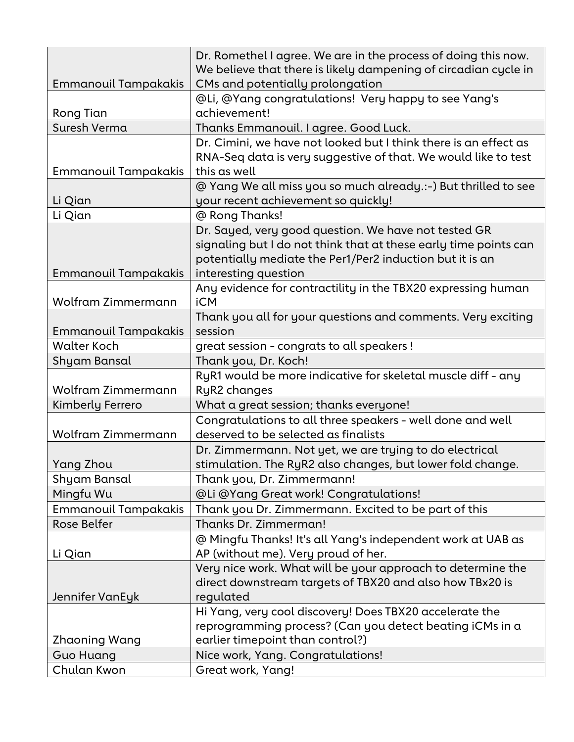|                             | Dr. Romethel I agree. We are in the process of doing this now.                                        |
|-----------------------------|-------------------------------------------------------------------------------------------------------|
|                             | We believe that there is likely dampening of circadian cycle in                                       |
| <b>Emmanouil Tampakakis</b> | CMs and potentially prolongation                                                                      |
|                             | @Li, @Yang congratulations! Very happy to see Yang's<br>achievement!                                  |
| Rong Tian                   |                                                                                                       |
| Suresh Verma                | Thanks Emmanouil. I agree. Good Luck.                                                                 |
|                             | Dr. Cimini, we have not looked but I think there is an effect as                                      |
|                             | RNA-Seq data is very suggestive of that. We would like to test<br>this as well                        |
| <b>Emmanouil Tampakakis</b> |                                                                                                       |
| Li Qian                     | @ Yang We all miss you so much already.:-) But thrilled to see<br>your recent achievement so quickly! |
| Li Qian                     | @ Rong Thanks!                                                                                        |
|                             | Dr. Sayed, very good question. We have not tested GR                                                  |
|                             | signaling but I do not think that at these early time points can                                      |
|                             | potentially mediate the Per1/Per2 induction but it is an                                              |
| <b>Emmanouil Tampakakis</b> | interesting question                                                                                  |
|                             | Any evidence for contractility in the TBX20 expressing human                                          |
| <b>Wolfram Zimmermann</b>   | <b>iCM</b>                                                                                            |
|                             | Thank you all for your questions and comments. Very exciting                                          |
| <b>Emmanouil Tampakakis</b> | session                                                                                               |
| <b>Walter Koch</b>          | great session - congrats to all speakers !                                                            |
| Shyam Bansal                | Thank you, Dr. Koch!                                                                                  |
|                             | RyR1 would be more indicative for skeletal muscle diff - any                                          |
| Wolfram Zimmermann          | RyR2 changes                                                                                          |
| Kimberly Ferrero            | What a great session; thanks everyone!                                                                |
|                             | Congratulations to all three speakers - well done and well                                            |
| <b>Wolfram Zimmermann</b>   | deserved to be selected as finalists                                                                  |
|                             | Dr. Zimmermann. Not yet, we are trying to do electrical                                               |
| Yang Zhou                   | stimulation. The RyR2 also changes, but lower fold change.                                            |
| Shyam Bansal                | Thank you, Dr. Zimmermann!                                                                            |
| Mingfu Wu                   | @Li @Yang Great work! Congratulations!                                                                |
| <b>Emmanouil Tampakakis</b> | Thank you Dr. Zimmermann. Excited to be part of this                                                  |
| <b>Rose Belfer</b>          | Thanks Dr. Zimmerman!                                                                                 |
|                             | @ Mingfu Thanks! It's all Yang's independent work at UAB as                                           |
| Li Qian                     | AP (without me). Very proud of her.                                                                   |
|                             | Very nice work. What will be your approach to determine the                                           |
|                             | direct downstream targets of TBX20 and also how TBx20 is                                              |
| Jennifer VanEyk             | regulated                                                                                             |
|                             | Hi Yang, very cool discovery! Does TBX20 accelerate the                                               |
|                             | reprogramming process? (Can you detect beating iCMs in a                                              |
| Zhaoning Wang               | earlier timepoint than control?)                                                                      |
| <b>Guo Huang</b>            | Nice work, Yang. Congratulations!                                                                     |
| Chulan Kwon                 | Great work, Yang!                                                                                     |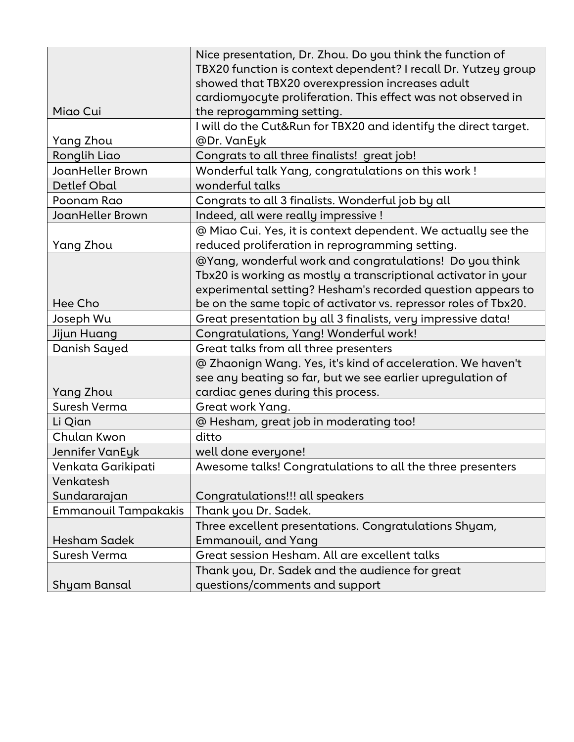|                             | Nice presentation, Dr. Zhou. Do you think the function of       |
|-----------------------------|-----------------------------------------------------------------|
|                             | TBX20 function is context dependent? I recall Dr. Yutzey group  |
|                             | showed that TBX20 overexpression increases adult                |
|                             | cardiomyocyte proliferation. This effect was not observed in    |
| Miao Cui                    | the reprogamming setting.                                       |
|                             | I will do the Cut&Run for TBX20 and identify the direct target. |
| Yang Zhou                   | @Dr. VanEyk                                                     |
| Ronglih Liao                | Congrats to all three finalists! great job!                     |
| JoanHeller Brown            | Wonderful talk Yang, congratulations on this work!              |
| <b>Detlef Obal</b>          | wonderful talks                                                 |
| Poonam Rao                  | Congrats to all 3 finalists. Wonderful job by all               |
| JoanHeller Brown            | Indeed, all were really impressive !                            |
|                             | @ Miao Cui. Yes, it is context dependent. We actually see the   |
| Yang Zhou                   | reduced proliferation in reprogramming setting.                 |
|                             | @Yang, wonderful work and congratulations! Do you think         |
|                             | Tbx20 is working as mostly a transcriptional activator in your  |
|                             | experimental setting? Hesham's recorded question appears to     |
| Hee Cho                     | be on the same topic of activator vs. repressor roles of Tbx20. |
| Joseph Wu                   | Great presentation by all 3 finalists, very impressive data!    |
| Jijun Huang                 | Congratulations, Yang! Wonderful work!                          |
| Danish Sayed                | Great talks from all three presenters                           |
|                             | @ Zhaonign Wang. Yes, it's kind of acceleration. We haven't     |
|                             | see any beating so far, but we see earlier upregulation of      |
| Yang Zhou                   | cardiac genes during this process.                              |
| Suresh Verma                | Great work Yang.                                                |
| Li Qian                     | @ Hesham, great job in moderating too!                          |
| Chulan Kwon                 | ditto                                                           |
| Jennifer VanEyk             | well done everyone!                                             |
| Venkata Garikipati          | Awesome talks! Congratulations to all the three presenters      |
| Venkatesh                   |                                                                 |
| Sundararajan                | Congratulations!!! all speakers                                 |
| <b>Emmanouil Tampakakis</b> | Thank you Dr. Sadek.                                            |
|                             | Three excellent presentations. Congratulations Shyam,           |
| <b>Hesham Sadek</b>         | <b>Emmanouil, and Yang</b>                                      |
| Suresh Verma                | Great session Hesham. All are excellent talks                   |
|                             | Thank you, Dr. Sadek and the audience for great                 |
| Shyam Bansal                | questions/comments and support                                  |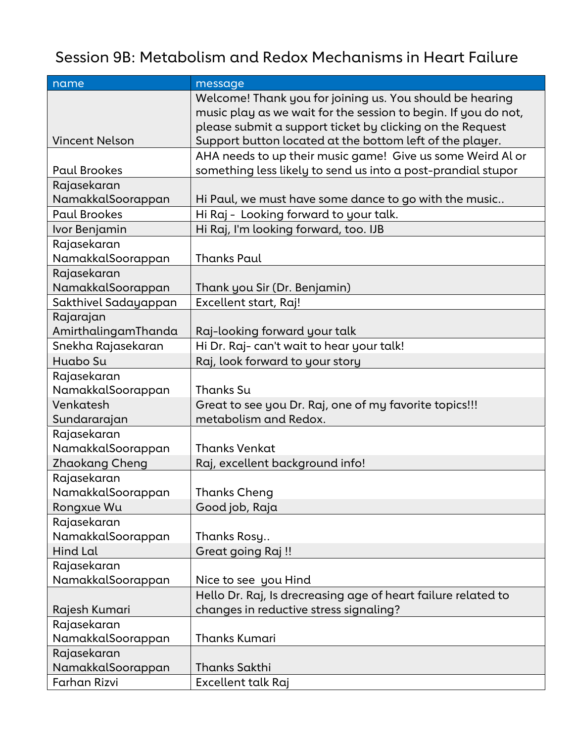#### Session 9B: Metabolism and Redox Mechanisms in Heart Failure

| name                  | message                                                        |
|-----------------------|----------------------------------------------------------------|
|                       | Welcome! Thank you for joining us. You should be hearing       |
|                       | music play as we wait for the session to begin. If you do not, |
|                       | please submit a support ticket by clicking on the Request      |
| <b>Vincent Nelson</b> | Support button located at the bottom left of the player.       |
|                       | AHA needs to up their music game! Give us some Weird Al or     |
| <b>Paul Brookes</b>   | something less likely to send us into a post-prandial stupor   |
| Rajasekaran           |                                                                |
| NamakkalSoorappan     | Hi Paul, we must have some dance to go with the music          |
| <b>Paul Brookes</b>   | Hi Raj - Looking forward to your talk.                         |
| Ivor Benjamin         | Hi Raj, I'm looking forward, too. IJB                          |
| Rajasekaran           |                                                                |
| NamakkalSoorappan     | <b>Thanks Paul</b>                                             |
| Rajasekaran           |                                                                |
| NamakkalSoorappan     | Thank you Sir (Dr. Benjamin)                                   |
| Sakthivel Sadayappan  | Excellent start, Raj!                                          |
| Rajarajan             |                                                                |
| AmirthalingamThanda   | Raj-looking forward your talk                                  |
| Snekha Rajasekaran    | Hi Dr. Raj- can't wait to hear your talk!                      |
| Huabo Su              | Raj, look forward to your story                                |
| Rajasekaran           |                                                                |
| NamakkalSoorappan     | Thanks Su                                                      |
| Venkatesh             | Great to see you Dr. Raj, one of my favorite topics!!!         |
| Sundararajan          | metabolism and Redox.                                          |
| Rajasekaran           |                                                                |
| NamakkalSoorappan     | <b>Thanks Venkat</b>                                           |
| Zhaokang Cheng        | Raj, excellent background info!                                |
| Rajasekaran           |                                                                |
| NamakkalSoorappan     | <b>Thanks Cheng</b>                                            |
| Rongxue Wu            | Good job, Raja                                                 |
| Rajasekaran           |                                                                |
| NamakkalSoorappan     | Thanks Rosy                                                    |
| <b>Hind Lal</b>       | Great going Raj !!                                             |
| Rajasekaran           |                                                                |
| NamakkalSoorappan     | Nice to see you Hind                                           |
|                       | Hello Dr. Raj, Is drecreasing age of heart failure related to  |
| Rajesh Kumari         | changes in reductive stress signaling?                         |
| Rajasekaran           |                                                                |
| NamakkalSoorappan     | <b>Thanks Kumari</b>                                           |
| Rajasekaran           |                                                                |
| NamakkalSoorappan     | <b>Thanks Sakthi</b>                                           |
| Farhan Rizvi          | Excellent talk Raj                                             |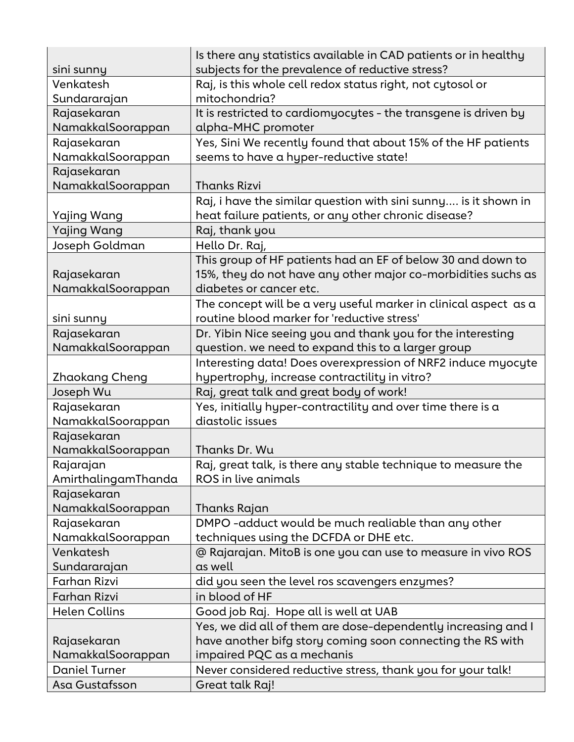|                      | Is there any statistics available in CAD patients or in healthy  |
|----------------------|------------------------------------------------------------------|
| sini sunny           | subjects for the prevalence of reductive stress?                 |
| Venkatesh            | Raj, is this whole cell redox status right, not cytosol or       |
| Sundararajan         | mitochondria?                                                    |
| Rajasekaran          | It is restricted to cardiomyocytes - the transgene is driven by  |
| NamakkalSoorappan    | alpha-MHC promoter                                               |
| Rajasekaran          | Yes, Sini We recently found that about 15% of the HF patients    |
| NamakkalSoorappan    | seems to have a hyper-reductive state!                           |
| Rajasekaran          |                                                                  |
| NamakkalSoorappan    | <b>Thanks Rizvi</b>                                              |
|                      | Raj, i have the similar question with sini sunny is it shown in  |
| Yajing Wang          | heat failure patients, or any other chronic disease?             |
| Yajing Wang          | Raj, thank you                                                   |
| Joseph Goldman       | Hello Dr. Raj,                                                   |
|                      | This group of HF patients had an EF of below 30 and down to      |
| Rajasekaran          | 15%, they do not have any other major co-morbidities suchs as    |
| NamakkalSoorappan    | diabetes or cancer etc.                                          |
|                      | The concept will be a very useful marker in clinical aspect as a |
| sini sunny           | routine blood marker for 'reductive stress'                      |
| Rajasekaran          | Dr. Yibin Nice seeing you and thank you for the interesting      |
| NamakkalSoorappan    | question. we need to expand this to a larger group               |
|                      | Interesting data! Does overexpression of NRF2 induce myocyte     |
| Zhaokang Cheng       | hypertrophy, increase contractility in vitro?                    |
| Joseph Wu            | Raj, great talk and great body of work!                          |
| Rajasekaran          | Yes, initially hyper-contractility and over time there is a      |
| NamakkalSoorappan    | diastolic issues                                                 |
| Rajasekaran          |                                                                  |
| NamakkalSoorappan    | Thanks Dr. Wu                                                    |
| Rajarajan            | Raj, great talk, is there any stable technique to measure the    |
| AmirthalingamThanda  | ROS in live animals                                              |
| Rajasekaran          |                                                                  |
| NamakkalSoorappan    | Thanks Rajan                                                     |
| Rajasekaran          | DMPO-adduct would be much realiable than any other               |
| NamakkalSoorappan    | techniques using the DCFDA or DHE etc.                           |
| Venkatesh            | @ Rajarajan. MitoB is one you can use to measure in vivo ROS     |
| Sundararajan         | as well                                                          |
| Farhan Rizvi         | did you seen the level ros scavengers enzymes?                   |
| Farhan Rizvi         | in blood of HF                                                   |
| <b>Helen Collins</b> | Good job Raj. Hope all is well at UAB                            |
|                      | Yes, we did all of them are dose-dependently increasing and I    |
| Rajasekaran          | have another bifg story coming soon connecting the RS with       |
| NamakkalSoorappan    | impaired PQC as a mechanis                                       |
| <b>Daniel Turner</b> | Never considered reductive stress, thank you for your talk!      |
| Asa Gustafsson       | Great talk Raj!                                                  |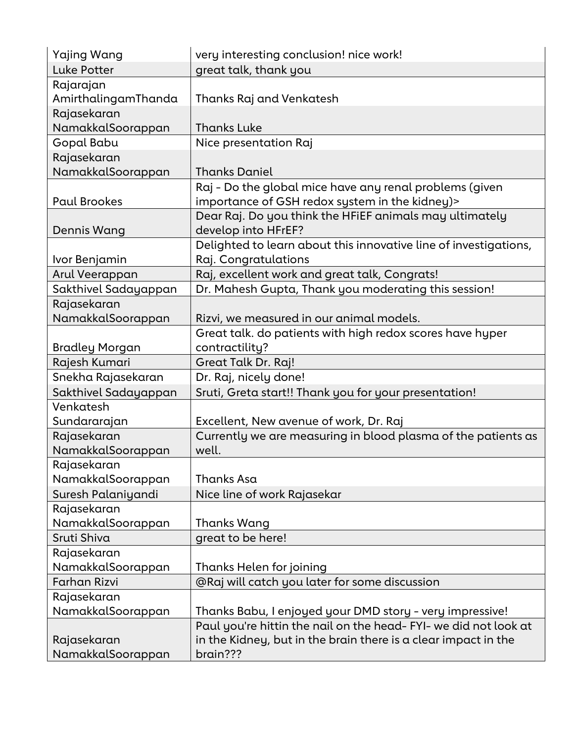| Yajing Wang           | very interesting conclusion! nice work!                          |
|-----------------------|------------------------------------------------------------------|
| Luke Potter           | great talk, thank you                                            |
| Rajarajan             |                                                                  |
| AmirthalingamThanda   | Thanks Raj and Venkatesh                                         |
| Rajasekaran           |                                                                  |
| NamakkalSoorappan     | <b>Thanks Luke</b>                                               |
| Gopal Babu            | Nice presentation Raj                                            |
| Rajasekaran           |                                                                  |
| NamakkalSoorappan     | <b>Thanks Daniel</b>                                             |
|                       | Raj - Do the global mice have any renal problems (given          |
| <b>Paul Brookes</b>   | importance of GSH redox system in the kidney)>                   |
|                       | Dear Raj. Do you think the HFIEF animals may ultimately          |
| <b>Dennis Wang</b>    | develop into HFrEF?                                              |
|                       | Delighted to learn about this innovative line of investigations, |
| Ivor Benjamin         | Raj. Congratulations                                             |
| Arul Veerappan        | Raj, excellent work and great talk, Congrats!                    |
| Sakthivel Sadayappan  | Dr. Mahesh Gupta, Thank you moderating this session!             |
| Rajasekaran           |                                                                  |
| NamakkalSoorappan     | Rizvi, we measured in our animal models.                         |
|                       | Great talk. do patients with high redox scores have hyper        |
| <b>Bradley Morgan</b> | contractility?                                                   |
| Rajesh Kumari         | Great Talk Dr. Raj!                                              |
| Snekha Rajasekaran    | Dr. Raj, nicely done!                                            |
| Sakthivel Sadayappan  | Sruti, Greta start!! Thank you for your presentation!            |
| Venkatesh             |                                                                  |
| Sundararajan          | Excellent, New avenue of work, Dr. Raj                           |
| Rajasekaran           | Currently we are measuring in blood plasma of the patients as    |
| NamakkalSoorappan     | well.                                                            |
| Rajasekaran           |                                                                  |
| NamakkalSoorappan     | Thanks Asa                                                       |
| Suresh Palaniyandi    | Nice line of work Rajasekar                                      |
| Rajasekaran           |                                                                  |
| NamakkalSoorappan     | Thanks Wang                                                      |
| Sruti Shiva           | great to be here!                                                |
| Rajasekaran           |                                                                  |
| NamakkalSoorappan     | Thanks Helen for joining                                         |
| <b>Farhan Rizvi</b>   | @Raj will catch you later for some discussion                    |
| Rajasekaran           |                                                                  |
| NamakkalSoorappan     | Thanks Babu, I enjoyed your DMD story - very impressive!         |
|                       | Paul you're hittin the nail on the head- FYI- we did not look at |
| Rajasekaran           | in the Kidney, but in the brain there is a clear impact in the   |
| NamakkalSoorappan     | brain???                                                         |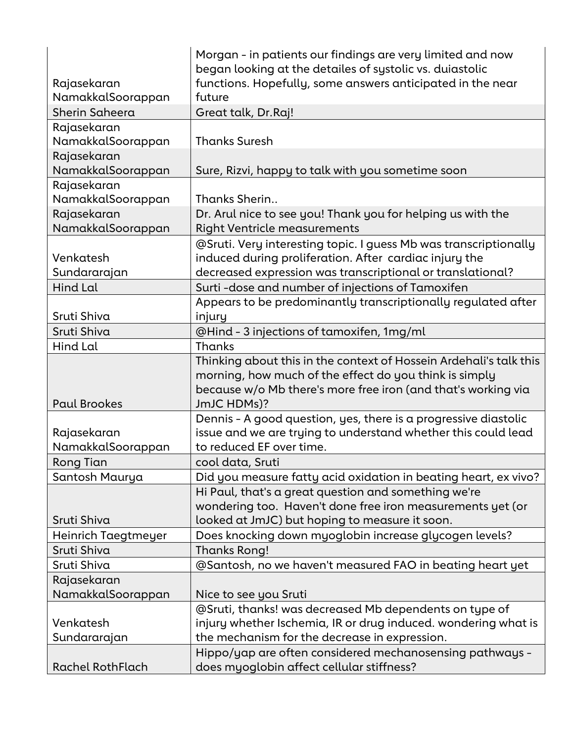|                     | Morgan - in patients our findings are very limited and now         |
|---------------------|--------------------------------------------------------------------|
|                     | began looking at the detailes of systolic vs. duiastolic           |
| Rajasekaran         | functions. Hopefully, some answers anticipated in the near         |
| NamakkalSoorappan   | future                                                             |
| Sherin Saheera      | Great talk, Dr.Raj!                                                |
| Rajasekaran         |                                                                    |
| NamakkalSoorappan   | <b>Thanks Suresh</b>                                               |
| Rajasekaran         |                                                                    |
| NamakkalSoorappan   | Sure, Rizvi, happy to talk with you sometime soon                  |
| Rajasekaran         |                                                                    |
| NamakkalSoorappan   | Thanks Sherin                                                      |
| Rajasekaran         | Dr. Arul nice to see you! Thank you for helping us with the        |
| NamakkalSoorappan   | <b>Right Ventricle measurements</b>                                |
|                     | @Sruti. Very interesting topic. I guess Mb was transcriptionally   |
| Venkatesh           | induced during proliferation. After cardiac injury the             |
| Sundararajan        | decreased expression was transcriptional or translational?         |
| Hind Lal            | Surti-dose and number of injections of Tamoxifen                   |
|                     | Appears to be predominantly transcriptionally regulated after      |
| Sruti Shiva         | injury                                                             |
| Sruti Shiva         | @Hind - 3 injections of tamoxifen, 1mg/ml                          |
| Hind Lal            | Thanks                                                             |
|                     | Thinking about this in the context of Hossein Ardehali's talk this |
|                     | morning, how much of the effect do you think is simply             |
|                     | because w/o Mb there's more free iron (and that's working via      |
| <b>Paul Brookes</b> | JmJC HDMs)?                                                        |
|                     | Dennis - A good question, yes, there is a progressive diastolic    |
| Rajasekaran         | issue and we are trying to understand whether this could lead      |
| NamakkalSoorappan   | to reduced EF over time.                                           |
| Rong Tian           | cool data, Sruti                                                   |
| Santosh Maurya      | Did you measure fatty acid oxidation in beating heart, ex vivo?    |
|                     | Hi Paul, that's a great question and something we're               |
|                     | wondering too. Haven't done free iron measurements yet (or         |
| Sruti Shiva         | looked at JmJC) but hoping to measure it soon.                     |
| Heinrich Taegtmeyer | Does knocking down myoglobin increase glycogen levels?             |
| Sruti Shiva         | Thanks Rong!                                                       |
| Sruti Shiva         | @Santosh, no we haven't measured FAO in beating heart yet          |
| Rajasekaran         |                                                                    |
| NamakkalSoorappan   | Nice to see you Sruti                                              |
|                     | @Sruti, thanks! was decreased Mb dependents on type of             |
| Venkatesh           | injury whether Ischemia, IR or drug induced. wondering what is     |
| Sundararajan        | the mechanism for the decrease in expression.                      |
|                     | Hippo/yap are often considered mechanosensing pathways -           |
| Rachel RothFlach    | does myoglobin affect cellular stiffness?                          |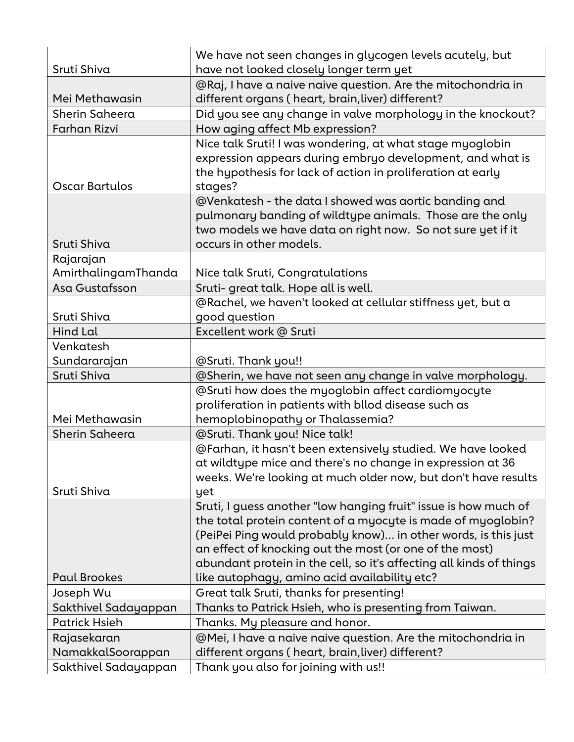|                                  | We have not seen changes in glycogen levels acutely, but                                                                                                                                                                                                         |
|----------------------------------|------------------------------------------------------------------------------------------------------------------------------------------------------------------------------------------------------------------------------------------------------------------|
| Sruti Shiva                      | have not looked closely longer term yet                                                                                                                                                                                                                          |
|                                  | @Raj, I have a naive naive question. Are the mitochondria in                                                                                                                                                                                                     |
| Mei Methawasin                   | different organs (heart, brain, liver) different?                                                                                                                                                                                                                |
| Sherin Saheera                   | Did you see any change in valve morphology in the knockout?                                                                                                                                                                                                      |
| <b>Farhan Rizvi</b>              | How aging affect Mb expression?                                                                                                                                                                                                                                  |
| <b>Oscar Bartulos</b>            | Nice talk Sruti! I was wondering, at what stage myoglobin<br>expression appears during embryo development, and what is<br>the hypothesis for lack of action in proliferation at early<br>stages?                                                                 |
| Sruti Shiva                      | @Venkatesh - the data I showed was aortic banding and<br>pulmonary banding of wildtype animals. Those are the only<br>two models we have data on right now. So not sure yet if it<br>occurs in other models.                                                     |
|                                  |                                                                                                                                                                                                                                                                  |
| Rajarajan                        |                                                                                                                                                                                                                                                                  |
| AmirthalingamThanda              | Nice talk Sruti, Congratulations                                                                                                                                                                                                                                 |
| Asa Gustafsson                   | Sruti- great talk. Hope all is well.                                                                                                                                                                                                                             |
|                                  | @Rachel, we haven't looked at cellular stiffness yet, but a                                                                                                                                                                                                      |
| Sruti Shiva                      | good question                                                                                                                                                                                                                                                    |
| Hind Lal                         | Excellent work @ Sruti                                                                                                                                                                                                                                           |
| Venkatesh                        |                                                                                                                                                                                                                                                                  |
| Sundararajan                     | @Sruti. Thank you!!                                                                                                                                                                                                                                              |
| Sruti Shiva                      | @Sherin, we have not seen any change in valve morphology.                                                                                                                                                                                                        |
|                                  | @Sruti how does the myoglobin affect cardiomyocyte                                                                                                                                                                                                               |
| Mei Methawasin                   | proliferation in patients with bllod disease such as                                                                                                                                                                                                             |
|                                  | hemoplobinopathy or Thalassemia?                                                                                                                                                                                                                                 |
| Sherin Saheera                   | @Sruti. Thank you! Nice talk!                                                                                                                                                                                                                                    |
| Sruti Shiva                      | @Farhan, it hasn't been extensively studied. We have looked<br>at wildtype mice and there's no change in expression at 36<br>weeks. We're looking at much older now, but don't have results<br>yet                                                               |
|                                  | Sruti, I guess another "low hanging fruit" issue is how much of                                                                                                                                                                                                  |
|                                  | the total protein content of a myocyte is made of myoglobin?<br>(PeiPei Ping would probably know) in other words, is this just<br>an effect of knocking out the most (or one of the most)<br>abundant protein in the cell, so it's affecting all kinds of things |
| <b>Paul Brookes</b>              | like autophagy, amino acid availability etc?                                                                                                                                                                                                                     |
| Joseph Wu                        | Great talk Sruti, thanks for presenting!                                                                                                                                                                                                                         |
| Sakthivel Sadayappan             | Thanks to Patrick Hsieh, who is presenting from Taiwan.                                                                                                                                                                                                          |
| <b>Patrick Hsieh</b>             | Thanks. My pleasure and honor.                                                                                                                                                                                                                                   |
| Rajasekaran<br>NamakkalSoorappan | @Mei, I have a naive naive question. Are the mitochondria in<br>different organs (heart, brain, liver) different?                                                                                                                                                |
| Sakthivel Sadayappan             | Thank you also for joining with us!!                                                                                                                                                                                                                             |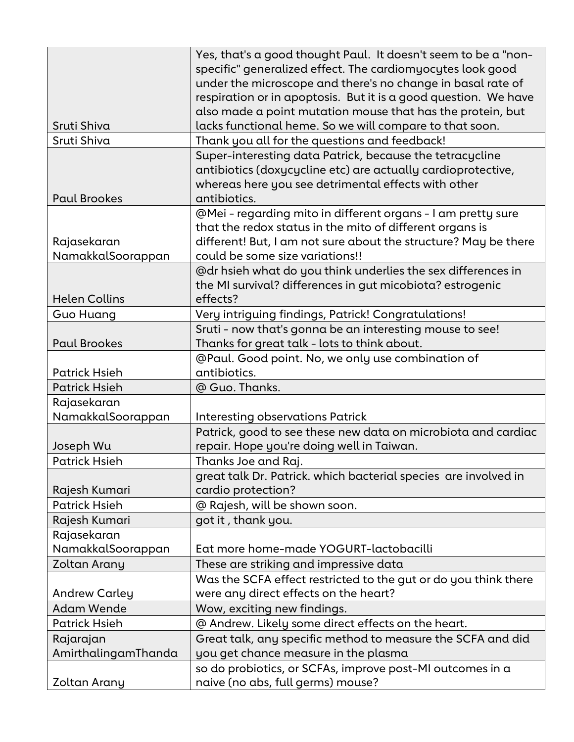|                      | Yes, that's a good thought Paul. It doesn't seem to be a "non-  |
|----------------------|-----------------------------------------------------------------|
|                      | specific" generalized effect. The cardiomyocytes look good      |
|                      | under the microscope and there's no change in basal rate of     |
|                      | respiration or in apoptosis. But it is a good question. We have |
|                      | also made a point mutation mouse that has the protein, but      |
| Sruti Shiva          | lacks functional heme. So we will compare to that soon.         |
| Sruti Shiva          | Thank you all for the questions and feedback!                   |
|                      | Super-interesting data Patrick, because the tetracycline        |
|                      | antibiotics (doxycycline etc) are actually cardioprotective,    |
|                      | whereas here you see detrimental effects with other             |
| <b>Paul Brookes</b>  | antibiotics.                                                    |
|                      | @Mei - regarding mito in different organs - I am pretty sure    |
|                      | that the redox status in the mito of different organs is        |
| Rajasekaran          | different! But, I am not sure about the structure? May be there |
| NamakkalSoorappan    | could be some size variations!!                                 |
|                      | @dr hsieh what do you think underlies the sex differences in    |
|                      | the MI survival? differences in gut micobiota? estrogenic       |
| <b>Helen Collins</b> | effects?                                                        |
| <b>Guo Huang</b>     | Very intriguing findings, Patrick! Congratulations!             |
|                      | Sruti - now that's gonna be an interesting mouse to see!        |
| <b>Paul Brookes</b>  | Thanks for great talk - lots to think about.                    |
|                      | @Paul. Good point. No, we only use combination of               |
| <b>Patrick Hsieh</b> | antibiotics.                                                    |
| <b>Patrick Hsieh</b> | @ Guo. Thanks.                                                  |
| Rajasekaran          |                                                                 |
| NamakkalSoorappan    | <b>Interesting observations Patrick</b>                         |
|                      | Patrick, good to see these new data on microbiota and cardiac   |
| Joseph Wu            | repair. Hope you're doing well in Taiwan.                       |
| <b>Patrick Hsieh</b> | Thanks Joe and Raj.                                             |
|                      | great talk Dr. Patrick. which bacterial species are involved in |
| Rajesh Kumari        | cardio protection?                                              |
| <b>Patrick Hsieh</b> | @ Rajesh, will be shown soon.                                   |
| Rajesh Kumari        | got it, thank you.                                              |
| Rajasekaran          |                                                                 |
| NamakkalSoorappan    | Eat more home-made YOGURT-lactobacilli                          |
| Zoltan Arany         | These are striking and impressive data                          |
|                      | Was the SCFA effect restricted to the gut or do you think there |
| <b>Andrew Carley</b> | were any direct effects on the heart?                           |
| <b>Adam Wende</b>    | Wow, exciting new findings.                                     |
| <b>Patrick Hsieh</b> | @ Andrew. Likely some direct effects on the heart.              |
| Rajarajan            | Great talk, any specific method to measure the SCFA and did     |
| AmirthalingamThanda  | you get chance measure in the plasma                            |
|                      | so do probiotics, or SCFAs, improve post-MI outcomes in a       |
| Zoltan Arany         | naive (no abs, full germs) mouse?                               |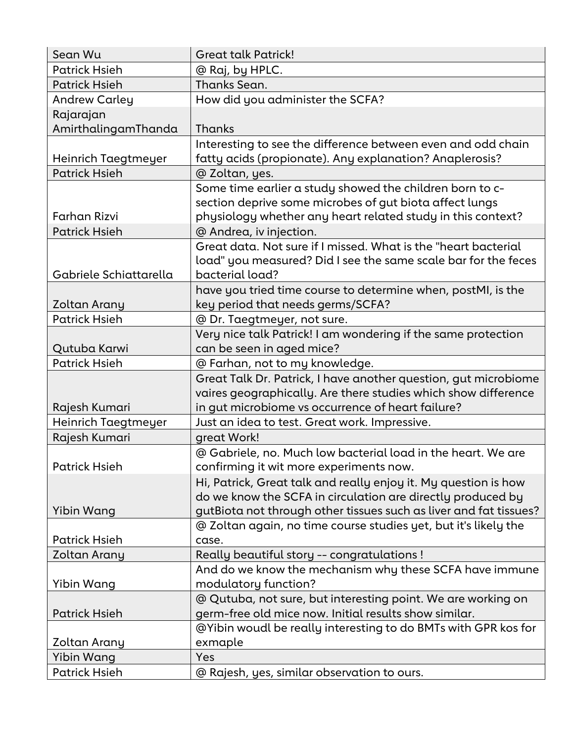| Sean Wu                | <b>Great talk Patrick!</b>                                                                        |
|------------------------|---------------------------------------------------------------------------------------------------|
| <b>Patrick Hsieh</b>   | @ Raj, by HPLC.                                                                                   |
| <b>Patrick Hsieh</b>   | Thanks Sean.                                                                                      |
| <b>Andrew Carley</b>   | How did you administer the SCFA?                                                                  |
| Rajarajan              |                                                                                                   |
| AmirthalingamThanda    | <b>Thanks</b>                                                                                     |
|                        | Interesting to see the difference between even and odd chain                                      |
| Heinrich Taegtmeyer    | fatty acids (propionate). Any explanation? Anaplerosis?                                           |
| <b>Patrick Hsieh</b>   | @ Zoltan, yes.                                                                                    |
|                        | Some time earlier a study showed the children born to c-                                          |
|                        | section deprive some microbes of gut biota affect lungs                                           |
| Farhan Rizvi           | physiology whether any heart related study in this context?                                       |
| <b>Patrick Hsieh</b>   | @ Andrea, iv injection.                                                                           |
|                        | Great data. Not sure if I missed. What is the "heart bacterial                                    |
| Gabriele Schiattarella | load" you measured? Did I see the same scale bar for the feces<br>bacterial load?                 |
|                        |                                                                                                   |
| Zoltan Arany           | have you tried time course to determine when, postMI, is the<br>key period that needs germs/SCFA? |
| <b>Patrick Hsieh</b>   | @ Dr. Taegtmeyer, not sure.                                                                       |
|                        | Very nice talk Patrick! I am wondering if the same protection                                     |
| Qutuba Karwi           | can be seen in aged mice?                                                                         |
| <b>Patrick Hsieh</b>   | @ Farhan, not to my knowledge.                                                                    |
|                        | Great Talk Dr. Patrick, I have another question, gut microbiome                                   |
|                        | vaires geographically. Are there studies which show difference                                    |
| Rajesh Kumari          | in gut microbiome vs occurrence of heart failure?                                                 |
| Heinrich Taegtmeyer    | Just an idea to test. Great work. Impressive.                                                     |
| Rajesh Kumari          | great Work!                                                                                       |
|                        | @ Gabriele, no. Much low bacterial load in the heart. We are                                      |
| <b>Patrick Hsieh</b>   | confirming it wit more experiments now.                                                           |
|                        | Hi, Patrick, Great talk and really enjoy it. My question is how                                   |
|                        | do we know the SCFA in circulation are directly produced by                                       |
| Yibin Wang             | gutBiota not through other tissues such as liver and fat tissues?                                 |
|                        | @ Zoltan again, no time course studies yet, but it's likely the                                   |
| <b>Patrick Hsieh</b>   | case.                                                                                             |
| Zoltan Arany           | Really beautiful story -- congratulations!                                                        |
|                        | And do we know the mechanism why these SCFA have immune                                           |
| Yibin Wang             | modulatory function?                                                                              |
|                        | @ Qutuba, not sure, but interesting point. We are working on                                      |
| <b>Patrick Hsieh</b>   | germ-free old mice now. Initial results show similar.                                             |
|                        | @Yibin woudl be really interesting to do BMTs with GPR kos for                                    |
| Zoltan Arany           | exmaple                                                                                           |
| Yibin Wang             | Yes                                                                                               |
| <b>Patrick Hsieh</b>   | @ Rajesh, yes, similar observation to ours.                                                       |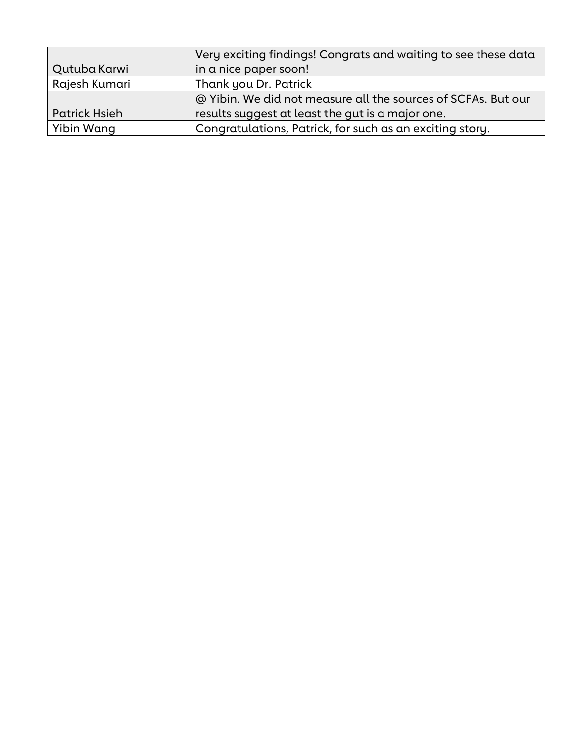|                      | Very exciting findings! Congrats and waiting to see these data |
|----------------------|----------------------------------------------------------------|
| Qutuba Karwi         | in a nice paper soon!                                          |
| Rajesh Kumari        | Thank you Dr. Patrick                                          |
|                      | @ Yibin. We did not measure all the sources of SCFAs. But our  |
| <b>Patrick Hsieh</b> | results suggest at least the gut is a major one.               |
| Yibin Wang           | Congratulations, Patrick, for such as an exciting story.       |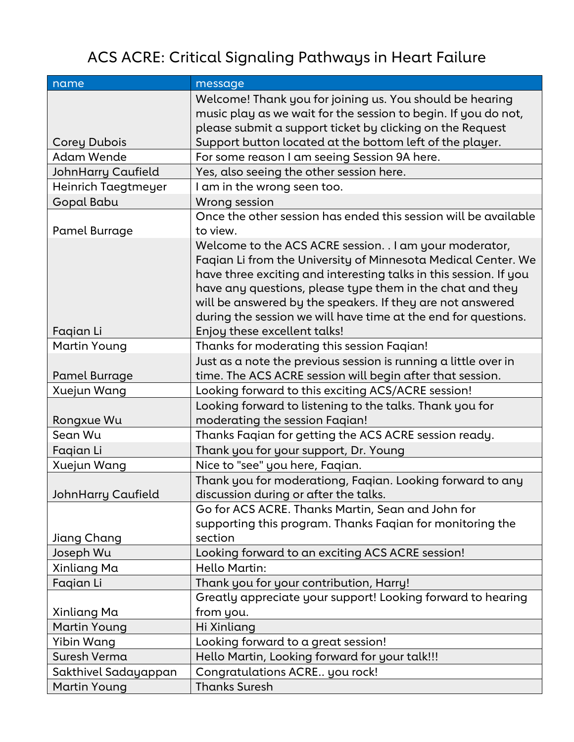# ACS ACRE: Critical Signaling Pathways in Heart Failure

| name                      | message                                                           |
|---------------------------|-------------------------------------------------------------------|
|                           | Welcome! Thank you for joining us. You should be hearing          |
|                           | music play as we wait for the session to begin. If you do not,    |
|                           | please submit a support ticket by clicking on the Request         |
| <b>Corey Dubois</b>       | Support button located at the bottom left of the player.          |
| <b>Adam Wende</b>         | For some reason I am seeing Session 9A here.                      |
| <b>JohnHarry Caufield</b> | Yes, also seeing the other session here.                          |
| Heinrich Taegtmeyer       | I am in the wrong seen too.                                       |
| Gopal Babu                | Wrong session                                                     |
|                           | Once the other session has ended this session will be available   |
| Pamel Burrage             | to view.                                                          |
|                           | Welcome to the ACS ACRE session. . I am your moderator,           |
|                           | Faqian Li from the University of Minnesota Medical Center. We     |
|                           | have three exciting and interesting talks in this session. If you |
|                           | have any questions, please type them in the chat and they         |
|                           | will be answered by the speakers. If they are not answered        |
|                           | during the session we will have time at the end for questions.    |
| Fagian Li                 | Enjoy these excellent talks!                                      |
| Martin Young              | Thanks for moderating this session Faqian!                        |
|                           | Just as a note the previous session is running a little over in   |
| Pamel Burrage             | time. The ACS ACRE session will begin after that session.         |
| Xuejun Wang               | Looking forward to this exciting ACS/ACRE session!                |
|                           | Looking forward to listening to the talks. Thank you for          |
| Rongxue Wu                | moderating the session Faqian!                                    |
| Sean Wu                   | Thanks Faqian for getting the ACS ACRE session ready.             |
| Faqian Li                 | Thank you for your support, Dr. Young                             |
| Xuejun Wang               | Nice to "see" you here, Faqian.                                   |
|                           | Thank you for moderationg, Faqian. Looking forward to any         |
| JohnHarry Caufield        | discussion during or after the talks.                             |
|                           | Go for ACS ACRE. Thanks Martin, Sean and John for                 |
|                           | supporting this program. Thanks Faqian for monitoring the         |
| Jiang Chang               | section                                                           |
| Joseph Wu                 | Looking forward to an exciting ACS ACRE session!                  |
| Xinliang Ma               | Hello Martin:                                                     |
| Faqian Li                 | Thank you for your contribution, Harry!                           |
|                           | Greatly appreciate your support! Looking forward to hearing       |
| Xinliang Ma               | from you.                                                         |
| <b>Martin Young</b>       | Hi Xinliang                                                       |
| Yibin Wang                | Looking forward to a great session!                               |
| Suresh Verma              | Hello Martin, Looking forward for your talk!!!                    |
| Sakthivel Sadayappan      | Congratulations ACRE you rock!                                    |
| <b>Martin Young</b>       | <b>Thanks Suresh</b>                                              |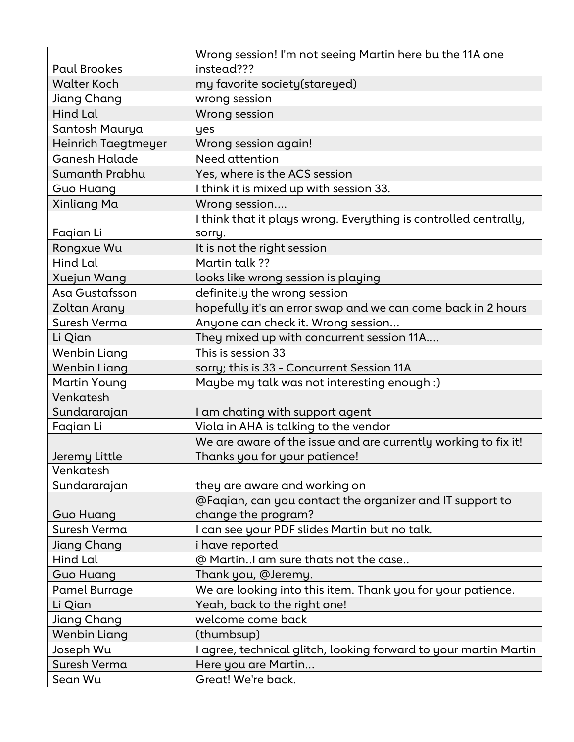| <b>Paul Brookes</b>  | Wrong session! I'm not seeing Martin here bu the 11A one<br>instead??? |
|----------------------|------------------------------------------------------------------------|
| <b>Walter Koch</b>   | my favorite society(stareyed)                                          |
| Jiang Chang          | wrong session                                                          |
| Hind Lal             | Wrong session                                                          |
| Santosh Maurya       | yes                                                                    |
| Heinrich Taegtmeyer  | Wrong session again!                                                   |
| <b>Ganesh Halade</b> | Need attention                                                         |
| Sumanth Prabhu       | Yes, where is the ACS session                                          |
| <b>Guo Huang</b>     | I think it is mixed up with session 33.                                |
| Xinliang Ma          | Wrong session                                                          |
|                      | I think that it plays wrong. Everything is controlled centrally,       |
| Fagian Li            | sorry.                                                                 |
| Rongxue Wu           | It is not the right session                                            |
| Hind Lal             | Martin talk ??                                                         |
| Xuejun Wang          | looks like wrong session is playing                                    |
| Asa Gustafsson       | definitely the wrong session                                           |
| Zoltan Arany         | hopefully it's an error swap and we can come back in 2 hours           |
| Suresh Verma         | Anyone can check it. Wrong session                                     |
| Li Qian              | They mixed up with concurrent session 11A                              |
| Wenbin Liang         | This is session 33                                                     |
| <b>Wenbin Liang</b>  | sorry; this is 33 - Concurrent Session 11A                             |
| <b>Martin Young</b>  | Maybe my talk was not interesting enough :)                            |
| Venkatesh            |                                                                        |
| Sundararajan         | I am chating with support agent                                        |
| Faqian Li            | Viola in AHA is talking to the vendor                                  |
|                      | We are aware of the issue and are currently working to fix it!         |
| Jeremy Little        | Thanks you for your patience!                                          |
| Venkatesh            |                                                                        |
| Sundararajan         | they are aware and working on                                          |
|                      | @Faqian, can you contact the organizer and IT support to               |
| <b>Guo Huang</b>     | change the program?                                                    |
| Suresh Verma         | I can see your PDF slides Martin but no talk.                          |
| Jiang Chang          | i have reported                                                        |
| Hind Lal             | @ Martin am sure thats not the case                                    |
| <b>Guo Huang</b>     | Thank you, @Jeremy.                                                    |
| Pamel Burrage        | We are looking into this item. Thank you for your patience.            |
| Li Qian              | Yeah, back to the right one!                                           |
| Jiang Chang          | welcome come back                                                      |
| <b>Wenbin Liang</b>  | (thumbsup)                                                             |
| Joseph Wu            | I agree, technical glitch, looking forward to your martin Martin       |
| Suresh Verma         | Here you are Martin                                                    |
| Sean Wu              | Great! We're back.                                                     |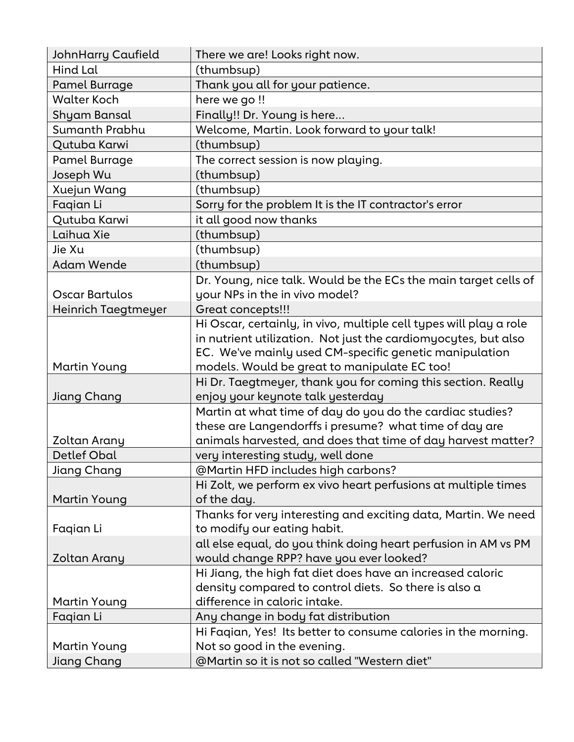| <b>JohnHarry Caufield</b> | There we are! Looks right now.                                               |
|---------------------------|------------------------------------------------------------------------------|
| Hind Lal                  | (thumbsup)                                                                   |
| <b>Pamel Burrage</b>      | Thank you all for your patience.                                             |
| <b>Walter Koch</b>        | here we go!!                                                                 |
| Shyam Bansal              | Finally!! Dr. Young is here                                                  |
| Sumanth Prabhu            | Welcome, Martin. Look forward to your talk!                                  |
| Qutuba Karwi              | (thumbsup)                                                                   |
| Pamel Burrage             | The correct session is now playing.                                          |
| Joseph Wu                 | (thumbsup)                                                                   |
| Xuejun Wang               | (thumbsup)                                                                   |
| Fagian Li                 | Sorry for the problem It is the IT contractor's error                        |
| Qutuba Karwi              | it all good now thanks                                                       |
| Laihua Xie                | (thumbsup)                                                                   |
| Jie Xu                    | (thumbsup)                                                                   |
| <b>Adam Wende</b>         | (thumbsup)                                                                   |
|                           | Dr. Young, nice talk. Would be the ECs the main target cells of              |
| Oscar Bartulos            | your NPs in the in vivo model?                                               |
| Heinrich Taegtmeyer       | Great concepts!!!                                                            |
|                           | Hi Oscar, certainly, in vivo, multiple cell types will play a role           |
|                           | in nutrient utilization. Not just the cardiomyocytes, but also               |
|                           | EC. We've mainly used CM-specific genetic manipulation                       |
| Martin Young              | models. Would be great to manipulate EC too!                                 |
|                           | Hi Dr. Taegtmeyer, thank you for coming this section. Really                 |
| Jiang Chang               | enjoy your keynote talk yesterday                                            |
|                           | Martin at what time of day do you do the cardiac studies?                    |
|                           | these are Langendorffs i presume? what time of day are                       |
| Zoltan Arany              | animals harvested, and does that time of day harvest matter?                 |
| <b>Detlef Obal</b>        | very interesting study, well done                                            |
| Jiang Chang               | @Martin HFD includes high carbons?                                           |
|                           | Hi Zolt, we perform ex vivo heart perfusions at multiple times               |
| Martin Young              | of the day.                                                                  |
|                           | Thanks for very interesting and exciting data, Martin. We need               |
| Faqian Li                 | to modify our eating habit.                                                  |
|                           | all else equal, do you think doing heart perfusion in AM vs PM               |
| Zoltan Arany              | would change RPP? have you ever looked?                                      |
|                           | Hi Jiang, the high fat diet does have an increased caloric                   |
|                           | density compared to control diets. So there is also a                        |
| <b>Martin Young</b>       | difference in caloric intake.                                                |
| Fagian Li                 | Any change in body fat distribution                                          |
|                           | Hi Faqian, Yes! Its better to consume calories in the morning.               |
| <b>Martin Young</b>       |                                                                              |
| Jiang Chang               | Not so good in the evening.<br>@Martin so it is not so called "Western diet" |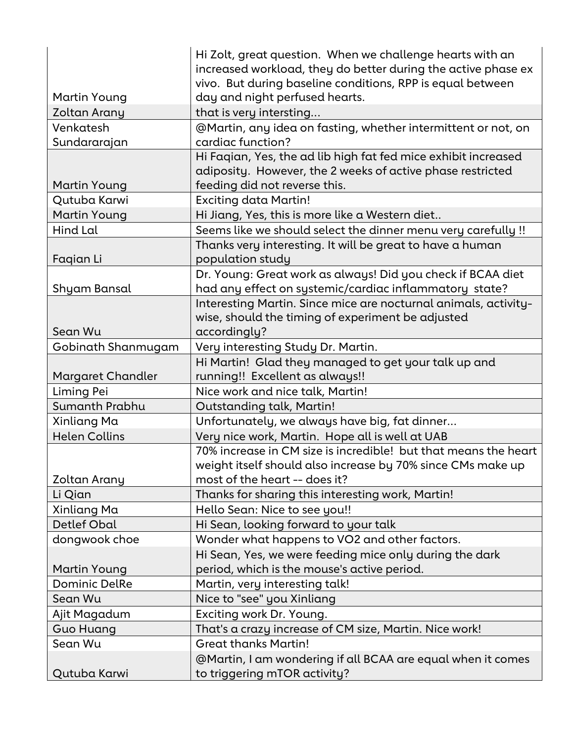|                      | Hi Zolt, great question. When we challenge hearts with an       |
|----------------------|-----------------------------------------------------------------|
|                      | increased workload, they do better during the active phase ex   |
|                      | vivo. But during baseline conditions, RPP is equal between      |
| Martin Young         | day and night perfused hearts.                                  |
| <b>Zoltan Arany</b>  | that is very intersting                                         |
| Venkatesh            | @Martin, any idea on fasting, whether intermittent or not, on   |
| Sundararajan         | cardiac function?                                               |
|                      | Hi Faqian, Yes, the ad lib high fat fed mice exhibit increased  |
|                      | adiposity. However, the 2 weeks of active phase restricted      |
| <b>Martin Young</b>  | feeding did not reverse this.                                   |
| Qutuba Karwi         | <b>Exciting data Martin!</b>                                    |
| <b>Martin Young</b>  | Hi Jiang, Yes, this is more like a Western diet                 |
| Hind Lal             | Seems like we should select the dinner menu very carefully !!   |
|                      | Thanks very interesting. It will be great to have a human       |
| Fagian Li            | population study                                                |
|                      | Dr. Young: Great work as always! Did you check if BCAA diet     |
| Shyam Bansal         | had any effect on systemic/cardiac inflammatory state?          |
|                      | Interesting Martin. Since mice are nocturnal animals, activity- |
|                      | wise, should the timing of experiment be adjusted               |
| Sean Wu              | accordingly?                                                    |
| Gobinath Shanmugam   | Very interesting Study Dr. Martin.                              |
|                      | Hi Martin! Glad they managed to get your talk up and            |
| Margaret Chandler    | running!! Excellent as always!!                                 |
| Liming Pei           | Nice work and nice talk, Martin!                                |
| Sumanth Prabhu       | <b>Outstanding talk, Martin!</b>                                |
| Xinliang Ma          | Unfortunately, we always have big, fat dinner                   |
| <b>Helen Collins</b> | Very nice work, Martin. Hope all is well at UAB                 |
|                      | 70% increase in CM size is incredible! but that means the heart |
|                      | weight itself should also increase by 70% since CMs make up     |
| Zoltan Arany         | most of the heart -- does it?                                   |
| Li Qian              | Thanks for sharing this interesting work, Martin!               |
| Xinliang Ma          | Hello Sean: Nice to see you!!                                   |
| Detlef Obal          | Hi Sean, looking forward to your talk                           |
| dongwook choe        | Wonder what happens to VO2 and other factors.                   |
|                      | Hi Sean, Yes, we were feeding mice only during the dark         |
| <b>Martin Young</b>  | period, which is the mouse's active period.                     |
| <b>Dominic DelRe</b> | Martin, very interesting talk!                                  |
| Sean Wu              | Nice to "see" you Xinliang                                      |
| Ajit Magadum         | Exciting work Dr. Young.                                        |
| Guo Huang            | That's a crazy increase of CM size, Martin. Nice work!          |
| Sean Wu              | <b>Great thanks Martin!</b>                                     |
|                      | @Martin, I am wondering if all BCAA are equal when it comes     |
| Qutuba Karwi         | to triggering mTOR activity?                                    |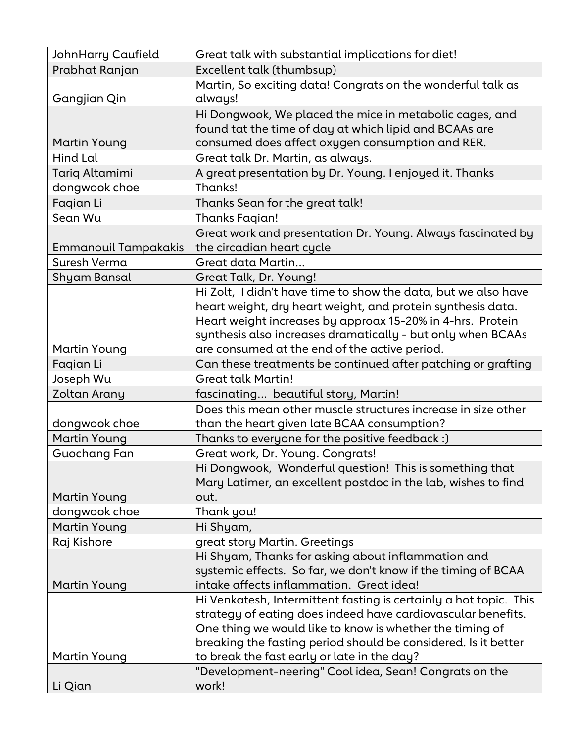| Prabhat Ranjan<br>Excellent talk (thumbsup)<br>Martin, So exciting data! Congrats on the wonderful talk as<br>always!<br>Gangjian Qin<br>Hi Dongwook, We placed the mice in metabolic cages, and<br>found tat the time of day at which lipid and BCAAs are<br>consumed does affect oxygen consumption and RER.<br><b>Martin Young</b><br><b>Hind Lal</b><br>Great talk Dr. Martin, as always.<br>A great presentation by Dr. Young. I enjoyed it. Thanks<br>Tariq Altamimi<br>Thanks!<br>dongwook choe<br>Faqian Li<br>Thanks Sean for the great talk!<br>Sean Wu<br><b>Thanks Fagian!</b><br>Great work and presentation Dr. Young. Always fascinated by<br><b>Emmanouil Tampakakis</b><br>the circadian heart cycle<br>Suresh Verma<br>Great data Martin<br>Great Talk, Dr. Young!<br>Shyam Bansal<br>Hi Zolt, I didn't have time to show the data, but we also have<br>heart weight, dry heart weight, and protein synthesis data.<br>Heart weight increases by approax 15-20% in 4-hrs. Protein<br>synthesis also increases dramatically - but only when BCAAs<br>are consumed at the end of the active period.<br><b>Martin Young</b><br>Faqian Li<br>Can these treatments be continued after patching or grafting<br>Joseph Wu<br><b>Great talk Martin!</b><br>Zoltan Arany<br>fascinating beautiful story, Martin!<br>Does this mean other muscle structures increase in size other<br>than the heart given late BCAA consumption?<br>dongwook choe<br><b>Martin Young</b><br>Thanks to everyone for the positive feedback :)<br>Guochang Fan<br>Great work, Dr. Young. Congrats!<br>Hi Dongwook, Wonderful question! This is something that<br>Mary Latimer, an excellent postdoc in the lab, wishes to find<br>Martin Young<br>out.<br>dongwook choe<br>Thank you!<br><b>Martin Young</b><br>Hi Shyam,<br>Raj Kishore<br>great story Martin. Greetings<br>Hi Shyam, Thanks for asking about inflammation and<br>systemic effects. So far, we don't know if the timing of BCAA<br>intake affects inflammation. Great idea!<br><b>Martin Young</b><br>Hi Venkatesh, Intermittent fasting is certainly a hot topic. This<br>strategy of eating does indeed have cardiovascular benefits.<br>One thing we would like to know is whether the timing of<br>breaking the fasting period should be considered. Is it better<br>to break the fast early or late in the day?<br>Martin Young<br>"Development-neering" Cool idea, Sean! Congrats on the | <b>JohnHarry Caufield</b> | Great talk with substantial implications for diet! |
|-------------------------------------------------------------------------------------------------------------------------------------------------------------------------------------------------------------------------------------------------------------------------------------------------------------------------------------------------------------------------------------------------------------------------------------------------------------------------------------------------------------------------------------------------------------------------------------------------------------------------------------------------------------------------------------------------------------------------------------------------------------------------------------------------------------------------------------------------------------------------------------------------------------------------------------------------------------------------------------------------------------------------------------------------------------------------------------------------------------------------------------------------------------------------------------------------------------------------------------------------------------------------------------------------------------------------------------------------------------------------------------------------------------------------------------------------------------------------------------------------------------------------------------------------------------------------------------------------------------------------------------------------------------------------------------------------------------------------------------------------------------------------------------------------------------------------------------------------------------------------------------------------------------------------------------------------------------------------------------------------------------------------------------------------------------------------------------------------------------------------------------------------------------------------------------------------------------------------------------------------------------------------------------------------------------------------------------------------------------------------------------------------------------------------------------------------------|---------------------------|----------------------------------------------------|
|                                                                                                                                                                                                                                                                                                                                                                                                                                                                                                                                                                                                                                                                                                                                                                                                                                                                                                                                                                                                                                                                                                                                                                                                                                                                                                                                                                                                                                                                                                                                                                                                                                                                                                                                                                                                                                                                                                                                                                                                                                                                                                                                                                                                                                                                                                                                                                                                                                                       |                           |                                                    |
|                                                                                                                                                                                                                                                                                                                                                                                                                                                                                                                                                                                                                                                                                                                                                                                                                                                                                                                                                                                                                                                                                                                                                                                                                                                                                                                                                                                                                                                                                                                                                                                                                                                                                                                                                                                                                                                                                                                                                                                                                                                                                                                                                                                                                                                                                                                                                                                                                                                       |                           |                                                    |
|                                                                                                                                                                                                                                                                                                                                                                                                                                                                                                                                                                                                                                                                                                                                                                                                                                                                                                                                                                                                                                                                                                                                                                                                                                                                                                                                                                                                                                                                                                                                                                                                                                                                                                                                                                                                                                                                                                                                                                                                                                                                                                                                                                                                                                                                                                                                                                                                                                                       |                           |                                                    |
|                                                                                                                                                                                                                                                                                                                                                                                                                                                                                                                                                                                                                                                                                                                                                                                                                                                                                                                                                                                                                                                                                                                                                                                                                                                                                                                                                                                                                                                                                                                                                                                                                                                                                                                                                                                                                                                                                                                                                                                                                                                                                                                                                                                                                                                                                                                                                                                                                                                       |                           |                                                    |
|                                                                                                                                                                                                                                                                                                                                                                                                                                                                                                                                                                                                                                                                                                                                                                                                                                                                                                                                                                                                                                                                                                                                                                                                                                                                                                                                                                                                                                                                                                                                                                                                                                                                                                                                                                                                                                                                                                                                                                                                                                                                                                                                                                                                                                                                                                                                                                                                                                                       |                           |                                                    |
|                                                                                                                                                                                                                                                                                                                                                                                                                                                                                                                                                                                                                                                                                                                                                                                                                                                                                                                                                                                                                                                                                                                                                                                                                                                                                                                                                                                                                                                                                                                                                                                                                                                                                                                                                                                                                                                                                                                                                                                                                                                                                                                                                                                                                                                                                                                                                                                                                                                       |                           |                                                    |
|                                                                                                                                                                                                                                                                                                                                                                                                                                                                                                                                                                                                                                                                                                                                                                                                                                                                                                                                                                                                                                                                                                                                                                                                                                                                                                                                                                                                                                                                                                                                                                                                                                                                                                                                                                                                                                                                                                                                                                                                                                                                                                                                                                                                                                                                                                                                                                                                                                                       |                           |                                                    |
|                                                                                                                                                                                                                                                                                                                                                                                                                                                                                                                                                                                                                                                                                                                                                                                                                                                                                                                                                                                                                                                                                                                                                                                                                                                                                                                                                                                                                                                                                                                                                                                                                                                                                                                                                                                                                                                                                                                                                                                                                                                                                                                                                                                                                                                                                                                                                                                                                                                       |                           |                                                    |
|                                                                                                                                                                                                                                                                                                                                                                                                                                                                                                                                                                                                                                                                                                                                                                                                                                                                                                                                                                                                                                                                                                                                                                                                                                                                                                                                                                                                                                                                                                                                                                                                                                                                                                                                                                                                                                                                                                                                                                                                                                                                                                                                                                                                                                                                                                                                                                                                                                                       |                           |                                                    |
|                                                                                                                                                                                                                                                                                                                                                                                                                                                                                                                                                                                                                                                                                                                                                                                                                                                                                                                                                                                                                                                                                                                                                                                                                                                                                                                                                                                                                                                                                                                                                                                                                                                                                                                                                                                                                                                                                                                                                                                                                                                                                                                                                                                                                                                                                                                                                                                                                                                       |                           |                                                    |
|                                                                                                                                                                                                                                                                                                                                                                                                                                                                                                                                                                                                                                                                                                                                                                                                                                                                                                                                                                                                                                                                                                                                                                                                                                                                                                                                                                                                                                                                                                                                                                                                                                                                                                                                                                                                                                                                                                                                                                                                                                                                                                                                                                                                                                                                                                                                                                                                                                                       |                           |                                                    |
|                                                                                                                                                                                                                                                                                                                                                                                                                                                                                                                                                                                                                                                                                                                                                                                                                                                                                                                                                                                                                                                                                                                                                                                                                                                                                                                                                                                                                                                                                                                                                                                                                                                                                                                                                                                                                                                                                                                                                                                                                                                                                                                                                                                                                                                                                                                                                                                                                                                       |                           |                                                    |
|                                                                                                                                                                                                                                                                                                                                                                                                                                                                                                                                                                                                                                                                                                                                                                                                                                                                                                                                                                                                                                                                                                                                                                                                                                                                                                                                                                                                                                                                                                                                                                                                                                                                                                                                                                                                                                                                                                                                                                                                                                                                                                                                                                                                                                                                                                                                                                                                                                                       |                           |                                                    |
|                                                                                                                                                                                                                                                                                                                                                                                                                                                                                                                                                                                                                                                                                                                                                                                                                                                                                                                                                                                                                                                                                                                                                                                                                                                                                                                                                                                                                                                                                                                                                                                                                                                                                                                                                                                                                                                                                                                                                                                                                                                                                                                                                                                                                                                                                                                                                                                                                                                       |                           |                                                    |
|                                                                                                                                                                                                                                                                                                                                                                                                                                                                                                                                                                                                                                                                                                                                                                                                                                                                                                                                                                                                                                                                                                                                                                                                                                                                                                                                                                                                                                                                                                                                                                                                                                                                                                                                                                                                                                                                                                                                                                                                                                                                                                                                                                                                                                                                                                                                                                                                                                                       |                           |                                                    |
|                                                                                                                                                                                                                                                                                                                                                                                                                                                                                                                                                                                                                                                                                                                                                                                                                                                                                                                                                                                                                                                                                                                                                                                                                                                                                                                                                                                                                                                                                                                                                                                                                                                                                                                                                                                                                                                                                                                                                                                                                                                                                                                                                                                                                                                                                                                                                                                                                                                       |                           |                                                    |
|                                                                                                                                                                                                                                                                                                                                                                                                                                                                                                                                                                                                                                                                                                                                                                                                                                                                                                                                                                                                                                                                                                                                                                                                                                                                                                                                                                                                                                                                                                                                                                                                                                                                                                                                                                                                                                                                                                                                                                                                                                                                                                                                                                                                                                                                                                                                                                                                                                                       |                           |                                                    |
|                                                                                                                                                                                                                                                                                                                                                                                                                                                                                                                                                                                                                                                                                                                                                                                                                                                                                                                                                                                                                                                                                                                                                                                                                                                                                                                                                                                                                                                                                                                                                                                                                                                                                                                                                                                                                                                                                                                                                                                                                                                                                                                                                                                                                                                                                                                                                                                                                                                       |                           |                                                    |
|                                                                                                                                                                                                                                                                                                                                                                                                                                                                                                                                                                                                                                                                                                                                                                                                                                                                                                                                                                                                                                                                                                                                                                                                                                                                                                                                                                                                                                                                                                                                                                                                                                                                                                                                                                                                                                                                                                                                                                                                                                                                                                                                                                                                                                                                                                                                                                                                                                                       |                           |                                                    |
|                                                                                                                                                                                                                                                                                                                                                                                                                                                                                                                                                                                                                                                                                                                                                                                                                                                                                                                                                                                                                                                                                                                                                                                                                                                                                                                                                                                                                                                                                                                                                                                                                                                                                                                                                                                                                                                                                                                                                                                                                                                                                                                                                                                                                                                                                                                                                                                                                                                       |                           |                                                    |
|                                                                                                                                                                                                                                                                                                                                                                                                                                                                                                                                                                                                                                                                                                                                                                                                                                                                                                                                                                                                                                                                                                                                                                                                                                                                                                                                                                                                                                                                                                                                                                                                                                                                                                                                                                                                                                                                                                                                                                                                                                                                                                                                                                                                                                                                                                                                                                                                                                                       |                           |                                                    |
|                                                                                                                                                                                                                                                                                                                                                                                                                                                                                                                                                                                                                                                                                                                                                                                                                                                                                                                                                                                                                                                                                                                                                                                                                                                                                                                                                                                                                                                                                                                                                                                                                                                                                                                                                                                                                                                                                                                                                                                                                                                                                                                                                                                                                                                                                                                                                                                                                                                       |                           |                                                    |
|                                                                                                                                                                                                                                                                                                                                                                                                                                                                                                                                                                                                                                                                                                                                                                                                                                                                                                                                                                                                                                                                                                                                                                                                                                                                                                                                                                                                                                                                                                                                                                                                                                                                                                                                                                                                                                                                                                                                                                                                                                                                                                                                                                                                                                                                                                                                                                                                                                                       |                           |                                                    |
|                                                                                                                                                                                                                                                                                                                                                                                                                                                                                                                                                                                                                                                                                                                                                                                                                                                                                                                                                                                                                                                                                                                                                                                                                                                                                                                                                                                                                                                                                                                                                                                                                                                                                                                                                                                                                                                                                                                                                                                                                                                                                                                                                                                                                                                                                                                                                                                                                                                       |                           |                                                    |
|                                                                                                                                                                                                                                                                                                                                                                                                                                                                                                                                                                                                                                                                                                                                                                                                                                                                                                                                                                                                                                                                                                                                                                                                                                                                                                                                                                                                                                                                                                                                                                                                                                                                                                                                                                                                                                                                                                                                                                                                                                                                                                                                                                                                                                                                                                                                                                                                                                                       |                           |                                                    |
|                                                                                                                                                                                                                                                                                                                                                                                                                                                                                                                                                                                                                                                                                                                                                                                                                                                                                                                                                                                                                                                                                                                                                                                                                                                                                                                                                                                                                                                                                                                                                                                                                                                                                                                                                                                                                                                                                                                                                                                                                                                                                                                                                                                                                                                                                                                                                                                                                                                       |                           |                                                    |
|                                                                                                                                                                                                                                                                                                                                                                                                                                                                                                                                                                                                                                                                                                                                                                                                                                                                                                                                                                                                                                                                                                                                                                                                                                                                                                                                                                                                                                                                                                                                                                                                                                                                                                                                                                                                                                                                                                                                                                                                                                                                                                                                                                                                                                                                                                                                                                                                                                                       |                           |                                                    |
|                                                                                                                                                                                                                                                                                                                                                                                                                                                                                                                                                                                                                                                                                                                                                                                                                                                                                                                                                                                                                                                                                                                                                                                                                                                                                                                                                                                                                                                                                                                                                                                                                                                                                                                                                                                                                                                                                                                                                                                                                                                                                                                                                                                                                                                                                                                                                                                                                                                       | Li Qian                   | work!                                              |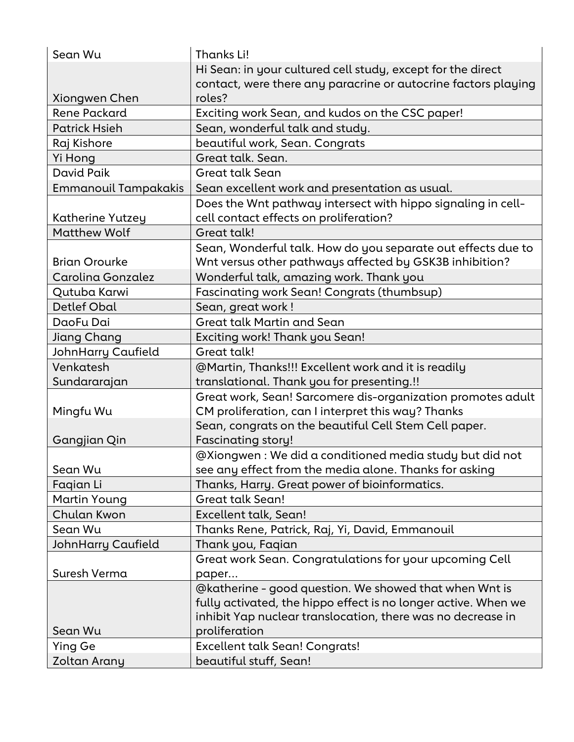| Sean Wu                     | Thanks Li!                                                     |
|-----------------------------|----------------------------------------------------------------|
|                             | Hi Sean: in your cultured cell study, except for the direct    |
|                             | contact, were there any paracrine or autocrine factors playing |
| Xiongwen Chen               | roles?                                                         |
| <b>Rene Packard</b>         | Exciting work Sean, and kudos on the CSC paper!                |
| <b>Patrick Hsieh</b>        | Sean, wonderful talk and study.                                |
| Raj Kishore                 | beautiful work, Sean. Congrats                                 |
| Yi Hong                     | Great talk. Sean.                                              |
| David Paik                  | <b>Great talk Sean</b>                                         |
| <b>Emmanouil Tampakakis</b> | Sean excellent work and presentation as usual.                 |
|                             | Does the Wnt pathway intersect with hippo signaling in cell-   |
| Katherine Yutzey            | cell contact effects on proliferation?                         |
| <b>Matthew Wolf</b>         | Great talk!                                                    |
|                             | Sean, Wonderful talk. How do you separate out effects due to   |
| <b>Brian Orourke</b>        | Wnt versus other pathways affected by GSK3B inhibition?        |
| Carolina Gonzalez           | Wonderful talk, amazing work. Thank you                        |
| Qutuba Karwi                | Fascinating work Sean! Congrats (thumbsup)                     |
| Detlef Obal                 | Sean, great work !                                             |
| DaoFu Dai                   | Great talk Martin and Sean                                     |
| Jiang Chang                 | Exciting work! Thank you Sean!                                 |
| <b>JohnHarry Caufield</b>   | Great talk!                                                    |
| Venkatesh                   | @Martin, Thanks!!! Excellent work and it is readily            |
| Sundararajan                | translational. Thank you for presenting.!!                     |
|                             | Great work, Sean! Sarcomere dis-organization promotes adult    |
| Mingfu Wu                   | CM proliferation, can I interpret this way? Thanks             |
|                             | Sean, congrats on the beautiful Cell Stem Cell paper.          |
| Gangjian Qin                | <b>Fascinating story!</b>                                      |
|                             | @Xiongwen : We did a conditioned media study but did not       |
| Sean Wu                     | see any effect from the media alone. Thanks for asking         |
| Fagian Li                   | Thanks, Harry. Great power of bioinformatics.                  |
| Martin Young                | <b>Great talk Sean!</b>                                        |
| Chulan Kwon                 | Excellent talk, Sean!                                          |
| Sean Wu                     | Thanks Rene, Patrick, Raj, Yi, David, Emmanouil                |
| <b>JohnHarry Caufield</b>   | Thank you, Faqian                                              |
|                             | Great work Sean. Congratulations for your upcoming Cell        |
| Suresh Verma                | paper                                                          |
|                             | @katherine - good question. We showed that when Wnt is         |
|                             | fully activated, the hippo effect is no longer active. When we |
|                             | inhibit Yap nuclear translocation, there was no decrease in    |
| Sean Wu                     | proliferation                                                  |
| Ying Ge                     | <b>Excellent talk Sean! Congrats!</b>                          |
| Zoltan Arany                | beautiful stuff, Sean!                                         |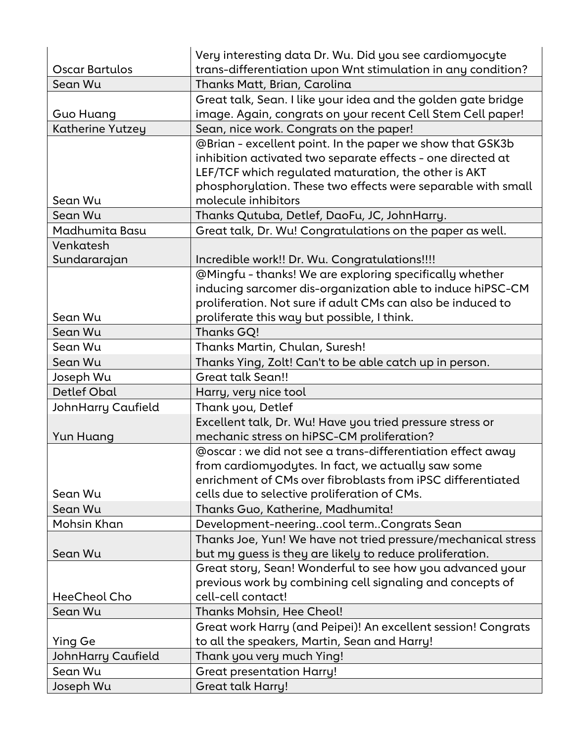|                           | Very interesting data Dr. Wu. Did you see cardiomyocyte       |
|---------------------------|---------------------------------------------------------------|
| Oscar Bartulos            | trans-differentiation upon Wnt stimulation in any condition?  |
| Sean Wu                   | Thanks Matt, Brian, Carolina                                  |
|                           | Great talk, Sean. I like your idea and the golden gate bridge |
| <b>Guo Huang</b>          | image. Again, congrats on your recent Cell Stem Cell paper!   |
| Katherine Yutzey          | Sean, nice work. Congrats on the paper!                       |
|                           | @Brian - excellent point. In the paper we show that GSK3b     |
|                           | inhibition activated two separate effects - one directed at   |
|                           | LEF/TCF which regulated maturation, the other is AKT          |
|                           | phosphorylation. These two effects were separable with small  |
| Sean Wu                   | molecule inhibitors                                           |
| Sean Wu                   | Thanks Qutuba, Detlef, DaoFu, JC, JohnHarry.                  |
| Madhumita Basu            | Great talk, Dr. Wu! Congratulations on the paper as well.     |
| Venkatesh                 |                                                               |
| Sundararajan              | Incredible work!! Dr. Wu. Congratulations!!!!                 |
|                           | @Mingfu - thanks! We are exploring specifically whether       |
|                           | inducing sarcomer dis-organization able to induce hiPSC-CM    |
|                           | proliferation. Not sure if adult CMs can also be induced to   |
| Sean Wu                   | proliferate this way but possible, I think.                   |
| Sean Wu                   | Thanks GQ!                                                    |
| Sean Wu                   | Thanks Martin, Chulan, Suresh!                                |
| Sean Wu                   | Thanks Ying, Zolt! Can't to be able catch up in person.       |
| Joseph Wu                 | <b>Great talk Sean!!</b>                                      |
| Detlef Obal               | Harry, very nice tool                                         |
| <b>JohnHarry Caufield</b> | Thank you, Detlef                                             |
|                           | Excellent talk, Dr. Wu! Have you tried pressure stress or     |
| Yun Huang                 | mechanic stress on hiPSC-CM proliferation?                    |
|                           | @oscar : we did not see a trans-differentiation effect away   |
|                           | from cardiomyodytes. In fact, we actually saw some            |
|                           | enrichment of CMs over fibroblasts from iPSC differentiated   |
| Sean Wu                   | cells due to selective proliferation of CMs.                  |
| Sean Wu                   | Thanks Guo, Katherine, Madhumita!                             |
| Mohsin Khan               | Development-neeringcool termCongrats Sean                     |
|                           | Thanks Joe, Yun! We have not tried pressure/mechanical stress |
| Sean Wu                   | but my guess is they are likely to reduce proliferation.      |
|                           | Great story, Sean! Wonderful to see how you advanced your     |
|                           | previous work by combining cell signaling and concepts of     |
| HeeCheol Cho              | cell-cell contact!                                            |
| Sean Wu                   | <b>Thanks Mohsin, Hee Cheol!</b>                              |
|                           | Great work Harry (and Peipei)! An excellent session! Congrats |
| Ying Ge                   | to all the speakers, Martin, Sean and Harry!                  |
| JohnHarry Caufield        | Thank you very much Ying!                                     |
| Sean Wu                   | <b>Great presentation Harry!</b>                              |
| Joseph Wu                 | <b>Great talk Harry!</b>                                      |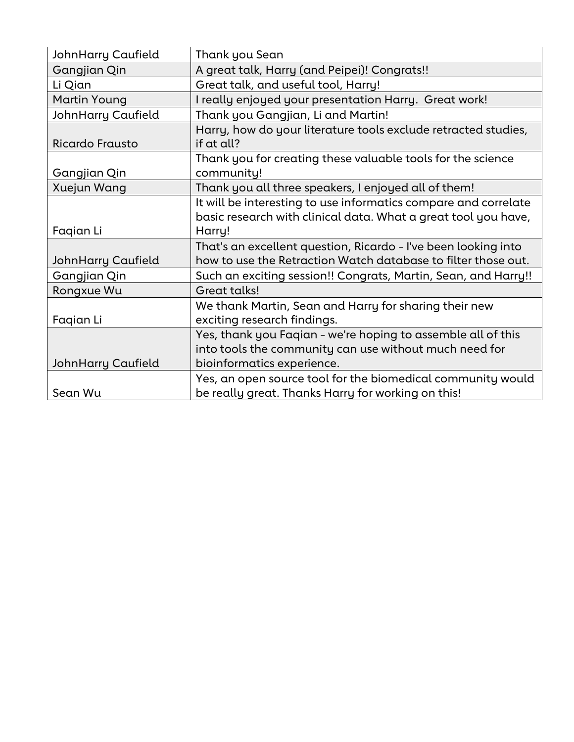| JohnHarry Caufield        | Thank you Sean                                                                                                                                       |
|---------------------------|------------------------------------------------------------------------------------------------------------------------------------------------------|
| Gangjian Qin              | A great talk, Harry (and Peipei)! Congrats!!                                                                                                         |
| Li Qian                   | Great talk, and useful tool, Harry!                                                                                                                  |
| Martin Young              | I really enjoyed your presentation Harry. Great work!                                                                                                |
| <b>JohnHarry Caufield</b> | Thank you Gangjian, Li and Martin!                                                                                                                   |
| <b>Ricardo Frausto</b>    | Harry, how do your literature tools exclude retracted studies,<br>if at all?                                                                         |
| Gangjian Qin              | Thank you for creating these valuable tools for the science<br>community!                                                                            |
| Xuejun Wang               | Thank you all three speakers, I enjoyed all of them!                                                                                                 |
| Faqian Li                 | It will be interesting to use informatics compare and correlate<br>basic research with clinical data. What a great tool you have,<br>Harry!          |
| JohnHarry Caufield        | That's an excellent question, Ricardo - I've been looking into<br>how to use the Retraction Watch database to filter those out.                      |
| Gangjian Qin              | Such an exciting session!! Congrats, Martin, Sean, and Harry!!                                                                                       |
| Rongxue Wu                | Great talks!                                                                                                                                         |
| Faqian Li                 | We thank Martin, Sean and Harry for sharing their new<br>exciting research findings.                                                                 |
| <b>JohnHarry Caufield</b> | Yes, thank you Faqian - we're hoping to assemble all of this<br>into tools the community can use without much need for<br>bioinformatics experience. |
| Sean Wu                   | Yes, an open source tool for the biomedical community would<br>be really great. Thanks Harry for working on this!                                    |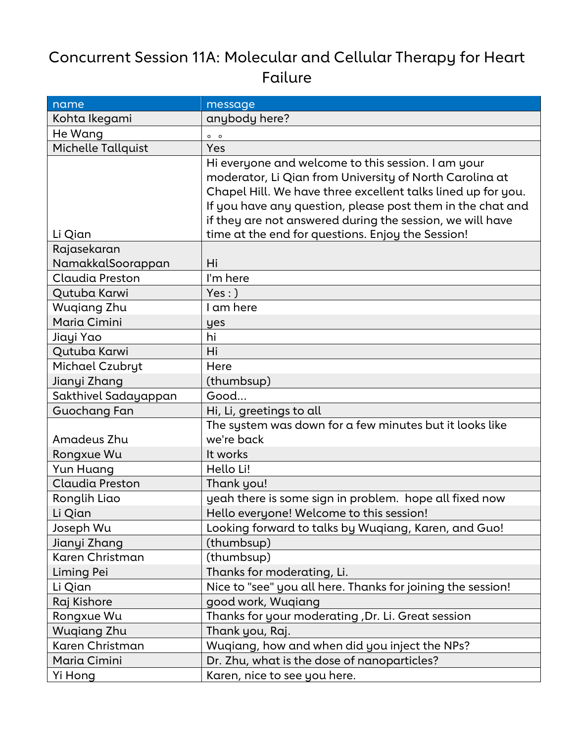### Concurrent Session 11A: Molecular and Cellular Therapy for Heart Failure

| name                   | message                                                                                                                                                                                                                                                                                                                                                       |
|------------------------|---------------------------------------------------------------------------------------------------------------------------------------------------------------------------------------------------------------------------------------------------------------------------------------------------------------------------------------------------------------|
| Kohta Ikegami          | anybody here?                                                                                                                                                                                                                                                                                                                                                 |
| He Wang                | $0$ 0                                                                                                                                                                                                                                                                                                                                                         |
| Michelle Tallquist     | Yes                                                                                                                                                                                                                                                                                                                                                           |
| Li Qian                | Hi everyone and welcome to this session. I am your<br>moderator, Li Qian from University of North Carolina at<br>Chapel Hill. We have three excellent talks lined up for you.<br>If you have any question, please post them in the chat and<br>if they are not answered during the session, we will have<br>time at the end for questions. Enjoy the Session! |
| Rajasekaran            |                                                                                                                                                                                                                                                                                                                                                               |
| NamakkalSoorappan      | Hi                                                                                                                                                                                                                                                                                                                                                            |
| Claudia Preston        | I'm here                                                                                                                                                                                                                                                                                                                                                      |
| Qutuba Karwi           | $Yes:$ )                                                                                                                                                                                                                                                                                                                                                      |
| <b>Wugiang Zhu</b>     | I am here                                                                                                                                                                                                                                                                                                                                                     |
| Maria Cimini           | yes                                                                                                                                                                                                                                                                                                                                                           |
| Jiayi Yao              | hi                                                                                                                                                                                                                                                                                                                                                            |
| Qutuba Karwi           | Hi                                                                                                                                                                                                                                                                                                                                                            |
| Michael Czubryt        | Here                                                                                                                                                                                                                                                                                                                                                          |
| Jianyi Zhang           | (thumbsup)                                                                                                                                                                                                                                                                                                                                                    |
| Sakthivel Sadayappan   | Good                                                                                                                                                                                                                                                                                                                                                          |
| Guochang Fan           | Hi, Li, greetings to all                                                                                                                                                                                                                                                                                                                                      |
| Amadeus Zhu            | The system was down for a few minutes but it looks like<br>we're back                                                                                                                                                                                                                                                                                         |
| Rongxue Wu             | It works                                                                                                                                                                                                                                                                                                                                                      |
| Yun Huang              | Hello Li!                                                                                                                                                                                                                                                                                                                                                     |
| <b>Claudia Preston</b> | Thank you!                                                                                                                                                                                                                                                                                                                                                    |
| Ronglih Liao           | yeah there is some sign in problem. hope all fixed now                                                                                                                                                                                                                                                                                                        |
| Li Qian                | Hello everyone! Welcome to this session!                                                                                                                                                                                                                                                                                                                      |
| Joseph Wu              | Looking forward to talks by Wuqiang, Karen, and Guo!                                                                                                                                                                                                                                                                                                          |
| Jianyi Zhang           | (thumbsup)                                                                                                                                                                                                                                                                                                                                                    |
| Karen Christman        | (thumbsup)                                                                                                                                                                                                                                                                                                                                                    |
| Liming Pei             | Thanks for moderating, Li.                                                                                                                                                                                                                                                                                                                                    |
| Li Qian                | Nice to "see" you all here. Thanks for joining the session!                                                                                                                                                                                                                                                                                                   |
| Raj Kishore            | good work, Wuqiang                                                                                                                                                                                                                                                                                                                                            |
| Rongxue Wu             | Thanks for your moderating, Dr. Li. Great session                                                                                                                                                                                                                                                                                                             |
| Wugiang Zhu            | Thank you, Raj.                                                                                                                                                                                                                                                                                                                                               |
| Karen Christman        | Wuqiang, how and when did you inject the NPs?                                                                                                                                                                                                                                                                                                                 |
| Maria Cimini           | Dr. Zhu, what is the dose of nanoparticles?                                                                                                                                                                                                                                                                                                                   |
| Yi Hong                | Karen, nice to see you here.                                                                                                                                                                                                                                                                                                                                  |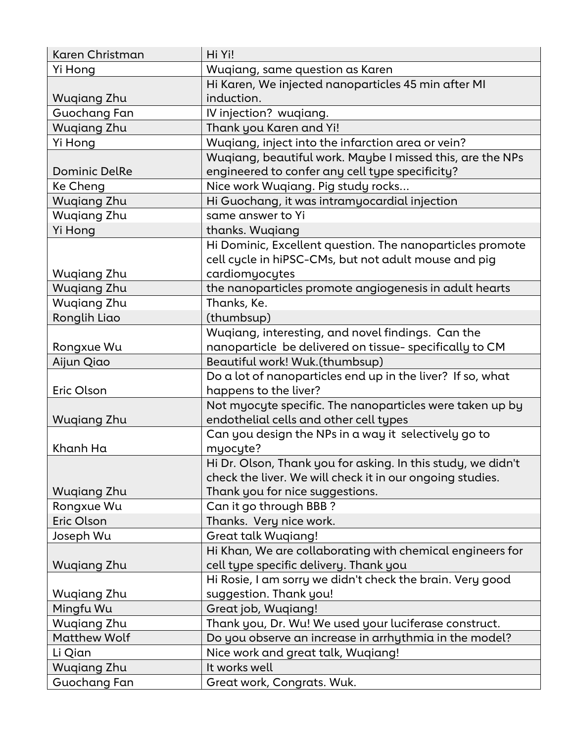| Karen Christman      | Hi Yi!                                                       |
|----------------------|--------------------------------------------------------------|
| Yi Hong              | Wuqiang, same question as Karen                              |
|                      | Hi Karen, We injected nanoparticles 45 min after MI          |
| Wugiang Zhu          | induction.                                                   |
| Guochang Fan         | IV injection? wuqiang.                                       |
| <b>Wuqiang Zhu</b>   | Thank you Karen and Yi!                                      |
| Yi Hong              | Wuqiang, inject into the infarction area or vein?            |
|                      | Wuqiang, beautiful work. Maybe I missed this, are the NPs    |
| <b>Dominic DelRe</b> | engineered to confer any cell type specificity?              |
| Ke Cheng             | Nice work Wuqiang. Pig study rocks                           |
| <b>Wuqiang Zhu</b>   | Hi Guochang, it was intramyocardial injection                |
| <b>Wugiang Zhu</b>   | same answer to Yi                                            |
| Yi Hong              | thanks. Wugiang                                              |
|                      | Hi Dominic, Excellent question. The nanoparticles promote    |
|                      | cell cycle in hiPSC-CMs, but not adult mouse and pig         |
| <b>Wuqiang Zhu</b>   | cardiomyocytes                                               |
| <b>Wugiang Zhu</b>   | the nanoparticles promote angiogenesis in adult hearts       |
| <b>Wugiang Zhu</b>   | Thanks, Ke.                                                  |
| Ronglih Liao         | (thumbsup)                                                   |
|                      | Wuqiang, interesting, and novel findings. Can the            |
| Rongxue Wu           | nanoparticle be delivered on tissue- specifically to CM      |
| Aijun Qiao           | Beautiful work! Wuk.(thumbsup)                               |
|                      | Do a lot of nanoparticles end up in the liver? If so, what   |
| Eric Olson           | happens to the liver?                                        |
|                      | Not myocyte specific. The nanoparticles were taken up by     |
| <b>Wuqiang Zhu</b>   | endothelial cells and other cell types                       |
|                      | Can you design the NPs in a way it selectively go to         |
| Khanh Ha             | myocyte?                                                     |
|                      | Hi Dr. Olson, Thank you for asking. In this study, we didn't |
|                      | check the liver. We will check it in our ongoing studies.    |
| Wugiang Zhu          | Thank you for nice suggestions.                              |
| Rongxue Wu           | Can it go through BBB?                                       |
| Eric Olson           | Thanks. Very nice work.                                      |
| Joseph Wu            | <b>Great talk Wuqiang!</b>                                   |
|                      | Hi Khan, We are collaborating with chemical engineers for    |
| <b>Wugiang Zhu</b>   | cell type specific delivery. Thank you                       |
|                      | Hi Rosie, I am sorry we didn't check the brain. Very good    |
| Wugiang Zhu          | suggestion. Thank you!                                       |
| Mingfu Wu            | Great job, Wuqiang!                                          |
| <b>Wugiang Zhu</b>   | Thank you, Dr. Wu! We used your luciferase construct.        |
| <b>Matthew Wolf</b>  | Do you observe an increase in arrhythmia in the model?       |
| Li Qian              | Nice work and great talk, Wuqiang!                           |
| <b>Wuqiang Zhu</b>   | It works well                                                |
| Guochang Fan         | Great work, Congrats. Wuk.                                   |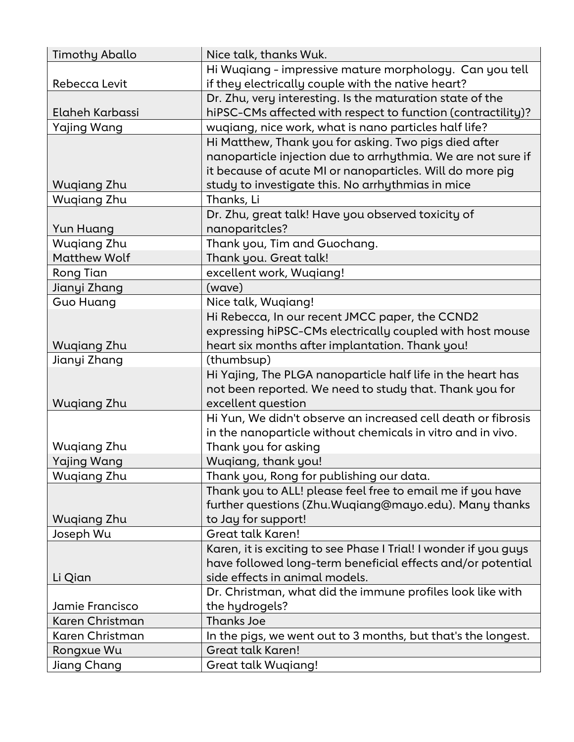| <b>Timothy Aballo</b> | Nice talk, thanks Wuk.                                           |
|-----------------------|------------------------------------------------------------------|
|                       | Hi Wuqiang - impressive mature morphology. Can you tell          |
| Rebecca Levit         | if they electrically couple with the native heart?               |
|                       | Dr. Zhu, very interesting. Is the maturation state of the        |
| Elaheh Karbassi       | hiPSC-CMs affected with respect to function (contractility)?     |
| <b>Yajing Wang</b>    | wuqiang, nice work, what is nano particles half life?            |
|                       | Hi Matthew, Thank you for asking. Two pigs died after            |
|                       | nanoparticle injection due to arrhythmia. We are not sure if     |
|                       | it because of acute MI or nanoparticles. Will do more pig        |
| <b>Wuqiang Zhu</b>    | study to investigate this. No arrhythmias in mice                |
| <b>Wugiang Zhu</b>    | Thanks, Li                                                       |
|                       | Dr. Zhu, great talk! Have you observed toxicity of               |
| Yun Huang             | nanoparitcles?                                                   |
| Wugiang Zhu           | Thank you, Tim and Guochang.                                     |
| <b>Matthew Wolf</b>   | Thank you. Great talk!                                           |
| Rong Tian             | excellent work, Wuqiang!                                         |
| Jianyi Zhang          | (wave)                                                           |
| <b>Guo Huang</b>      | Nice talk, Wuqiang!                                              |
|                       | Hi Rebecca, In our recent JMCC paper, the CCND2                  |
|                       | expressing hiPSC-CMs electrically coupled with host mouse        |
| <b>Wuqiang Zhu</b>    | heart six months after implantation. Thank you!                  |
| Jianyi Zhang          | (thumbsup)                                                       |
|                       | Hi Yajing, The PLGA nanoparticle half life in the heart has      |
|                       | not been reported. We need to study that. Thank you for          |
| <b>Wuqiang Zhu</b>    | excellent question                                               |
|                       | Hi Yun, We didn't observe an increased cell death or fibrosis    |
|                       | in the nanoparticle without chemicals in vitro and in vivo.      |
| Wuqiang Zhu           | Thank you for asking                                             |
| <b>Yajing Wang</b>    | Wuqiang, thank you!                                              |
| <b>Wugiang Zhu</b>    | Thank you, Rong for publishing our data.                         |
|                       | Thank you to ALL! please feel free to email me if you have       |
|                       | further questions (Zhu. Wuqiang@mayo.edu). Many thanks           |
| Wuqiang Zhu           | to Jay for support!                                              |
| Joseph Wu             | <b>Great talk Karen!</b>                                         |
|                       | Karen, it is exciting to see Phase I Trial! I wonder if you guys |
|                       | have followed long-term beneficial effects and/or potential      |
| Li Qian               | side effects in animal models.                                   |
|                       | Dr. Christman, what did the immune profiles look like with       |
| Jamie Francisco       | the hydrogels?                                                   |
| Karen Christman       | <b>Thanks Joe</b>                                                |
| Karen Christman       | In the pigs, we went out to 3 months, but that's the longest.    |
| Rongxue Wu            | Great talk Karen!                                                |
| Jiang Chang           | Great talk Wuqiang!                                              |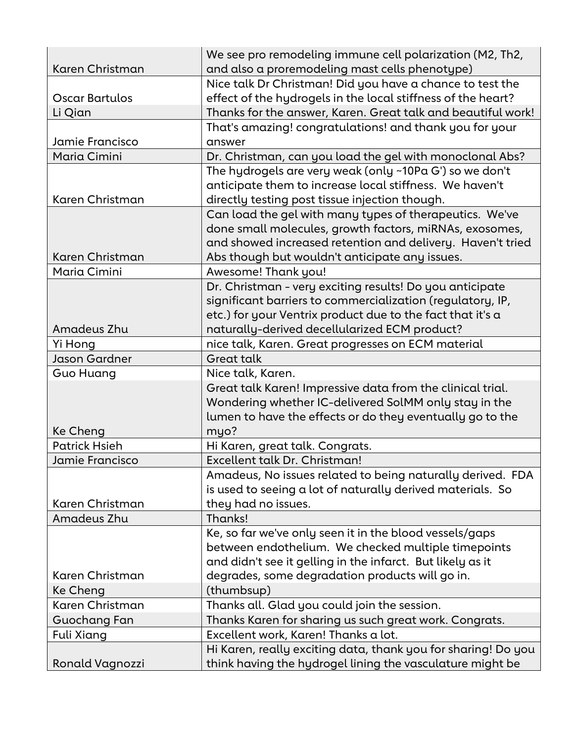| Karen Christman      | We see pro remodeling immune cell polarization (M2, Th2,<br>and also a proremodeling mast cells phenotype) |
|----------------------|------------------------------------------------------------------------------------------------------------|
|                      | Nice talk Dr Christman! Did you have a chance to test the                                                  |
| Oscar Bartulos       | effect of the hydrogels in the local stiffness of the heart?                                               |
| Li Qian              | Thanks for the answer, Karen. Great talk and beautiful work!                                               |
|                      | That's amazing! congratulations! and thank you for your                                                    |
| Jamie Francisco      | answer                                                                                                     |
| Maria Cimini         | Dr. Christman, can you load the gel with monoclonal Abs?                                                   |
|                      | The hydrogels are very weak (only ~10Pa G') so we don't                                                    |
|                      | anticipate them to increase local stiffness. We haven't                                                    |
| Karen Christman      | directly testing post tissue injection though.                                                             |
|                      | Can load the gel with many types of therapeutics. We've                                                    |
|                      | done small molecules, growth factors, miRNAs, exosomes,                                                    |
|                      | and showed increased retention and delivery. Haven't tried                                                 |
| Karen Christman      | Abs though but wouldn't anticipate any issues.                                                             |
| Maria Cimini         | Awesome! Thank you!                                                                                        |
|                      | Dr. Christman - very exciting results! Do you anticipate                                                   |
|                      | significant barriers to commercialization (regulatory, IP,                                                 |
|                      | etc.) for your Ventrix product due to the fact that it's a                                                 |
| Amadeus Zhu          | naturally-derived decellularized ECM product?                                                              |
| Yi Hong              | nice talk, Karen. Great progresses on ECM material                                                         |
| Jason Gardner        | <b>Great talk</b>                                                                                          |
| Guo Huang            | Nice talk, Karen.                                                                                          |
|                      | Great talk Karen! Impressive data from the clinical trial.                                                 |
|                      | Wondering whether IC-delivered SolMM only stay in the                                                      |
|                      | lumen to have the effects or do they eventually go to the                                                  |
| Ke Cheng             | myo?                                                                                                       |
| <b>Patrick Hsieh</b> | Hi Karen, great talk. Congrats.                                                                            |
| Jamie Francisco      | Excellent talk Dr. Christman!                                                                              |
|                      | Amadeus, No issues related to being naturally derived. FDA                                                 |
|                      | is used to seeing a lot of naturally derived materials. So                                                 |
| Karen Christman      | they had no issues.                                                                                        |
| Amadeus Zhu          | Thanks!                                                                                                    |
|                      | Ke, so far we've only seen it in the blood vessels/gaps                                                    |
|                      | between endothelium. We checked multiple timepoints                                                        |
|                      | and didn't see it gelling in the infarct. But likely as it                                                 |
| Karen Christman      | degrades, some degradation products will go in.                                                            |
| Ke Cheng             | (thumbsup)                                                                                                 |
| Karen Christman      | Thanks all. Glad you could join the session.                                                               |
| Guochang Fan         | Thanks Karen for sharing us such great work. Congrats.                                                     |
| Fuli Xiang           | Excellent work, Karen! Thanks a lot.                                                                       |
|                      | Hi Karen, really exciting data, thank you for sharing! Do you                                              |
| Ronald Vagnozzi      | think having the hydrogel lining the vasculature might be                                                  |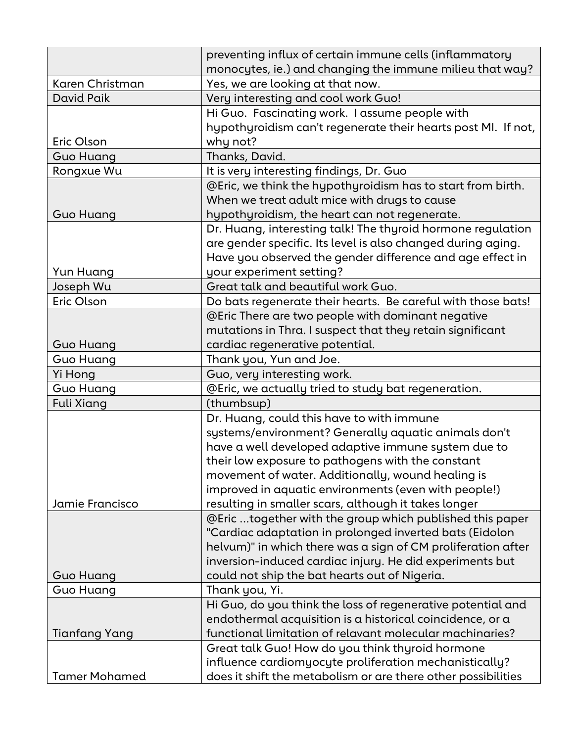|                      | preventing influx of certain immune cells (inflammatory<br>monocytes, ie.) and changing the immune milieu that way? |
|----------------------|---------------------------------------------------------------------------------------------------------------------|
| Karen Christman      | Yes, we are looking at that now.                                                                                    |
| David Paik           | Very interesting and cool work Guo!                                                                                 |
|                      | Hi Guo. Fascinating work. I assume people with                                                                      |
|                      | hypothyroidism can't regenerate their hearts post MI. If not,                                                       |
| Eric Olson           | why not?                                                                                                            |
| <b>Guo Huang</b>     | Thanks, David.                                                                                                      |
| Rongxue Wu           | It is very interesting findings, Dr. Guo                                                                            |
|                      | @Eric, we think the hypothyroidism has to start from birth.                                                         |
|                      | When we treat adult mice with drugs to cause                                                                        |
| <b>Guo Huang</b>     | hypothyroidism, the heart can not regenerate.                                                                       |
|                      | Dr. Huang, interesting talk! The thyroid hormone regulation                                                         |
|                      | are gender specific. Its level is also changed during aging.                                                        |
|                      | Have you observed the gender difference and age effect in                                                           |
| Yun Huang            | your experiment setting?                                                                                            |
| Joseph Wu            | Great talk and beautiful work Guo.                                                                                  |
| Eric Olson           | Do bats regenerate their hearts. Be careful with those bats!                                                        |
|                      | @Eric There are two people with dominant negative                                                                   |
|                      | mutations in Thra. I suspect that they retain significant                                                           |
| <b>Guo Huang</b>     | cardiac regenerative potential.                                                                                     |
| <b>Guo Huang</b>     | Thank you, Yun and Joe.                                                                                             |
| Yi Hong              | Guo, very interesting work.                                                                                         |
| <b>Guo Huang</b>     | @Eric, we actually tried to study bat regeneration.                                                                 |
| <b>Fuli Xiang</b>    | (thumbsup)                                                                                                          |
|                      | Dr. Huang, could this have to with immune                                                                           |
|                      | systems/environment? Generally aquatic animals don't                                                                |
|                      | have a well developed adaptive immune system due to                                                                 |
|                      | their low exposure to pathogens with the constant                                                                   |
|                      | movement of water. Additionally, wound healing is                                                                   |
|                      | improved in aquatic environments (even with people!)                                                                |
| Jamie Francisco      | resulting in smaller scars, although it takes longer                                                                |
|                      | @Eric together with the group which published this paper                                                            |
|                      | "Cardiac adaptation in prolonged inverted bats (Eidolon                                                             |
|                      | helvum)" in which there was a sign of $CM$ proliferation after                                                      |
|                      | inversion-induced cardiac injury. He did experiments but                                                            |
| <b>Guo Huang</b>     | could not ship the bat hearts out of Nigeria.                                                                       |
| <b>Guo Huang</b>     | Thank you, Yi.                                                                                                      |
|                      | Hi Guo, do you think the loss of regenerative potential and                                                         |
|                      | endothermal acquisition is a historical coincidence, or a                                                           |
| <b>Tianfang Yang</b> | functional limitation of relavant molecular machinaries?                                                            |
|                      | Great talk Guo! How do you think thyroid hormone                                                                    |
|                      | influence cardiomyocyte proliferation mechanistically?                                                              |
| <b>Tamer Mohamed</b> | does it shift the metabolism or are there other possibilities                                                       |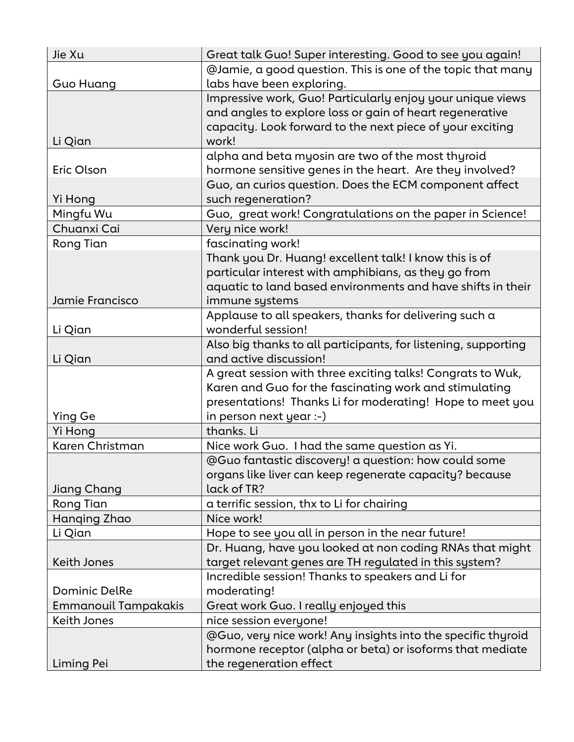| Jie Xu                      | Great talk Guo! Super interesting. Good to see you again!      |
|-----------------------------|----------------------------------------------------------------|
|                             | @Jamie, a good question. This is one of the topic that many    |
| Guo Huang                   | labs have been exploring.                                      |
|                             | Impressive work, Guo! Particularly enjoy your unique views     |
|                             | and angles to explore loss or gain of heart regenerative       |
|                             | capacity. Look forward to the next piece of your exciting      |
| Li Qian                     | work!                                                          |
|                             | alpha and beta myosin are two of the most thyroid              |
| Eric Olson                  | hormone sensitive genes in the heart. Are they involved?       |
|                             | Guo, an curios question. Does the ECM component affect         |
| Yi Hong                     | such regeneration?                                             |
| Mingfu Wu                   | Guo, great work! Congratulations on the paper in Science!      |
| Chuanxi Cai                 | Very nice work!                                                |
| Rong Tian                   | fascinating work!                                              |
|                             | Thank you Dr. Huang! excellent talk! I know this is of         |
|                             | particular interest with amphibians, as they go from           |
|                             | aquatic to land based environments and have shifts in their    |
| Jamie Francisco             | immune systems                                                 |
|                             | Applause to all speakers, thanks for delivering such a         |
| Li Qian                     | wonderful session!                                             |
|                             | Also big thanks to all participants, for listening, supporting |
| Li Qian                     | and active discussion!                                         |
|                             | A great session with three exciting talks! Congrats to Wuk,    |
|                             | Karen and Guo for the fascinating work and stimulating         |
|                             | presentations! Thanks Li for moderating! Hope to meet you      |
| Ying Ge                     | in person next year :-)                                        |
| Yi Hong                     | thanks. Li                                                     |
| Karen Christman             | Nice work Guo. I had the same question as Yi.                  |
|                             | @Guo fantastic discovery! a question: how could some           |
|                             | organs like liver can keep regenerate capacity? because        |
| Jiang Chang                 | lack of TR?                                                    |
| Rong Tian                   | a terrific session, thx to Li for chairing                     |
| Hanging Zhao                | Nice work!                                                     |
| Li Qian                     | Hope to see you all in person in the near future!              |
|                             | Dr. Huang, have you looked at non coding RNAs that might       |
| <b>Keith Jones</b>          | target relevant genes are TH regulated in this system?         |
|                             | Incredible session! Thanks to speakers and Li for              |
| <b>Dominic DelRe</b>        | moderating!                                                    |
| <b>Emmanouil Tampakakis</b> | Great work Guo. I really enjoyed this                          |
| Keith Jones                 | nice session everyone!                                         |
|                             | @Guo, very nice work! Any insights into the specific thyroid   |
|                             | hormone receptor (alpha or beta) or isoforms that mediate      |
| Liming Pei                  | the regeneration effect                                        |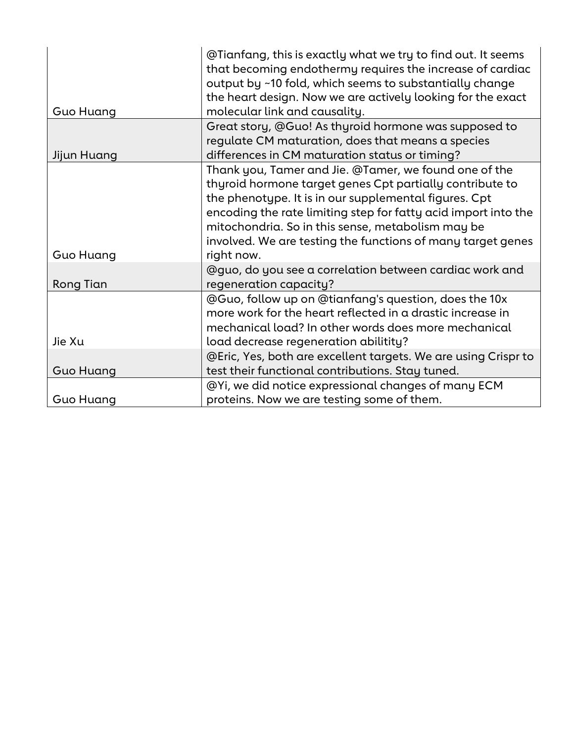| Guo Huang        | @Tianfang, this is exactly what we try to find out. It seems<br>that becoming endothermy requires the increase of cardiac<br>output by ~10 fold, which seems to substantially change<br>the heart design. Now we are actively looking for the exact<br>molecular link and causality.                                                                                           |
|------------------|--------------------------------------------------------------------------------------------------------------------------------------------------------------------------------------------------------------------------------------------------------------------------------------------------------------------------------------------------------------------------------|
|                  | Great story, @Guo! As thyroid hormone was supposed to                                                                                                                                                                                                                                                                                                                          |
| Jijun Huang      | regulate CM maturation, does that means a species<br>differences in CM maturation status or timing?                                                                                                                                                                                                                                                                            |
| Guo Huang        | Thank you, Tamer and Jie. @Tamer, we found one of the<br>thyroid hormone target genes Cpt partially contribute to<br>the phenotype. It is in our supplemental figures. Cpt<br>encoding the rate limiting step for fatty acid import into the<br>mitochondria. So in this sense, metabolism may be<br>involved. We are testing the functions of many target genes<br>right now. |
| Rong Tian        | @guo, do you see a correlation between cardiac work and<br>regeneration capacity?                                                                                                                                                                                                                                                                                              |
|                  | @Guo, follow up on @tianfang's question, does the 10x<br>more work for the heart reflected in a drastic increase in<br>mechanical load? In other words does more mechanical                                                                                                                                                                                                    |
| Jie Xu           | load decrease regeneration abilitity?                                                                                                                                                                                                                                                                                                                                          |
|                  | @Eric, Yes, both are excellent targets. We are using Crispr to                                                                                                                                                                                                                                                                                                                 |
| <b>Guo Huang</b> | test their functional contributions. Stay tuned.                                                                                                                                                                                                                                                                                                                               |
|                  | @Yi, we did notice expressional changes of many ECM                                                                                                                                                                                                                                                                                                                            |
| Guo Huang        | proteins. Now we are testing some of them.                                                                                                                                                                                                                                                                                                                                     |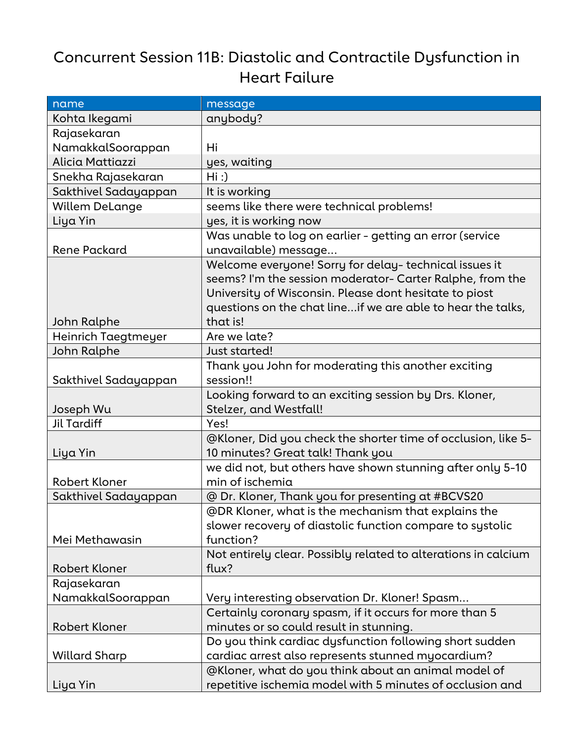## Concurrent Session 11B: Diastolic and Contractile Dysfunction in Heart Failure

| name                  | message                                                        |
|-----------------------|----------------------------------------------------------------|
| Kohta Ikegami         | anybody?                                                       |
| Rajasekaran           |                                                                |
| NamakkalSoorappan     | Hi                                                             |
| Alicia Mattiazzi      | yes, waiting                                                   |
| Snekha Rajasekaran    | Hi:                                                            |
| Sakthivel Sadayappan  | It is working                                                  |
| <b>Willem DeLange</b> | seems like there were technical problems!                      |
| Liya Yin              | yes, it is working now                                         |
|                       | Was unable to log on earlier - getting an error (service       |
| Rene Packard          | unavailable) message                                           |
|                       | Welcome everyone! Sorry for delay-technical issues it          |
|                       | seems? I'm the session moderator- Carter Ralphe, from the      |
|                       | University of Wisconsin. Please dont hesitate to piost         |
|                       | questions on the chat lineif we are able to hear the talks,    |
| John Ralphe           | that is!                                                       |
| Heinrich Taegtmeyer   | Are we late?                                                   |
| John Ralphe           | Just started!                                                  |
|                       | Thank you John for moderating this another exciting            |
| Sakthivel Sadayappan  | session!!                                                      |
|                       | Looking forward to an exciting session by Drs. Kloner,         |
| Joseph Wu             | Stelzer, and Westfall!                                         |
| <b>Jil Tardiff</b>    | Yes!                                                           |
|                       | @Kloner, Did you check the shorter time of occlusion, like 5-  |
| Liya Yin              | 10 minutes? Great talk! Thank you                              |
|                       | we did not, but others have shown stunning after only 5-10     |
| <b>Robert Kloner</b>  | min of ischemia                                                |
| Sakthivel Sadayappan  | @ Dr. Kloner, Thank you for presenting at #BCVS20              |
|                       | @DR Kloner, what is the mechanism that explains the            |
|                       | slower recovery of diastolic function compare to systolic      |
| Mei Methawasin        | function?                                                      |
|                       | Not entirely clear. Possibly related to alterations in calcium |
| <b>Robert Kloner</b>  | flux?                                                          |
| Rajasekaran           |                                                                |
| NamakkalSoorappan     | Very interesting observation Dr. Kloner! Spasm                 |
|                       | Certainly coronary spasm, if it occurs for more than 5         |
| <b>Robert Kloner</b>  | minutes or so could result in stunning.                        |
|                       | Do you think cardiac dysfunction following short sudden        |
| <b>Willard Sharp</b>  | cardiac arrest also represents stunned myocardium?             |
|                       | @Kloner, what do you think about an animal model of            |
| Liya Yin              | repetitive ischemia model with 5 minutes of occlusion and      |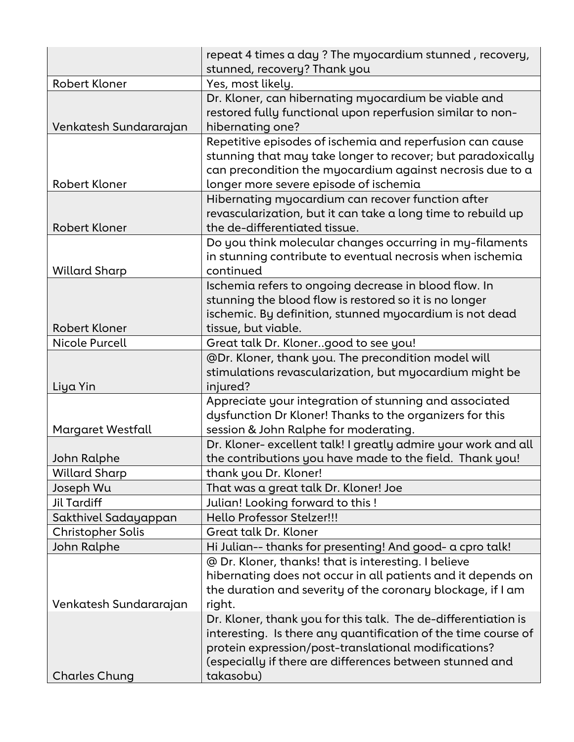|                                   | repeat 4 times a day ? The myocardium stunned, recovery,<br>stunned, recovery? Thank you                                                                                                                                        |
|-----------------------------------|---------------------------------------------------------------------------------------------------------------------------------------------------------------------------------------------------------------------------------|
| <b>Robert Kloner</b>              | Yes, most likely.                                                                                                                                                                                                               |
| Venkatesh Sundararajan            | Dr. Kloner, can hibernating myocardium be viable and<br>restored fully functional upon reperfusion similar to non-<br>hibernating one?                                                                                          |
| <b>Robert Kloner</b>              | Repetitive episodes of ischemia and reperfusion can cause<br>stunning that may take longer to recover; but paradoxically<br>can precondition the myocardium against necrosis due to a<br>longer more severe episode of ischemia |
| <b>Robert Kloner</b>              | Hibernating myocardium can recover function after<br>revascularization, but it can take a long time to rebuild up<br>the de-differentiated tissue.                                                                              |
|                                   |                                                                                                                                                                                                                                 |
| <b>Willard Sharp</b>              | Do you think molecular changes occurring in my-filaments<br>in stunning contribute to eventual necrosis when ischemia<br>continued                                                                                              |
| <b>Robert Kloner</b>              | Ischemia refers to ongoing decrease in blood flow. In<br>stunning the blood flow is restored so it is no longer<br>ischemic. By definition, stunned myocardium is not dead<br>tissue, but viable.                               |
| <b>Nicole Purcell</b>             | Great talk Dr. Klonergood to see you!                                                                                                                                                                                           |
|                                   | @Dr. Kloner, thank you. The precondition model will<br>stimulations revascularization, but myocardium might be                                                                                                                  |
| Liya Yin                          | injured?                                                                                                                                                                                                                        |
|                                   | Appreciate your integration of stunning and associated                                                                                                                                                                          |
|                                   | dysfunction Dr Kloner! Thanks to the organizers for this                                                                                                                                                                        |
| Margaret Westfall                 | session & John Ralphe for moderating.                                                                                                                                                                                           |
|                                   | Dr. Kloner- excellent talk! I greatly admire your work and all                                                                                                                                                                  |
| John Ralphe                       | the contributions you have made to the field. Thank you!                                                                                                                                                                        |
| <b>Willard Sharp</b><br>Joseph Wu | thank you Dr. Kloner!<br>That was a great talk Dr. Kloner! Joe                                                                                                                                                                  |
| <b>Jil Tardiff</b>                | Julian! Looking forward to this!                                                                                                                                                                                                |
| Sakthivel Sadayappan              | Hello Professor Stelzer!!!                                                                                                                                                                                                      |
| Christopher Solis                 | Great talk Dr. Kloner                                                                                                                                                                                                           |
| John Ralphe                       | Hi Julian-- thanks for presenting! And good- a cpro talk!                                                                                                                                                                       |
|                                   | @ Dr. Kloner, thanks! that is interesting. I believe                                                                                                                                                                            |
|                                   | hibernating does not occur in all patients and it depends on                                                                                                                                                                    |
|                                   | the duration and severity of the coronary blockage, if I am                                                                                                                                                                     |
| Venkatesh Sundararajan            | right.                                                                                                                                                                                                                          |
|                                   | Dr. Kloner, thank you for this talk. The de-differentiation is                                                                                                                                                                  |
|                                   | interesting. Is there any quantification of the time course of<br>protein expression/post-translational modifications?<br>(especially if there are differences between stunned and<br>takasobu)                                 |
| <b>Charles Chung</b>              |                                                                                                                                                                                                                                 |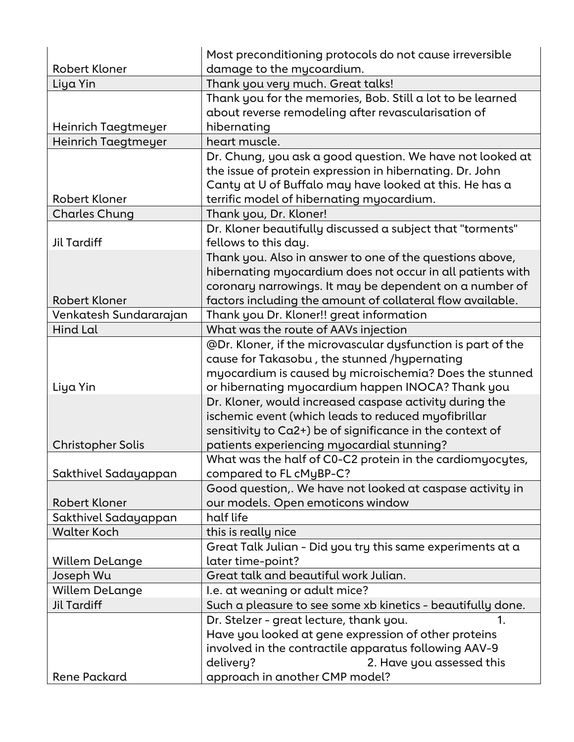|                          | Most preconditioning protocols do not cause irreversible     |
|--------------------------|--------------------------------------------------------------|
| <b>Robert Kloner</b>     | damage to the mycoardium.                                    |
| Liya Yin                 | Thank you very much. Great talks!                            |
|                          | Thank you for the memories, Bob. Still a lot to be learned   |
|                          | about reverse remodeling after revascularisation of          |
| Heinrich Taegtmeyer      | hibernating                                                  |
| Heinrich Taegtmeyer      | heart muscle.                                                |
|                          | Dr. Chung, you ask a good question. We have not looked at    |
|                          | the issue of protein expression in hibernating. Dr. John     |
|                          | Canty at U of Buffalo may have looked at this. He has a      |
| <b>Robert Kloner</b>     | terrific model of hibernating myocardium.                    |
| <b>Charles Chung</b>     | Thank you, Dr. Kloner!                                       |
|                          | Dr. Kloner beautifully discussed a subject that "torments"   |
| <b>Jil Tardiff</b>       | fellows to this day.                                         |
|                          | Thank you. Also in answer to one of the questions above,     |
|                          | hibernating myocardium does not occur in all patients with   |
|                          | coronary narrowings. It may be dependent on a number of      |
| <b>Robert Kloner</b>     | factors including the amount of collateral flow available.   |
| Venkatesh Sundararajan   | Thank you Dr. Kloner!! great information                     |
| Hind Lal                 | What was the route of AAVs injection                         |
|                          | @Dr. Kloner, if the microvascular dysfunction is part of the |
|                          | cause for Takasobu, the stunned /hypernating                 |
|                          | myocardium is caused by microischemia? Does the stunned      |
| Liya Yin                 | or hibernating myocardium happen INOCA? Thank you            |
|                          | Dr. Kloner, would increased caspase activity during the      |
|                          | ischemic event (which leads to reduced myofibrillar          |
|                          | sensitivity to Ca2+) be of significance in the context of    |
| <b>Christopher Solis</b> | patients experiencing myocardial stunning?                   |
|                          | What was the half of C0-C2 protein in the cardiomyocytes,    |
| Sakthivel Sadayappan     | compared to FL cMyBP-C?                                      |
|                          | Good question,. We have not looked at caspase activity in    |
| <b>Robert Kloner</b>     | our models. Open emoticons window                            |
| Sakthivel Sadayappan     | half life                                                    |
| <b>Walter Koch</b>       | this is really nice                                          |
|                          | Great Talk Julian - Did you try this same experiments at a   |
| <b>Willem DeLange</b>    | later time-point?                                            |
| Joseph Wu                | Great talk and beautiful work Julian.                        |
| <b>Willem DeLange</b>    | I.e. at weaning or adult mice?                               |
| <b>Jil Tardiff</b>       | Such a pleasure to see some xb kinetics - beautifully done.  |
|                          | Dr. Stelzer - great lecture, thank you.<br>1.                |
|                          | Have you looked at gene expression of other proteins         |
|                          | involved in the contractile apparatus following AAV-9        |
|                          | delivery?<br>2. Have you assessed this                       |
| <b>Rene Packard</b>      | approach in another CMP model?                               |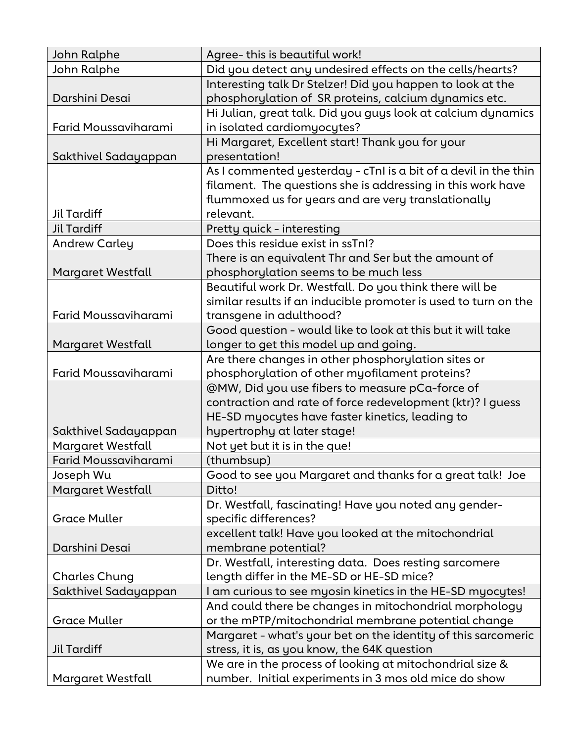| John Ralphe                 | Agree-this is beautiful work!                                     |
|-----------------------------|-------------------------------------------------------------------|
| John Ralphe                 | Did you detect any undesired effects on the cells/hearts?         |
|                             | Interesting talk Dr Stelzer! Did you happen to look at the        |
| Darshini Desai              | phosphorylation of SR proteins, calcium dynamics etc.             |
|                             | Hi Julian, great talk. Did you guys look at calcium dynamics      |
| Farid Moussaviharami        | in isolated cardiomyocytes?                                       |
|                             | Hi Margaret, Excellent start! Thank you for your                  |
| Sakthivel Sadayappan        | presentation!                                                     |
|                             | As I commented yesterday - $cTnI$ is a bit of a devil in the thin |
|                             | filament. The questions she is addressing in this work have       |
|                             | flummoxed us for years and are very translationally               |
| Jil Tardiff                 | relevant.                                                         |
| <b>Jil Tardiff</b>          | Pretty quick - interesting                                        |
| <b>Andrew Carley</b>        | Does this residue exist in ssTnI?                                 |
|                             | There is an equivalent Thr and Ser but the amount of              |
| Margaret Westfall           | phosphorylation seems to be much less                             |
|                             | Beautiful work Dr. Westfall. Do you think there will be           |
|                             | similar results if an inducible promoter is used to turn on the   |
| <b>Farid Moussaviharami</b> | transgene in adulthood?                                           |
|                             | Good question - would like to look at this but it will take       |
| Margaret Westfall           | longer to get this model up and going.                            |
|                             | Are there changes in other phosphorylation sites or               |
| <b>Farid Moussaviharami</b> | phosphorylation of other myofilament proteins?                    |
|                             | @MW, Did you use fibers to measure pCa-force of                   |
|                             | contraction and rate of force redevelopment (ktr)? I guess        |
|                             | HE-SD myocytes have faster kinetics, leading to                   |
| Sakthivel Sadayappan        | hypertrophy at later stage!                                       |
| Margaret Westfall           | Not yet but it is in the que!                                     |
| <b>Farid Moussaviharami</b> | (thumbsup)                                                        |
| Joseph Wu                   | Good to see you Margaret and thanks for a great talk! Joe         |
| Margaret Westfall           | Ditto!                                                            |
|                             | Dr. Westfall, fascinating! Have you noted any gender-             |
| <b>Grace Muller</b>         | specific differences?                                             |
|                             | excellent talk! Have you looked at the mitochondrial              |
| Darshini Desai              | membrane potential?                                               |
|                             | Dr. Westfall, interesting data. Does resting sarcomere            |
| <b>Charles Chung</b>        | length differ in the ME-SD or HE-SD mice?                         |
| Sakthivel Sadayappan        | I am curious to see myosin kinetics in the HE-SD myocytes!        |
|                             | And could there be changes in mitochondrial morphology            |
| <b>Grace Muller</b>         | or the mPTP/mitochondrial membrane potential change               |
|                             | Margaret - what's your bet on the identity of this sarcomeric     |
| Jil Tardiff                 | stress, it is, as you know, the 64K question                      |
|                             | We are in the process of looking at mitochondrial size &          |
| Margaret Westfall           | number. Initial experiments in 3 mos old mice do show             |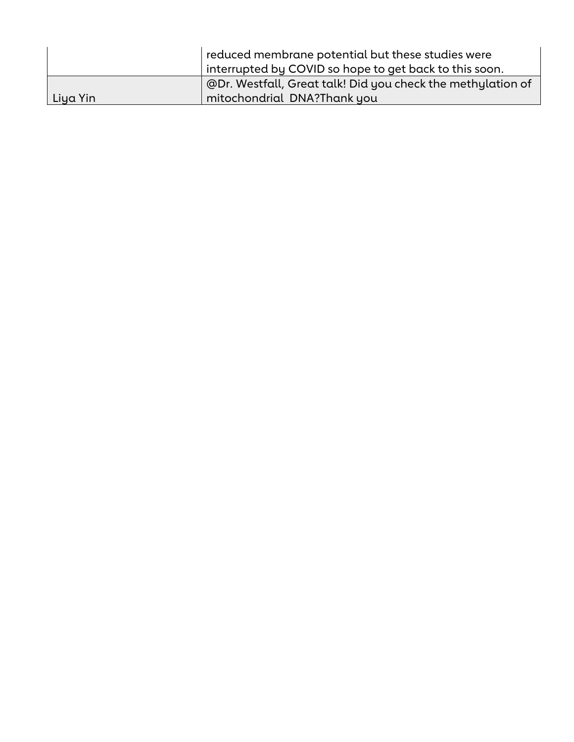|          | reduced membrane potential but these studies were           |
|----------|-------------------------------------------------------------|
|          | interrupted by COVID so hope to get back to this soon.      |
|          | @Dr. Westfall, Great talk! Did you check the methylation of |
| Liya Yin | mitochondrial DNA?Thank you                                 |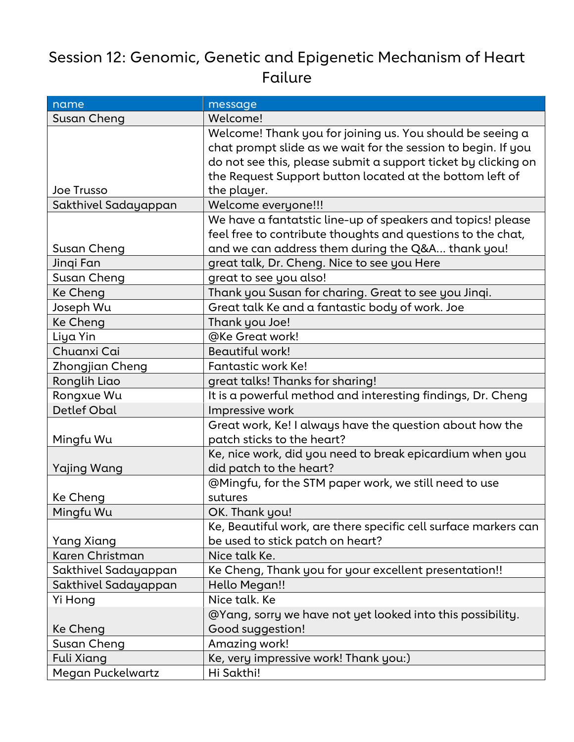## Session 12: Genomic, Genetic and Epigenetic Mechanism of Heart Failure

| name                 | message                                                         |
|----------------------|-----------------------------------------------------------------|
| Susan Cheng          | Welcome!                                                        |
|                      | Welcome! Thank you for joining us. You should be seeing a       |
|                      | chat prompt slide as we wait for the session to begin. If you   |
|                      | do not see this, please submit a support ticket by clicking on  |
|                      | the Request Support button located at the bottom left of        |
| Joe Trusso           | the player.                                                     |
| Sakthivel Sadayappan | Welcome everyone!!!                                             |
|                      | We have a fantatstic line-up of speakers and topics! please     |
|                      | feel free to contribute thoughts and questions to the chat,     |
| Susan Cheng          | and we can address them during the Q&A thank you!               |
| Jinqi Fan            | great talk, Dr. Cheng. Nice to see you Here                     |
| Susan Cheng          | great to see you also!                                          |
| Ke Cheng             | Thank you Susan for charing. Great to see you Jinqi.            |
| Joseph Wu            | Great talk Ke and a fantastic body of work. Joe                 |
| Ke Cheng             | Thank you Joe!                                                  |
| Liya Yin             | @Ke Great work!                                                 |
| Chuanxi Cai          | <b>Beautiful work!</b>                                          |
| Zhongjian Cheng      | Fantastic work Ke!                                              |
| Ronglih Liao         | great talks! Thanks for sharing!                                |
| Rongxue Wu           | It is a powerful method and interesting findings, Dr. Cheng     |
| <b>Detlef Obal</b>   | Impressive work                                                 |
|                      | Great work, Ke! I always have the question about how the        |
| Mingfu Wu            | patch sticks to the heart?                                      |
|                      | Ke, nice work, did you need to break epicardium when you        |
| Yajing Wang          | did patch to the heart?                                         |
|                      | @Mingfu, for the STM paper work, we still need to use           |
| Ke Cheng             | sutures                                                         |
| Mingfu Wu            | OK. Thank you!                                                  |
|                      | Ke, Beautiful work, are there specific cell surface markers can |
| Yang Xiang           | be used to stick patch on heart?                                |
| Karen Christman      | Nice talk Ke.                                                   |
| Sakthivel Sadayappan | Ke Cheng, Thank you for your excellent presentation!!           |
| Sakthivel Sadayappan | Hello Megan!!                                                   |
| Yi Hong              | Nice talk. Ke                                                   |
|                      | @Yang, sorry we have not yet looked into this possibility.      |
| Ke Cheng             | Good suggestion!                                                |
| Susan Cheng          | Amazing work!                                                   |
| <b>Fuli Xiang</b>    | Ke, very impressive work! Thank you:)                           |
| Megan Puckelwartz    | Hi Sakthi!                                                      |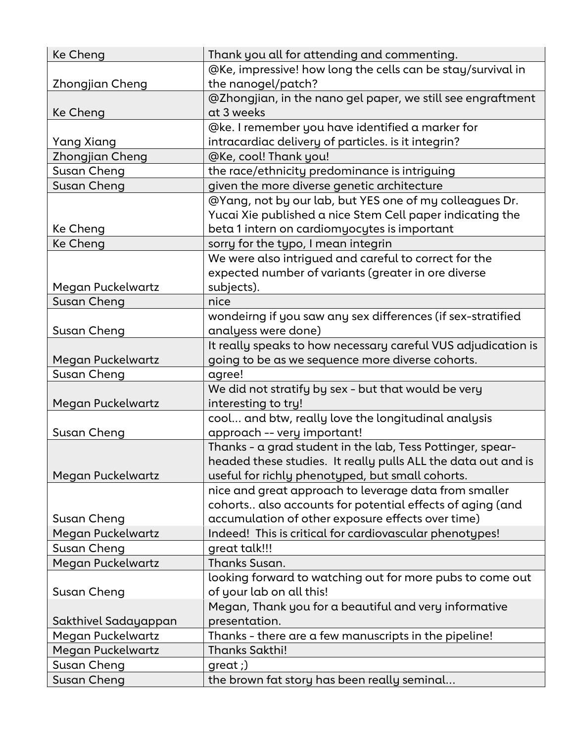| <b>Ke Cheng</b>            | Thank you all for attending and commenting.                                    |
|----------------------------|--------------------------------------------------------------------------------|
|                            | @Ke, impressive! how long the cells can be stay/survival in                    |
| Zhongjian Cheng            | the nanogel/patch?                                                             |
|                            | @Zhongjian, in the nano gel paper, we still see engraftment                    |
| Ke Cheng                   | at 3 weeks                                                                     |
|                            | @ke. I remember you have identified a marker for                               |
| Yang Xiang                 | intracardiac delivery of particles. is it integrin?                            |
| Zhongjian Cheng            | @Ke, cool! Thank you!                                                          |
| Susan Cheng                | the race/ethnicity predominance is intriguing                                  |
| Susan Cheng                | given the more diverse genetic architecture                                    |
|                            | @Yang, not by our lab, but YES one of my colleagues Dr.                        |
|                            | Yucai Xie published a nice Stem Cell paper indicating the                      |
| Ke Cheng                   | beta 1 intern on cardiomyocytes is important                                   |
| Ke Cheng                   | sorry for the typo, I mean integrin                                            |
|                            | We were also intrigued and careful to correct for the                          |
|                            | expected number of variants (greater in ore diverse                            |
| Megan Puckelwartz          | subjects).                                                                     |
| Susan Cheng                | nice                                                                           |
|                            | wondeirng if you saw any sex differences (if sex-stratified                    |
| Susan Cheng                | analyess were done)                                                            |
|                            | It really speaks to how necessary careful VUS adjudication is                  |
| Megan Puckelwartz          | going to be as we sequence more diverse cohorts.                               |
|                            |                                                                                |
|                            |                                                                                |
| Susan Cheng                | agree!                                                                         |
|                            | We did not stratify by sex - but that would be very                            |
| Megan Puckelwartz          | interesting to try!                                                            |
|                            | cool and btw, really love the longitudinal analysis                            |
| Susan Cheng                | approach -- very important!                                                    |
|                            | Thanks - a grad student in the lab, Tess Pottinger, spear-                     |
|                            | headed these studies. It really pulls ALL the data out and is                  |
| Megan Puckelwartz          | useful for richly phenotyped, but small cohorts.                               |
|                            | nice and great approach to leverage data from smaller                          |
| Susan Cheng                | cohorts also accounts for potential effects of aging (and                      |
| Megan Puckelwartz          | accumulation of other exposure effects over time)                              |
| Susan Cheng                | Indeed! This is critical for cardiovascular phenotypes!<br>great talk!!!       |
|                            | Thanks Susan.                                                                  |
| Megan Puckelwartz          |                                                                                |
|                            | looking forward to watching out for more pubs to come out                      |
| Susan Cheng                | of your lab on all this!                                                       |
|                            | Megan, Thank you for a beautiful and very informative<br>presentation.         |
| Sakthivel Sadayappan       |                                                                                |
| Megan Puckelwartz          | Thanks - there are a few manuscripts in the pipeline!<br><b>Thanks Sakthi!</b> |
| Megan Puckelwartz          |                                                                                |
| Susan Cheng<br>Susan Cheng | $green;$<br>the brown fat story has been really seminal                        |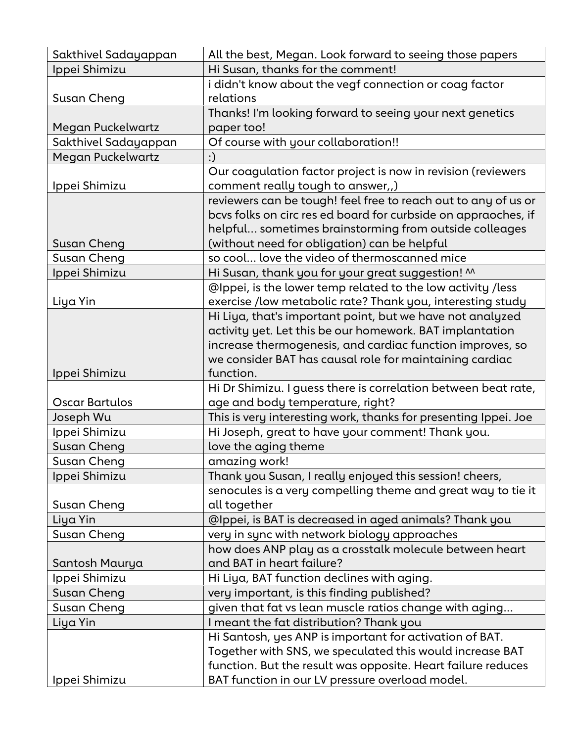| Sakthivel Sadayappan | All the best, Megan. Look forward to seeing those papers        |
|----------------------|-----------------------------------------------------------------|
| Ippei Shimizu        | Hi Susan, thanks for the comment!                               |
|                      | i didn't know about the vegf connection or coag factor          |
| Susan Cheng          | relations                                                       |
|                      | Thanks! I'm looking forward to seeing your next genetics        |
| Megan Puckelwartz    | paper too!                                                      |
| Sakthivel Sadayappan | Of course with your collaboration!!                             |
| Megan Puckelwartz    | :)                                                              |
|                      | Our coagulation factor project is now in revision (reviewers    |
| Ippei Shimizu        | comment really tough to answer,,)                               |
|                      | reviewers can be tough! feel free to reach out to any of us or  |
|                      | bcvs folks on circ res ed board for curbside on appraoches, if  |
|                      | helpful sometimes brainstorming from outside colleages          |
| Susan Cheng          | (without need for obligation) can be helpful                    |
| Susan Cheng          | so cool love the video of thermoscanned mice                    |
| Ippei Shimizu        | Hi Susan, thank you for your great suggestion! M                |
|                      | @Ippei, is the lower temp related to the low activity /less     |
| Liya Yin             | exercise /low metabolic rate? Thank you, interesting study      |
|                      | Hi Liya, that's important point, but we have not analyzed       |
|                      | activity yet. Let this be our homework. BAT implantation        |
|                      | increase thermogenesis, and cardiac function improves, so       |
|                      | we consider BAT has causal role for maintaining cardiac         |
| Ippei Shimizu        | function.                                                       |
|                      | Hi Dr Shimizu. I guess there is correlation between beat rate,  |
| Oscar Bartulos       | age and body temperature, right?                                |
| Joseph Wu            | This is very interesting work, thanks for presenting Ippei. Joe |
| Ippei Shimizu        | Hi Joseph, great to have your comment! Thank you.               |
| Susan Cheng          | love the aging theme                                            |
| <b>Susan Cheng</b>   | amazing work!                                                   |
| Ippei Shimizu        | Thank you Susan, I really enjoyed this session! cheers,         |
|                      | senocules is a very compelling theme and great way to tie it    |
| Susan Cheng          | all together                                                    |
| Liya Yin             | @Ippei, is BAT is decreased in aged animals? Thank you          |
| Susan Cheng          | very in sync with network biology approaches                    |
|                      | how does ANP play as a crosstalk molecule between heart         |
| Santosh Maurya       | and BAT in heart failure?                                       |
| Ippei Shimizu        | Hi Liya, BAT function declines with aging.                      |
| Susan Cheng          | very important, is this finding published?                      |
| Susan Cheng          | given that fat vs lean muscle ratios change with aging          |
| Liya Yin             | I meant the fat distribution? Thank you                         |
|                      | Hi Santosh, yes ANP is important for activation of BAT.         |
|                      | Together with SNS, we speculated this would increase BAT        |
|                      | function. But the result was opposite. Heart failure reduces    |
| Ippei Shimizu        | BAT function in our LV pressure overload model.                 |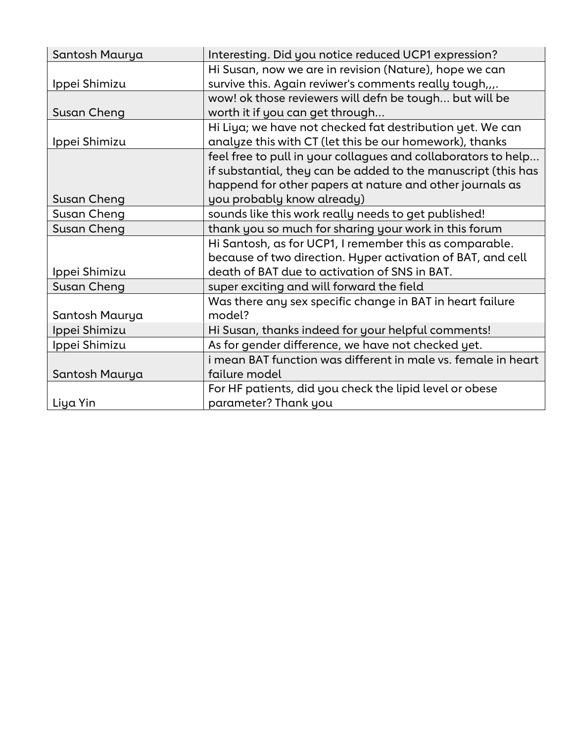| Santosh Maurya | Interesting. Did you notice reduced UCP1 expression?          |
|----------------|---------------------------------------------------------------|
|                | Hi Susan, now we are in revision (Nature), hope we can        |
| Ippei Shimizu  | survive this. Again reviwer's comments really tough,,,.       |
|                | wow! ok those reviewers will defn be tough but will be        |
| Susan Cheng    | worth it if you can get through                               |
|                | Hi Liya; we have not checked fat destribution yet. We can     |
| Ippei Shimizu  | analyze this with CT (let this be our homework), thanks       |
|                | feel free to pull in your collagues and collaborators to help |
|                | if substantial, they can be added to the manuscript (this has |
|                | happend for other papers at nature and other journals as      |
| Susan Cheng    | you probably know already)                                    |
| Susan Cheng    | sounds like this work really needs to get published!          |
| Susan Cheng    | thank you so much for sharing your work in this forum         |
|                | Hi Santosh, as for UCP1, I remember this as comparable.       |
|                | because of two direction. Hyper activation of BAT, and cell   |
| Ippei Shimizu  | death of BAT due to activation of SNS in BAT.                 |
| Susan Cheng    | super exciting and will forward the field                     |
|                | Was there any sex specific change in BAT in heart failure     |
| Santosh Maurya | model?                                                        |
| Ippei Shimizu  | Hi Susan, thanks indeed for your helpful comments!            |
| Ippei Shimizu  | As for gender difference, we have not checked yet.            |
|                | i mean BAT function was different in male vs. female in heart |
| Santosh Maurya | failure model                                                 |
|                | For HF patients, did you check the lipid level or obese       |
| Liya Yin       | parameter? Thank you                                          |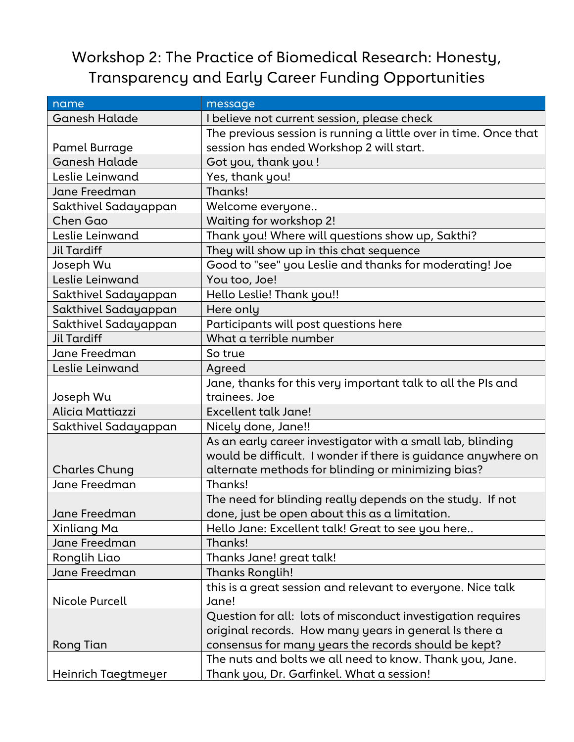## Workshop 2: The Practice of Biomedical Research: Honesty, Transparency and Early Career Funding Opportunities

| name                 | message                                                          |
|----------------------|------------------------------------------------------------------|
| <b>Ganesh Halade</b> | I believe not current session, please check                      |
|                      | The previous session is running a little over in time. Once that |
| Pamel Burrage        | session has ended Workshop 2 will start.                         |
| <b>Ganesh Halade</b> | Got you, thank you !                                             |
| Leslie Leinwand      | Yes, thank you!                                                  |
| Jane Freedman        | Thanks!                                                          |
| Sakthivel Sadayappan | Welcome everyone                                                 |
| Chen Gao             | Waiting for workshop 2!                                          |
| Leslie Leinwand      | Thank you! Where will questions show up, Sakthi?                 |
| <b>Jil Tardiff</b>   | They will show up in this chat sequence                          |
| Joseph Wu            | Good to "see" you Leslie and thanks for moderating! Joe          |
| Leslie Leinwand      | You too, Joe!                                                    |
| Sakthivel Sadayappan | Hello Leslie! Thank you!!                                        |
| Sakthivel Sadayappan | Here only                                                        |
| Sakthivel Sadayappan | Participants will post questions here                            |
| Jil Tardiff          | What a terrible number                                           |
| Jane Freedman        | So true                                                          |
| Leslie Leinwand      | Agreed                                                           |
|                      | Jane, thanks for this very important talk to all the PIs and     |
| Joseph Wu            | trainees. Joe                                                    |
| Alicia Mattiazzi     | <b>Excellent talk Jane!</b>                                      |
| Sakthivel Sadayappan | Nicely done, Jane!!                                              |
|                      | As an early career investigator with a small lab, blinding       |
|                      | would be difficult. I wonder if there is guidance anywhere on    |
| <b>Charles Chung</b> | alternate methods for blinding or minimizing bias?               |
| Jane Freedman        | Thanks!                                                          |
|                      | The need for blinding really depends on the study. If not        |
| Jane Freedman        | done, just be open about this as a limitation.                   |
| Xinliang Ma          | Hello Jane: Excellent talk! Great to see you here                |
| Jane Freedman        | Thanks!                                                          |
| Ronglih Liao         | Thanks Jane! great talk!                                         |
| Jane Freedman        | <b>Thanks Ronglih!</b>                                           |
|                      | this is a great session and relevant to everyone. Nice talk      |
| Nicole Purcell       | Jane!                                                            |
|                      | Question for all: lots of misconduct investigation requires      |
|                      | original records. How many years in general Is there a           |
| Rong Tian            | consensus for many years the records should be kept?             |
|                      | The nuts and bolts we all need to know. Thank you, Jane.         |
| Heinrich Taegtmeyer  | Thank you, Dr. Garfinkel. What a session!                        |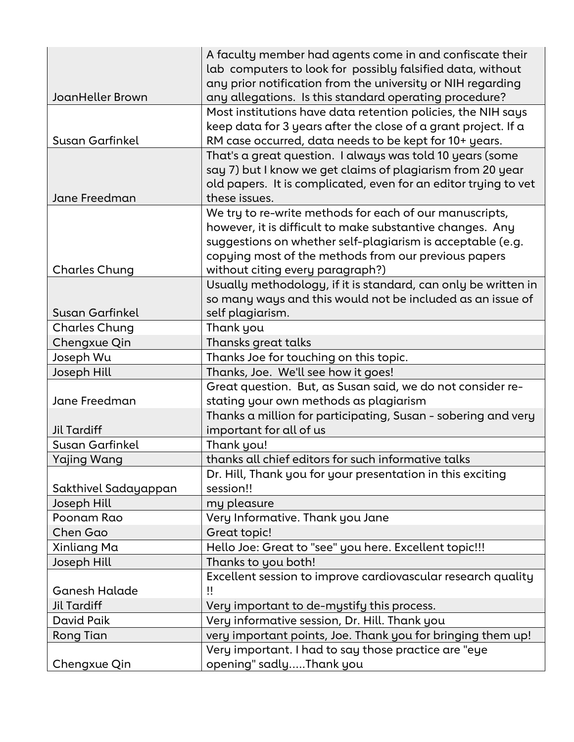|                        | A faculty member had agents come in and confiscate their        |
|------------------------|-----------------------------------------------------------------|
|                        | lab computers to look for possibly falsified data, without      |
|                        | any prior notification from the university or NIH regarding     |
| JoanHeller Brown       | any allegations. Is this standard operating procedure?          |
|                        | Most institutions have data retention policies, the NIH says    |
|                        | keep data for 3 years after the close of a grant project. If a  |
| Susan Garfinkel        | RM case occurred, data needs to be kept for 10+ years.          |
|                        | That's a great question. I always was told 10 years (some       |
|                        | say 7) but I know we get claims of plagiarism from 20 year      |
|                        | old papers. It is complicated, even for an editor trying to vet |
| Jane Freedman          | these issues.                                                   |
|                        | We try to re-write methods for each of our manuscripts,         |
|                        | however, it is difficult to make substantive changes. Any       |
|                        | suggestions on whether self-plagiarism is acceptable (e.g.      |
|                        | copying most of the methods from our previous papers            |
| <b>Charles Chung</b>   | without citing every paragraph?)                                |
|                        | Usually methodology, if it is standard, can only be written in  |
|                        | so many ways and this would not be included as an issue of      |
| <b>Susan Garfinkel</b> | self plagiarism.                                                |
| <b>Charles Chung</b>   | Thank you                                                       |
| Chengxue Qin           | Thansks great talks                                             |
| Joseph Wu              | Thanks Joe for touching on this topic.                          |
| Joseph Hill            | Thanks, Joe. We'll see how it goes!                             |
|                        | Great question. But, as Susan said, we do not consider re-      |
| Jane Freedman          | stating your own methods as plagiarism                          |
|                        | Thanks a million for participating, Susan - sobering and very   |
| <b>Jil Tardiff</b>     | important for all of us                                         |
| Susan Garfinkel        | Thank you!                                                      |
| <b>Yajing Wang</b>     | thanks all chief editors for such informative talks             |
|                        | Dr. Hill, Thank you for your presentation in this exciting      |
| Sakthivel Sadayappan   | session!!                                                       |
| Joseph Hill            | my pleasure                                                     |
| Poonam Rao             | Very Informative. Thank you Jane                                |
| Chen Gao               | Great topic!                                                    |
| Xinliang Ma            | Hello Joe: Great to "see" you here. Excellent topic!!!          |
| Joseph Hill            | Thanks to you both!                                             |
|                        | Excellent session to improve cardiovascular research quality    |
| <b>Ganesh Halade</b>   | !!                                                              |
| Jil Tardiff            | Very important to de-mystify this process.                      |
| David Paik             | Very informative session, Dr. Hill. Thank you                   |
| <b>Rong Tian</b>       | very important points, Joe. Thank you for bringing them up!     |
|                        | Very important. I had to say those practice are "eye            |
| Chengxue Qin           | opening" sadlyThank you                                         |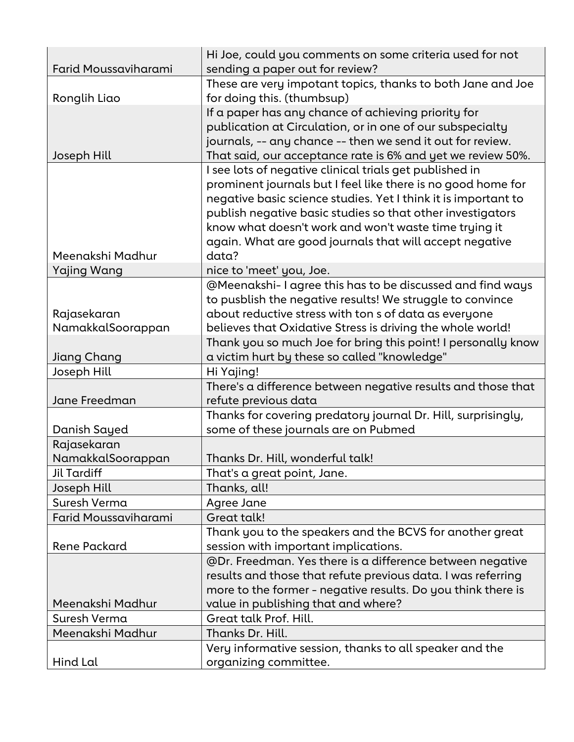| <b>Farid Moussaviharami</b> | Hi Joe, could you comments on some criteria used for not<br>sending a paper out for review?                      |
|-----------------------------|------------------------------------------------------------------------------------------------------------------|
| Ronglih Liao                | These are very impotant topics, thanks to both Jane and Joe<br>for doing this. (thumbsup)                        |
|                             | If a paper has any chance of achieving priority for<br>publication at Circulation, or in one of our subspecialty |
|                             | journals, -- any chance -- then we send it out for review.                                                       |
| Joseph Hill                 | That said, our acceptance rate is 6% and yet we review 50%.                                                      |
|                             | I see lots of negative clinical trials get published in                                                          |
|                             | prominent journals but I feel like there is no good home for                                                     |
|                             | negative basic science studies. Yet I think it is important to                                                   |
|                             | publish negative basic studies so that other investigators                                                       |
|                             | know what doesn't work and won't waste time trying it                                                            |
| Meenakshi Madhur            | again. What are good journals that will accept negative<br>data?                                                 |
|                             |                                                                                                                  |
| <b>Yajing Wang</b>          | nice to 'meet' you, Joe.<br>@Meenakshi-I agree this has to be discussed and find ways                            |
|                             | to pusblish the negative results! We struggle to convince                                                        |
| Rajasekaran                 | about reductive stress with ton s of data as everyone                                                            |
| NamakkalSoorappan           | believes that Oxidative Stress is driving the whole world!                                                       |
|                             | Thank you so much Joe for bring this point! I personally know                                                    |
| Jiang Chang                 | a victim hurt by these so called "knowledge"                                                                     |
| Joseph Hill                 | Hi Yajing!                                                                                                       |
|                             | There's a difference between negative results and those that                                                     |
| Jane Freedman               | refute previous data                                                                                             |
|                             | Thanks for covering predatory journal Dr. Hill, surprisingly,                                                    |
| Danish Sayed                | some of these journals are on Pubmed                                                                             |
| Rajasekaran                 |                                                                                                                  |
| NamakkalSoorappan           | Thanks Dr. Hill, wonderful talk!                                                                                 |
| Jil Tardiff                 | That's a great point, Jane.                                                                                      |
| Joseph Hill                 | Thanks, all!                                                                                                     |
| Suresh Verma                | Agree Jane                                                                                                       |
| Farid Moussaviharami        | Great talk!                                                                                                      |
|                             | Thank you to the speakers and the BCVS for another great                                                         |
| <b>Rene Packard</b>         | session with important implications.                                                                             |
|                             | @Dr. Freedman. Yes there is a difference between negative                                                        |
|                             | results and those that refute previous data. I was referring                                                     |
|                             | more to the former - negative results. Do you think there is                                                     |
| Meenakshi Madhur            | value in publishing that and where?                                                                              |
| Suresh Verma                | Great talk Prof. Hill.                                                                                           |
| Meenakshi Madhur            | Thanks Dr. Hill.                                                                                                 |
|                             | Very informative session, thanks to all speaker and the                                                          |
| Hind Lal                    | organizing committee.                                                                                            |